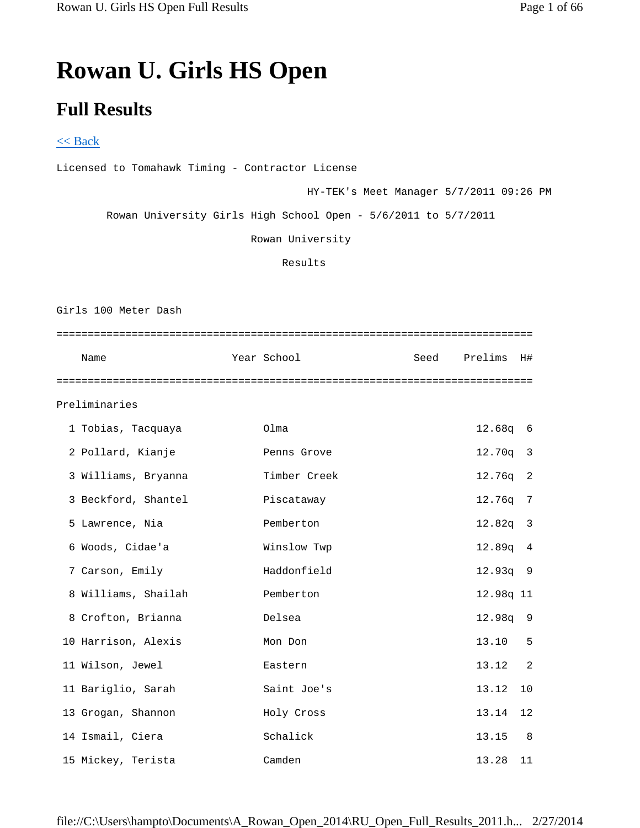# **Rowan U. Girls HS Open**

## **Full Results**

## $<<$  Back

Licensed to Tomahawk Timing - Contractor License

HY-TEK's Meet Manager 5/7/2011 09:26 PM

Rowan University Girls High School Open - 5/6/2011 to 5/7/2011

Rowan University

Results

Girls 100 Meter Dash

| Name                | Year School  | Seed | Prelims    | H# |
|---------------------|--------------|------|------------|----|
|                     |              |      |            |    |
| Preliminaries       |              |      |            |    |
| 1 Tobias, Tacquaya  | Olma         |      | $12.68q$ 6 |    |
| 2 Pollard, Kianje   | Penns Grove  |      | $12.70q$ 3 |    |
| 3 Williams, Bryanna | Timber Creek |      | $12.76q$ 2 |    |
| 3 Beckford, Shantel | Piscataway   |      | $12.76q$ 7 |    |
| 5 Lawrence, Nia     | Pemberton    |      | $12.82q$ 3 |    |
| 6 Woods, Cidae'a    | Winslow Twp  |      | 12.89q     | 4  |

| 7 Carson, Emily     | Haddonfield | 12.93q 9        |    |
|---------------------|-------------|-----------------|----|
| 8 Williams, Shailah | Pemberton   | $12.98q$ 11     |    |
| 8 Crofton, Brianna  | Delsea      | 12.98q 9        |    |
| 10 Harrison, Alexis | Mon Don     | 13.10           | 5  |
| 11 Wilson, Jewel    | Eastern     | $13.12 \quad 2$ |    |
| 11 Bariglio, Sarah  | Saint Joe's | 13.12 10        |    |
| 13 Grogan, Shannon  | Holy Cross  | 13.14 12        |    |
| 14 Ismail, Ciera    | Schalick    | 13.15 8         |    |
| 15 Mickey, Terista  | Camden      | 13.28           | 11 |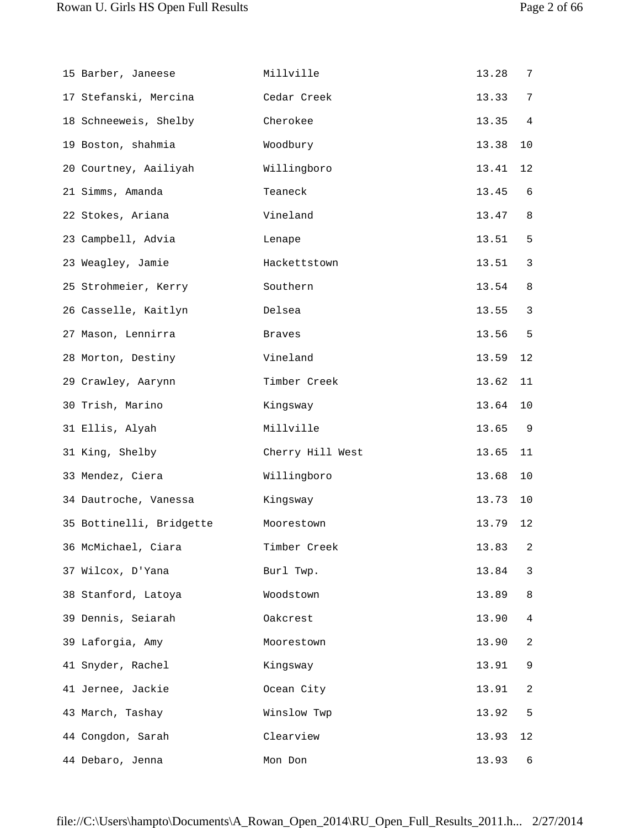| 15 Barber, Janeese       | Millville        | 13.28 | 7              |
|--------------------------|------------------|-------|----------------|
| 17 Stefanski, Mercina    | Cedar Creek      | 13.33 | 7              |
| 18 Schneeweis, Shelby    | Cherokee         | 13.35 | $\overline{4}$ |
| 19 Boston, shahmia       | Woodbury         | 13.38 | 10             |
| 20 Courtney, Aailiyah    | Willingboro      | 13.41 | 12             |
| 21 Simms, Amanda         | Teaneck          | 13.45 | 6              |
| 22 Stokes, Ariana        | Vineland         | 13.47 | 8              |
| 23 Campbell, Advia       | Lenape           | 13.51 | 5              |
| 23 Weagley, Jamie        | Hackettstown     | 13.51 | 3              |
| 25 Strohmeier, Kerry     | Southern         | 13.54 | 8              |
| 26 Casselle, Kaitlyn     | Delsea           | 13.55 | 3              |
| 27 Mason, Lennirra       | Braves           | 13.56 | 5              |
| 28 Morton, Destiny       | Vineland         | 13.59 | 12             |
| 29 Crawley, Aarynn       | Timber Creek     | 13.62 | 11             |
| 30 Trish, Marino         | Kingsway         | 13.64 | 10             |
| 31 Ellis, Alyah          | Millville        | 13.65 | 9              |
| 31 King, Shelby          | Cherry Hill West | 13.65 | 11             |
| 33 Mendez, Ciera         | Willingboro      | 13.68 | 10             |
| 34 Dautroche, Vanessa    | Kingsway         | 13.73 | 10             |
| 35 Bottinelli, Bridgette | Moorestown       | 13.79 | 12             |
| 36 McMichael, Ciara      | Timber Creek     | 13.83 | 2              |
| 37 Wilcox, D'Yana        | Burl Twp.        | 13.84 | 3              |
| 38 Stanford, Latoya      | Woodstown        | 13.89 | 8              |
| 39 Dennis, Seiarah       | Oakcrest         | 13.90 | 4              |
| 39 Laforgia, Amy         | Moorestown       | 13.90 | 2              |
| 41 Snyder, Rachel        | Kingsway         | 13.91 | 9              |
| 41 Jernee, Jackie        | Ocean City       | 13.91 | 2              |
| 43 March, Tashay         | Winslow Twp      | 13.92 | 5              |
| 44 Congdon, Sarah        | Clearview        | 13.93 | 12             |
| 44 Debaro, Jenna         | Mon Don          | 13.93 | 6              |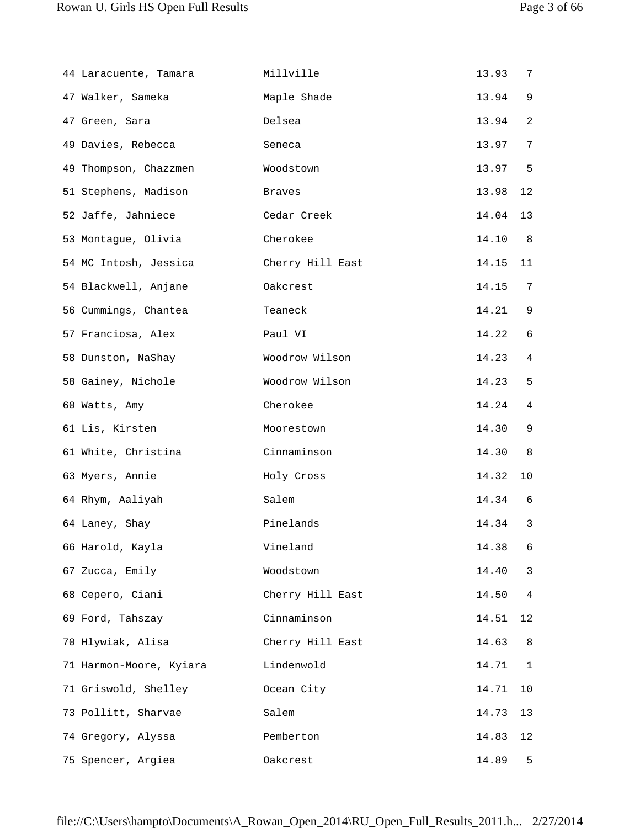| 44 Laracuente, Tamara   | Millville        | 13.93 | 7            |
|-------------------------|------------------|-------|--------------|
| 47 Walker, Sameka       | Maple Shade      | 13.94 | 9            |
| 47 Green, Sara          | Delsea           | 13.94 | 2            |
| 49 Davies, Rebecca      | Seneca           | 13.97 | 7            |
| 49 Thompson, Chazzmen   | Woodstown        | 13.97 | 5            |
| 51 Stephens, Madison    | Braves           | 13.98 | 12           |
| 52 Jaffe, Jahniece      | Cedar Creek      | 14.04 | 13           |
| 53 Montague, Olivia     | Cherokee         | 14.10 | 8            |
| 54 MC Intosh, Jessica   | Cherry Hill East | 14.15 | 11           |
| 54 Blackwell, Anjane    | Oakcrest         | 14.15 | 7            |
| 56 Cummings, Chantea    | Teaneck          | 14.21 | 9            |
| 57 Franciosa, Alex      | Paul VI          | 14.22 | 6            |
| 58 Dunston, NaShay      | Woodrow Wilson   | 14.23 | 4            |
| 58 Gainey, Nichole      | Woodrow Wilson   | 14.23 | 5            |
| 60 Watts, Amy           | Cherokee         | 14.24 | 4            |
| 61 Lis, Kirsten         | Moorestown       | 14.30 | 9            |
| 61 White, Christina     | Cinnaminson      | 14.30 | 8            |
| 63 Myers, Annie         | Holy Cross       | 14.32 | 10           |
| 64 Rhym, Aaliyah        | Salem            | 14.34 | 6            |
| 64 Laney, Shay          | Pinelands        | 14.34 | 3            |
| 66 Harold, Kayla        | Vineland         | 14.38 | 6            |
| 67 Zucca, Emily         | Woodstown        | 14.40 | 3            |
| 68 Cepero, Ciani        | Cherry Hill East | 14.50 | 4            |
| 69 Ford, Tahszay        | Cinnaminson      | 14.51 | 12           |
| 70 Hlywiak, Alisa       | Cherry Hill East | 14.63 | 8            |
| 71 Harmon-Moore, Kyiara | Lindenwold       | 14.71 | $\mathbf{1}$ |
| 71 Griswold, Shelley    | Ocean City       | 14.71 | 10           |
| 73 Pollitt, Sharvae     | Salem            | 14.73 | 13           |
| 74 Gregory, Alyssa      | Pemberton        | 14.83 | 12           |
| 75 Spencer, Argiea      | Oakcrest         | 14.89 | 5            |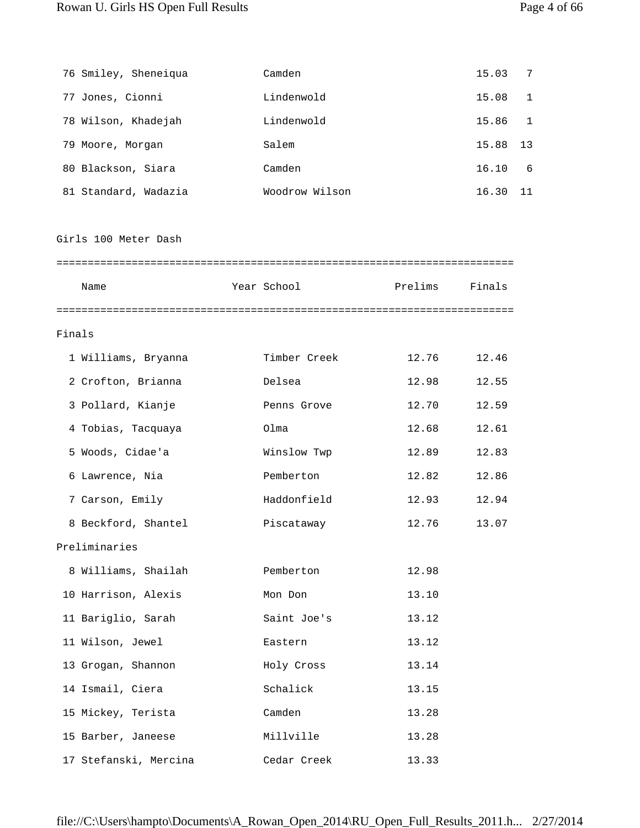| 76 Smiley, Sheneiqua | Camden         | 15.03 | 7  |
|----------------------|----------------|-------|----|
| 77 Jones, Cionni     | Lindenwold     | 15.08 |    |
| 78 Wilson, Khadejah  | Lindenwold     | 15.86 |    |
| 79 Moore, Morgan     | Salem          | 15.88 | 13 |
| 80 Blackson, Siara   | Camden         | 16.10 | 6  |
| 81 Standard, Wadazia | Woodrow Wilson | 16.30 | 11 |

Girls 100 Meter Dash

| Name | Year School | Prelims | Finals |
|------|-------------|---------|--------|
|      |             |         |        |

#### Finals

| 1 Williams, Bryanna   | Timber Creek | 12.76 | 12.46 |
|-----------------------|--------------|-------|-------|
| 2 Crofton, Brianna    | Delsea       | 12.98 | 12.55 |
| 3 Pollard, Kianje     | Penns Grove  | 12.70 | 12.59 |
| 4 Tobias, Tacquaya    | Olma         | 12.68 | 12.61 |
| 5 Woods, Cidae'a      | Winslow Twp  | 12.89 | 12.83 |
| 6 Lawrence, Nia       | Pemberton    | 12.82 | 12.86 |
| 7 Carson, Emily       | Haddonfield  | 12.93 | 12.94 |
| 8 Beckford, Shantel   | Piscataway   | 12.76 | 13.07 |
| Preliminaries         |              |       |       |
| 8 Williams, Shailah   | Pemberton    | 12.98 |       |
| 10 Harrison, Alexis   | Mon Don      | 13.10 |       |
| 11 Bariglio, Sarah    | Saint Joe's  | 13.12 |       |
| 11 Wilson, Jewel      | Eastern      | 13.12 |       |
| 13 Grogan, Shannon    | Holy Cross   | 13.14 |       |
| 14 Ismail, Ciera      | Schalick     | 13.15 |       |
| 15 Mickey, Terista    | Camden       | 13.28 |       |
| 15 Barber, Janeese    | Millville    | 13.28 |       |
| 17 Stefanski, Mercina | Cedar Creek  | 13.33 |       |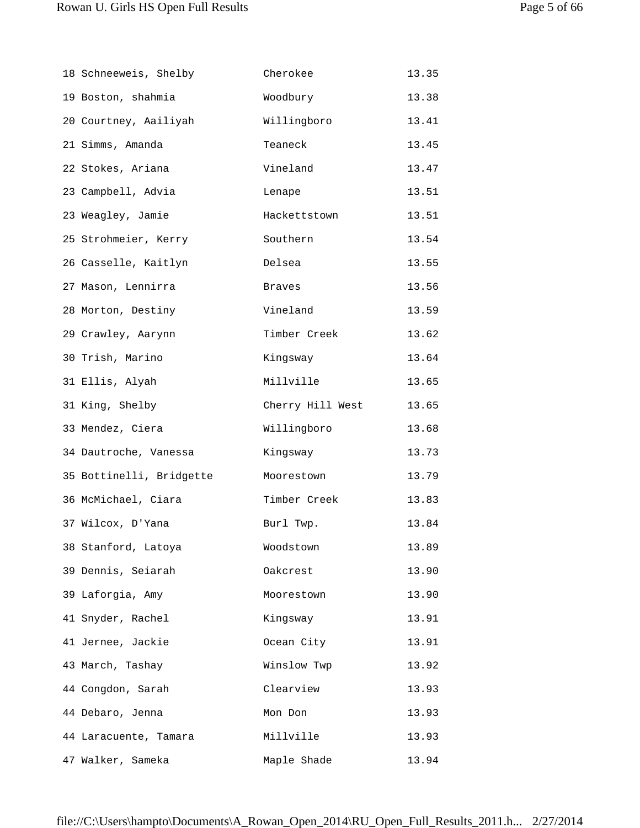| 18 Schneeweis, Shelby    | Cherokee         | 13.35 |
|--------------------------|------------------|-------|
| 19 Boston, shahmia       | Woodbury         | 13.38 |
| 20 Courtney, Aailiyah    | Willingboro      | 13.41 |
| 21 Simms, Amanda         | Teaneck          | 13.45 |
| 22 Stokes, Ariana        | Vineland         | 13.47 |
| 23 Campbell, Advia       | Lenape           | 13.51 |
| 23 Weagley, Jamie        | Hackettstown     | 13.51 |
| 25 Strohmeier, Kerry     | Southern         | 13.54 |
| 26 Casselle, Kaitlyn     | Delsea           | 13.55 |
| 27 Mason, Lennirra       | Braves           | 13.56 |
| 28 Morton, Destiny       | Vineland         | 13.59 |
| 29 Crawley, Aarynn       | Timber Creek     | 13.62 |
| 30 Trish, Marino         | Kingsway         | 13.64 |
| 31 Ellis, Alyah          | Millville        | 13.65 |
| 31 King, Shelby          | Cherry Hill West | 13.65 |
| 33 Mendez, Ciera         | Willingboro      | 13.68 |
| 34 Dautroche, Vanessa    | Kingsway         | 13.73 |
| 35 Bottinelli, Bridgette | Moorestown       | 13.79 |
| 36 McMichael, Ciara      | Timber Creek     | 13.83 |
| 37 Wilcox, D'Yana        | Burl Twp.        | 13.84 |
| 38 Stanford, Latoya      | Woodstown        | 13.89 |
| 39 Dennis, Seiarah       | Oakcrest         | 13.90 |
| 39 Laforgia, Amy         | Moorestown       | 13.90 |
| 41 Snyder, Rachel        | Kingsway         | 13.91 |
| 41 Jernee, Jackie        | Ocean City       | 13.91 |
| 43 March, Tashay         | Winslow Twp      | 13.92 |
| 44 Congdon, Sarah        |                  |       |
|                          | Clearview        | 13.93 |
| 44 Debaro, Jenna         | Mon Don          | 13.93 |
| 44 Laracuente, Tamara    | Millville        | 13.93 |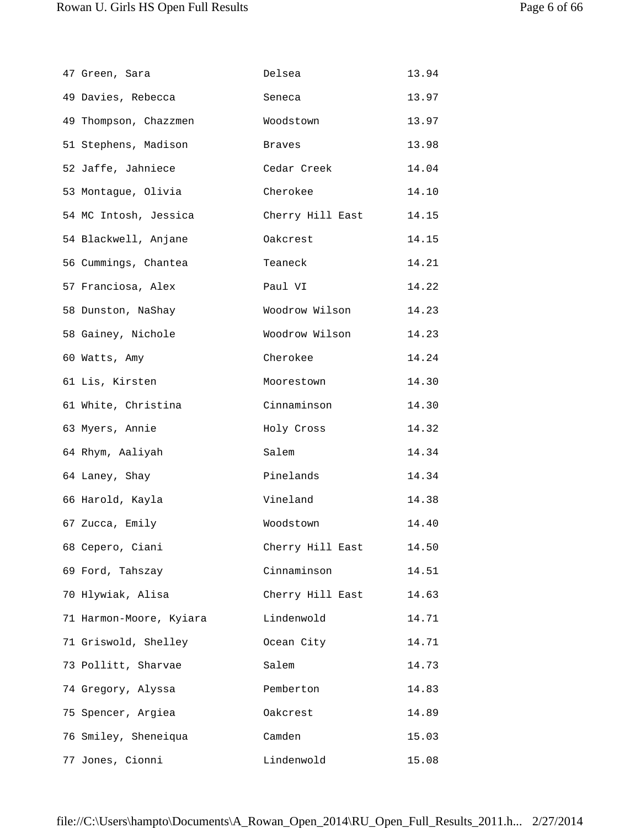| 47 Green, Sara          | Delsea           | 13.94 |
|-------------------------|------------------|-------|
| 49 Davies, Rebecca      | Seneca           | 13.97 |
| 49 Thompson, Chazzmen   | Woodstown        | 13.97 |
| 51 Stephens, Madison    | Braves           | 13.98 |
| 52 Jaffe, Jahniece      | Cedar Creek      | 14.04 |
| 53 Montague, Olivia     | Cherokee         | 14.10 |
| 54 MC Intosh, Jessica   | Cherry Hill East | 14.15 |
| 54 Blackwell, Anjane    | Oakcrest         | 14.15 |
| 56 Cummings, Chantea    | Teaneck          | 14.21 |
| 57 Franciosa, Alex      | Paul VI          | 14.22 |
| 58 Dunston, NaShay      | Woodrow Wilson   | 14.23 |
| 58 Gainey, Nichole      | Woodrow Wilson   | 14.23 |
| 60 Watts, Amy           | Cherokee         | 14.24 |
| 61 Lis, Kirsten         | Moorestown       | 14.30 |
| 61 White, Christina     | Cinnaminson      | 14.30 |
| 63 Myers, Annie         | Holy Cross       | 14.32 |
| 64 Rhym, Aaliyah        | Salem            | 14.34 |
| 64 Laney, Shay          | Pinelands        | 14.34 |
| 66 Harold, Kayla        | Vineland         | 14.38 |
| 67 Zucca, Emily         | Woodstown        | 14.40 |
| 68 Cepero, Ciani        | Cherry Hill East | 14.50 |
| 69 Ford, Tahszay        | Cinnaminson      | 14.51 |
| 70 Hlywiak, Alisa       | Cherry Hill East | 14.63 |
| 71 Harmon-Moore, Kyiara | Lindenwold       | 14.71 |
| 71 Griswold, Shelley    | Ocean City       | 14.71 |
| 73 Pollitt, Sharvae     | Salem            | 14.73 |
| 74 Gregory, Alyssa      | Pemberton        | 14.83 |
| 75 Spencer, Argiea      | Oakcrest         | 14.89 |
| 76 Smiley, Sheneiqua    | Camden           | 15.03 |
| 77 Jones, Cionni        | Lindenwold       | 15.08 |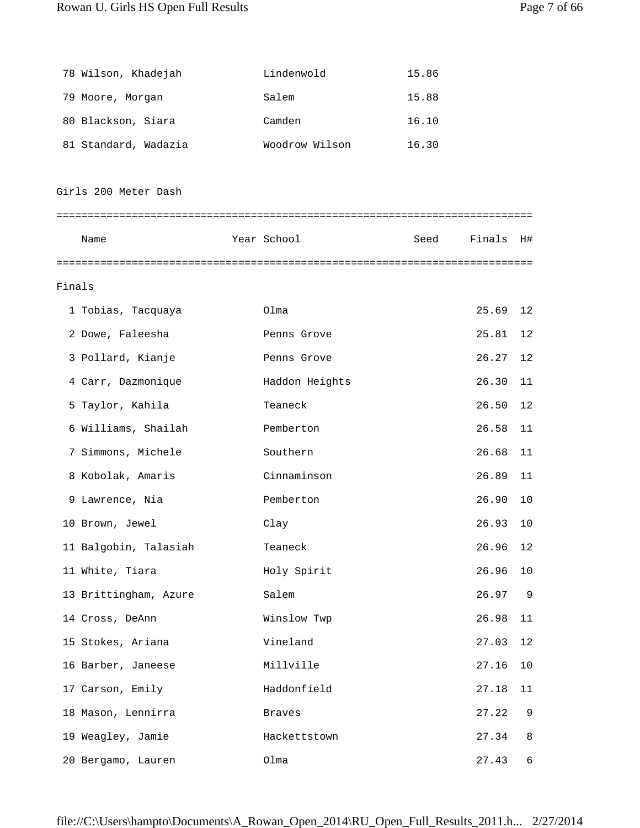|        | 78 Wilson, Khadejah   | Lindenwold     | 15.86 |        |             |
|--------|-----------------------|----------------|-------|--------|-------------|
|        | 79 Moore, Morgan      | Salem          | 15.88 |        |             |
|        | 80 Blackson, Siara    | Camden         | 16.10 |        |             |
|        | 81 Standard, Wadazia  | Woodrow Wilson | 16.30 |        |             |
|        |                       |                |       |        |             |
|        | Girls 200 Meter Dash  |                |       |        |             |
|        |                       |                |       |        |             |
|        | Name                  | Year School    | Seed  | Finals | H#          |
|        |                       |                |       |        |             |
| Finals |                       |                |       |        |             |
|        | 1 Tobias, Tacquaya    | Olma           |       | 25.69  | 12          |
|        | 2 Dowe, Faleesha      | Penns Grove    |       | 25.81  | 12          |
|        | 3 Pollard, Kianje     | Penns Grove    |       | 26.27  | 12          |
|        | 4 Carr, Dazmonique    | Haddon Heights |       | 26.30  | 11          |
|        | 5 Taylor, Kahila      | Teaneck        |       | 26.50  | 12          |
|        | 6 Williams, Shailah   | Pemberton      |       | 26.58  | 11          |
|        | 7 Simmons, Michele    | Southern       |       | 26.68  | 11          |
|        | 8 Kobolak, Amaris     | Cinnaminson    |       | 26.89  | 11          |
|        | 9 Lawrence, Nia       | Pemberton      |       | 26.90  | 10          |
|        | 10 Brown, Jewel       | Clay           |       | 26.93  | 10          |
|        | 11 Balgobin, Talasiah | Teaneck        |       | 26.96  | 12          |
|        | 11 White, Tiara       | Holy Spirit    |       | 26.96  | 10          |
|        | 13 Brittingham, Azure | Salem          |       | 26.97  | $\mathsf 9$ |
|        | 14 Cross, DeAnn       | Winslow Twp    |       | 26.98  | 11          |
|        | 15 Stokes, Ariana     | Vineland       |       | 27.03  | 12          |
|        | 16 Barber, Janeese    | Millville      |       | 27.16  | 10          |
|        | 17 Carson, Emily      | Haddonfield    |       | 27.18  | 11          |
|        | 18 Mason, Lennirra    | <b>Braves</b>  |       | 27.22  | 9           |
|        | 19 Weagley, Jamie     | Hackettstown   |       | 27.34  | 8           |
|        | 20 Bergamo, Lauren    | Olma           |       | 27.43  | 6           |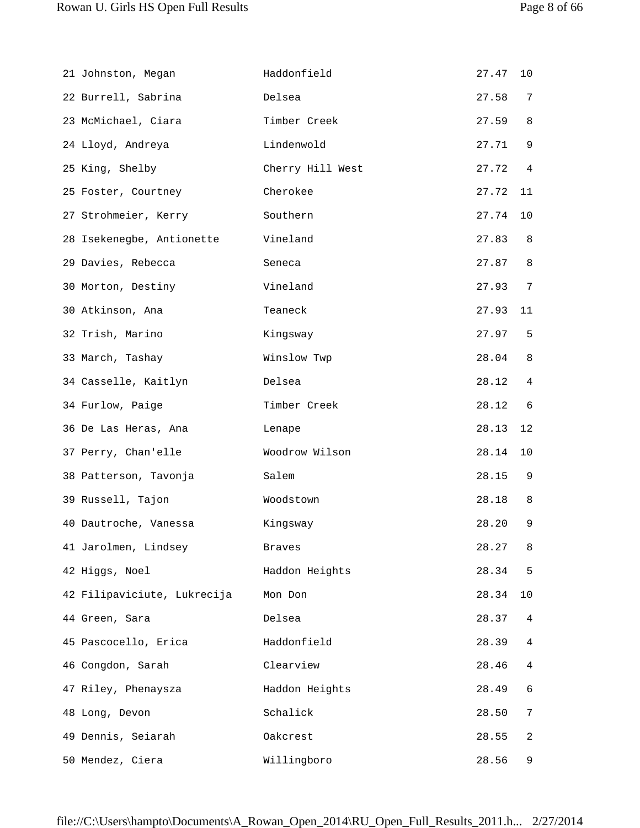| 21 Johnston, Megan          | Haddonfield      | 27.47 | 10 |
|-----------------------------|------------------|-------|----|
| 22 Burrell, Sabrina         | Delsea           | 27.58 | 7  |
| 23 McMichael, Ciara         | Timber Creek     | 27.59 | 8  |
| 24 Lloyd, Andreya           | Lindenwold       | 27.71 | 9  |
| 25 King, Shelby             | Cherry Hill West | 27.72 | 4  |
| 25 Foster, Courtney         | Cherokee         | 27.72 | 11 |
| 27 Strohmeier, Kerry        | Southern         | 27.74 | 10 |
| 28 Isekenegbe, Antionette   | Vineland         | 27.83 | 8  |
| 29 Davies, Rebecca          | Seneca           | 27.87 | 8  |
| 30 Morton, Destiny          | Vineland         | 27.93 | 7  |
| 30 Atkinson, Ana            | Teaneck          | 27.93 | 11 |
| 32 Trish, Marino            | Kingsway         | 27.97 | 5  |
| 33 March, Tashay            | Winslow Twp      | 28.04 | 8  |
| 34 Casselle, Kaitlyn        | Delsea           | 28.12 | 4  |
| 34 Furlow, Paige            | Timber Creek     | 28.12 | 6  |
| 36 De Las Heras, Ana        | Lenape           | 28.13 | 12 |
| 37 Perry, Chan'elle         | Woodrow Wilson   | 28.14 | 10 |
| 38 Patterson, Tavonja       | Salem            | 28.15 | 9  |
| 39 Russell, Tajon           | Woodstown        | 28.18 | 8  |
| 40 Dautroche, Vanessa       | Kingsway         | 28.20 | 9  |
| 41 Jarolmen, Lindsey        | <b>Braves</b>    | 28.27 | 8  |
| 42 Higgs, Noel              | Haddon Heights   | 28.34 | 5  |
| 42 Filipaviciute, Lukrecija | Mon Don          | 28.34 | 10 |
| 44 Green, Sara              | Delsea           | 28.37 | 4  |
| 45 Pascocello, Erica        | Haddonfield      | 28.39 | 4  |
| 46 Congdon, Sarah           | Clearview        | 28.46 | 4  |
| 47 Riley, Phenaysza         | Haddon Heights   | 28.49 | 6  |
| 48 Long, Devon              | Schalick         | 28.50 | 7  |
| 49 Dennis, Seiarah          | Oakcrest         | 28.55 | 2  |
| 50 Mendez, Ciera            | Willingboro      | 28.56 | 9  |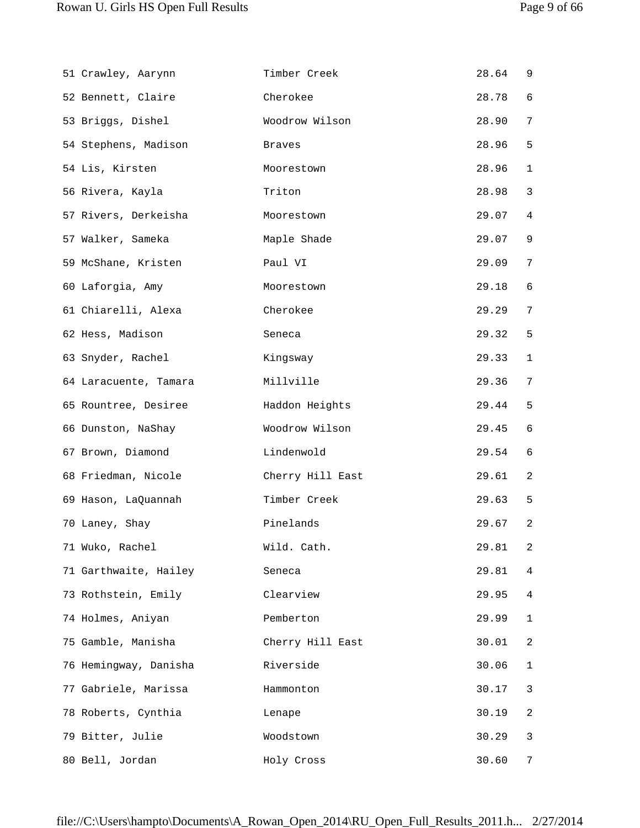| 51 Crawley, Aarynn    | Timber Creek     | 28.64 | 9            |
|-----------------------|------------------|-------|--------------|
| 52 Bennett, Claire    | Cherokee         | 28.78 | 6            |
| 53 Briggs, Dishel     | Woodrow Wilson   | 28.90 | 7            |
| 54 Stephens, Madison  | Braves           | 28.96 | 5            |
| 54 Lis, Kirsten       | Moorestown       | 28.96 | $\mathbf{1}$ |
| 56 Rivera, Kayla      | Triton           | 28.98 | 3            |
| 57 Rivers, Derkeisha  | Moorestown       | 29.07 | 4            |
| 57 Walker, Sameka     | Maple Shade      | 29.07 | 9            |
| 59 McShane, Kristen   | Paul VI          | 29.09 | 7            |
| 60 Laforgia, Amy      | Moorestown       | 29.18 | 6            |
| 61 Chiarelli, Alexa   | Cherokee         | 29.29 | 7            |
| 62 Hess, Madison      | Seneca           | 29.32 | 5            |
| 63 Snyder, Rachel     | Kingsway         | 29.33 | $\mathbf{1}$ |
| 64 Laracuente, Tamara | Millville        | 29.36 | 7            |
| 65 Rountree, Desiree  | Haddon Heights   | 29.44 | 5            |
| 66 Dunston, NaShay    | Woodrow Wilson   | 29.45 | 6            |
| 67 Brown, Diamond     | Lindenwold       | 29.54 | 6            |
| 68 Friedman, Nicole   | Cherry Hill East | 29.61 | 2            |
| 69 Hason, LaQuannah   | Timber Creek     | 29.63 | 5            |
| 70 Laney, Shay        | Pinelands        | 29.67 | 2            |
| 71 Wuko, Rachel       | Wild. Cath.      | 29.81 | 2            |
| 71 Garthwaite, Hailey | Seneca           | 29.81 | 4            |
| 73 Rothstein, Emily   | Clearview        | 29.95 | 4            |
| 74 Holmes, Aniyan     | Pemberton        | 29.99 | $\mathbf{1}$ |
| 75 Gamble, Manisha    | Cherry Hill East | 30.01 | 2            |
| 76 Hemingway, Danisha | Riverside        | 30.06 | $\mathbf 1$  |
| 77 Gabriele, Marissa  | Hammonton        | 30.17 | 3            |
| 78 Roberts, Cynthia   | Lenape           | 30.19 | 2            |
| 79 Bitter, Julie      | Woodstown        | 30.29 | 3            |
| 80 Bell, Jordan       | Holy Cross       | 30.60 | 7            |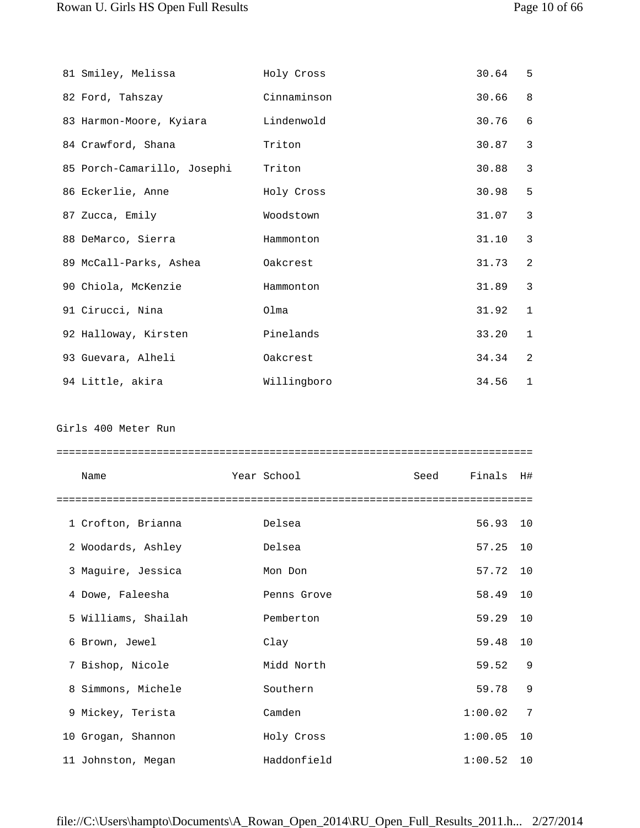| 81 Smiley, Melissa          | Holy Cross  | 30.64 | 5              |
|-----------------------------|-------------|-------|----------------|
| 82 Ford, Tahszay            | Cinnaminson | 30.66 | 8              |
| 83 Harmon-Moore, Kyiara     | Lindenwold  | 30.76 | 6              |
| 84 Crawford, Shana          | Triton      | 30.87 | $\mathfrak{Z}$ |
| 85 Porch-Camarillo, Josephi | Triton      | 30.88 | 3              |
| 86 Eckerlie, Anne           | Holy Cross  | 30.98 | 5              |
| 87 Zucca, Emily             | Woodstown   | 31.07 | 3              |
| 88 DeMarco, Sierra          | Hammonton   | 31.10 | 3              |
| 89 McCall-Parks, Ashea      | Oakcrest    | 31.73 | 2              |
| 90 Chiola, McKenzie         | Hammonton   | 31.89 | $\mathfrak{Z}$ |
| 91 Cirucci, Nina            | Olma        | 31.92 | $\mathbf{1}$   |
| 92 Halloway, Kirsten        | Pinelands   | 33.20 | $\mathbf 1$    |
| 93 Guevara, Alheli          | Oakcrest    | 34.34 | 2              |
| 94 Little, akira            | Willingboro | 34.56 | $\mathbf{1}$   |

Girls 400 Meter Run

| Name                | Year School | Seed Finals H# |    |
|---------------------|-------------|----------------|----|
|                     |             |                |    |
| 1 Crofton, Brianna  | Delsea      | 56.93          | 10 |
| 2 Woodards, Ashley  | Delsea      | 57.25          | 10 |
| 3 Maguire, Jessica  | Mon Don     | 57.72          | 10 |
| 4 Dowe, Faleesha    | Penns Grove | 58.49          | 10 |
| 5 Williams, Shailah | Pemberton   | 59.29          | 10 |
| 6 Brown, Jewel      | Clay        | 59.48          | 10 |
| 7 Bishop, Nicole    | Midd North  | 59.52          | 9  |
| 8 Simmons, Michele  | Southern    | 59.78          | 9  |
| 9 Mickey, Terista   | Camden      | 1:00.02        | 7  |
| 10 Grogan, Shannon  | Holy Cross  | 1:00.05        | 10 |
| 11 Johnston, Megan  | Haddonfield | 1:00.52        | 10 |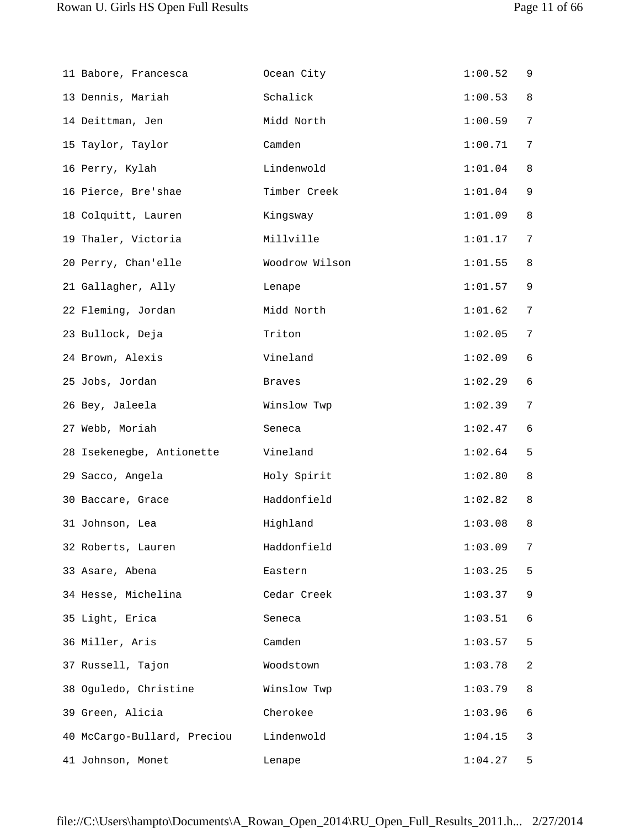| 11 Babore, Francesca        | Ocean City     | 1:00.52 | 9                |
|-----------------------------|----------------|---------|------------------|
| 13 Dennis, Mariah           | Schalick       | 1:00.53 | 8                |
| 14 Deittman, Jen            | Midd North     | 1:00.59 | $\boldsymbol{7}$ |
| 15 Taylor, Taylor           | Camden         | 1:00.71 | 7                |
| 16 Perry, Kylah             | Lindenwold     | 1:01.04 | 8                |
| 16 Pierce, Bre'shae         | Timber Creek   | 1:01.04 | 9                |
| 18 Colquitt, Lauren         | Kingsway       | 1:01.09 | 8                |
| 19 Thaler, Victoria         | Millville      | 1:01.17 | 7                |
| 20 Perry, Chan'elle         | Woodrow Wilson | 1:01.55 | 8                |
| 21 Gallagher, Ally          | Lenape         | 1:01.57 | 9                |
| 22 Fleming, Jordan          | Midd North     | 1:01.62 | 7                |
| 23 Bullock, Deja            | Triton         | 1:02.05 | 7                |
| 24 Brown, Alexis            | Vineland       | 1:02.09 | 6                |
| 25 Jobs, Jordan             | <b>Braves</b>  | 1:02.29 | 6                |
| 26 Bey, Jaleela             | Winslow Twp    | 1:02.39 | 7                |
| 27 Webb, Moriah             | Seneca         | 1:02.47 | 6                |
| 28 Isekenegbe, Antionette   | Vineland       | 1:02.64 | 5                |
| 29 Sacco, Angela            | Holy Spirit    | 1:02.80 | 8                |
| 30 Baccare, Grace           | Haddonfield    | 1:02.82 | 8                |
| 31 Johnson, Lea             | Highland       | 1:03.08 | 8                |
| 32 Roberts, Lauren          | Haddonfield    | 1:03.09 | 7                |
| 33 Asare, Abena             | Eastern        | 1:03.25 | 5                |
| 34 Hesse, Michelina         | Cedar Creek    | 1:03.37 | 9                |
| 35 Light, Erica             | Seneca         | 1:03.51 | 6                |
| 36 Miller, Aris             | Camden         | 1:03.57 | 5                |
| 37 Russell, Tajon           | Woodstown      | 1:03.78 | 2                |
| 38 Oguledo, Christine       | Winslow Twp    | 1:03.79 | 8                |
| 39 Green, Alicia            | Cherokee       | 1:03.96 | 6                |
| 40 McCargo-Bullard, Preciou | Lindenwold     | 1:04.15 | 3                |
| 41 Johnson, Monet           | Lenape         | 1:04.27 | 5                |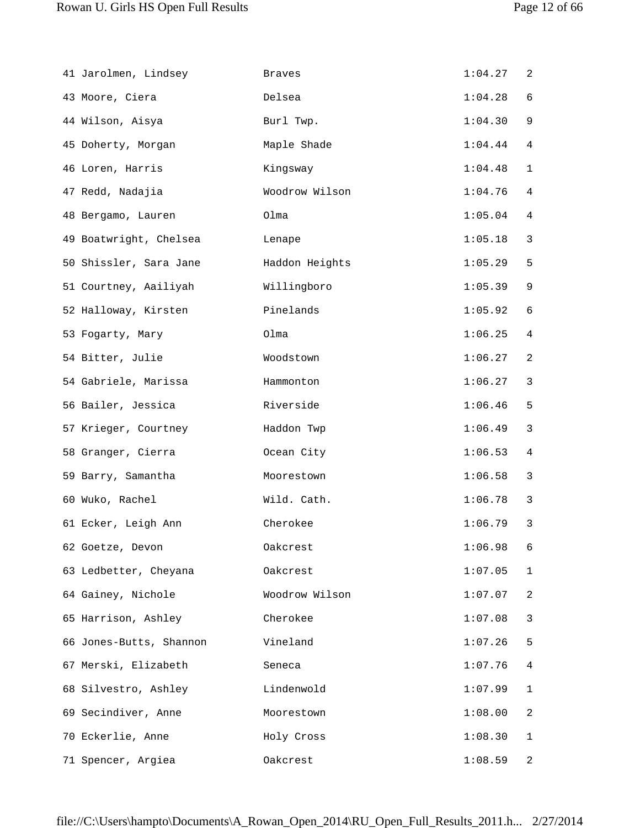| 41 Jarolmen, Lindsey    | <b>Braves</b>  | 1:04.27 | 2 |
|-------------------------|----------------|---------|---|
| 43 Moore, Ciera         | Delsea         | 1:04.28 | 6 |
| 44 Wilson, Aisya        | Burl Twp.      | 1:04.30 | 9 |
| 45 Doherty, Morgan      | Maple Shade    | 1:04.44 | 4 |
| 46 Loren, Harris        | Kingsway       | 1:04.48 | 1 |
| 47 Redd, Nadajia        | Woodrow Wilson | 1:04.76 | 4 |
| 48 Bergamo, Lauren      | Olma           | 1:05.04 | 4 |
| 49 Boatwright, Chelsea  | Lenape         | 1:05.18 | 3 |
| 50 Shissler, Sara Jane  | Haddon Heights | 1:05.29 | 5 |
| 51 Courtney, Aailiyah   | Willingboro    | 1:05.39 | 9 |
| 52 Halloway, Kirsten    | Pinelands      | 1:05.92 | 6 |
| 53 Fogarty, Mary        | Olma           | 1:06.25 | 4 |
| 54 Bitter, Julie        | Woodstown      | 1:06.27 | 2 |
| 54 Gabriele, Marissa    | Hammonton      | 1:06.27 | 3 |
| 56 Bailer, Jessica      | Riverside      | 1:06.46 | 5 |
| 57 Krieger, Courtney    | Haddon Twp     | 1:06.49 | 3 |
| 58 Granger, Cierra      | Ocean City     | 1:06.53 | 4 |
| 59 Barry, Samantha      | Moorestown     | 1:06.58 | 3 |
| 60 Wuko, Rachel         | Wild. Cath.    | 1:06.78 | 3 |
| 61 Ecker, Leigh Ann     | Cherokee       | 1:06.79 | 3 |
| 62 Goetze, Devon        | Oakcrest       | 1:06.98 | 6 |
| 63 Ledbetter, Cheyana   | Oakcrest       | 1:07.05 | 1 |
| 64 Gainey, Nichole      | Woodrow Wilson | 1:07.07 | 2 |
| 65 Harrison, Ashley     | Cherokee       | 1:07.08 | 3 |
| 66 Jones-Butts, Shannon | Vineland       | 1:07.26 | 5 |
| 67 Merski, Elizabeth    | Seneca         | 1:07.76 | 4 |
| 68 Silvestro, Ashley    | Lindenwold     | 1:07.99 | 1 |
| 69 Secindiver, Anne     | Moorestown     | 1:08.00 | 2 |
| 70 Eckerlie, Anne       | Holy Cross     | 1:08.30 | 1 |
| 71 Spencer, Argiea      | Oakcrest       | 1:08.59 | 2 |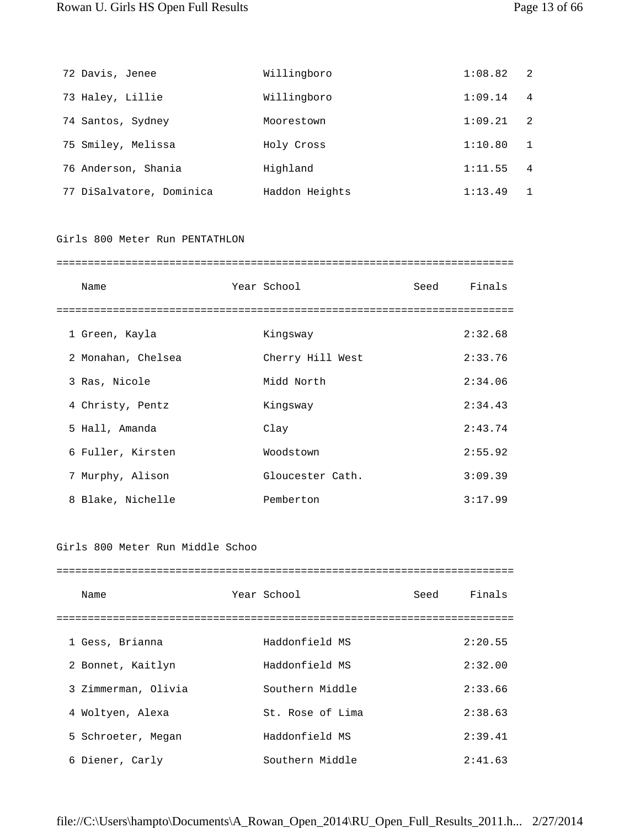| 72 Davis, Jenee          | Willingboro    | 1:08.82 | -2 |
|--------------------------|----------------|---------|----|
| 73 Haley, Lillie         | Willingboro    | 1:09.14 | 4  |
| 74 Santos, Sydney        | Moorestown     | 1:09.21 | 2  |
| 75 Smiley, Melissa       | Holy Cross     | 1:10.80 |    |
| 76 Anderson, Shania      | Highland       | 1:11.55 | 4  |
| 77 DiSalvatore, Dominica | Haddon Heights | 1:13.49 |    |

## Girls 800 Meter Run PENTATHLON

| Name          |                    | Year School      | Seed | Finals  |
|---------------|--------------------|------------------|------|---------|
|               |                    |                  |      |         |
|               | 1 Green, Kayla     | Kingsway         |      | 2:32.68 |
|               | 2 Monahan, Chelsea | Cherry Hill West |      | 2:33.76 |
| 3 Ras, Nicole |                    | Midd North       |      | 2:34.06 |
|               | 4 Christy, Pentz   | Kingsway         |      | 2:34.43 |
|               | 5 Hall, Amanda     | Clay             |      | 2:43.74 |
|               | 6 Fuller, Kirsten  | Woodstown        |      | 2:55.92 |
|               | 7 Murphy, Alison   | Gloucester Cath. |      | 3:09.39 |
|               | 8 Blake, Nichelle  | Pemberton        |      | 3:17.99 |

#### Girls 800 Meter Run Middle Schoo

| Name                | Year School      | Seed | Finals  |
|---------------------|------------------|------|---------|
|                     |                  |      |         |
| 1 Gess, Brianna     | Haddonfield MS   |      | 2:20.55 |
| 2 Bonnet, Kaitlyn   | Haddonfield MS   |      | 2:32.00 |
| 3 Zimmerman, Olivia | Southern Middle  |      | 2:33.66 |
| 4 Woltyen, Alexa    | St. Rose of Lima |      | 2:38.63 |
| 5 Schroeter, Megan  | Haddonfield MS   |      | 2:39.41 |
| 6 Diener, Carly     | Southern Middle  |      | 2:41.63 |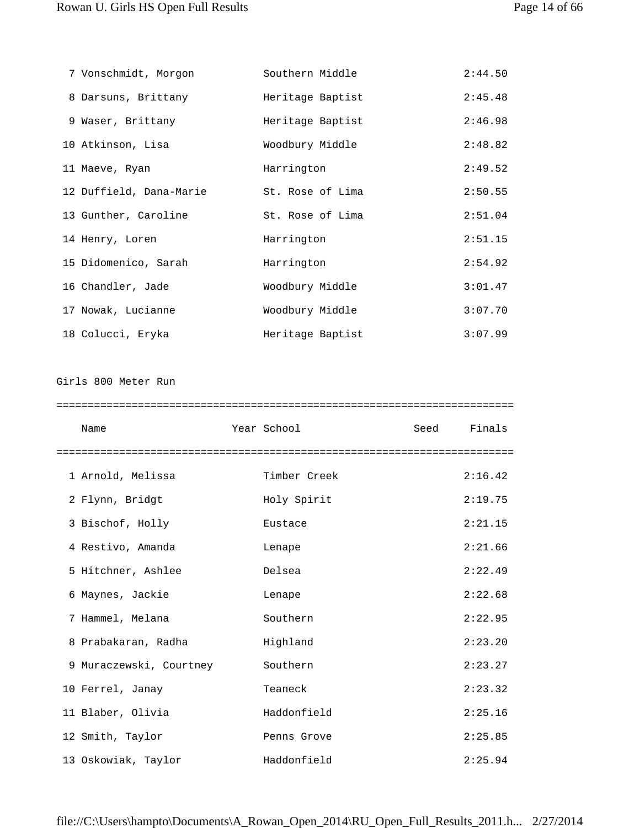| 7 Vonschmidt, Morgon    | Southern Middle  | 2:44.50 |
|-------------------------|------------------|---------|
| 8 Darsuns, Brittany     | Heritage Baptist | 2:45.48 |
| 9 Waser, Brittany       | Heritage Baptist | 2:46.98 |
| 10 Atkinson, Lisa       | Woodbury Middle  | 2:48.82 |
| 11 Maeve, Ryan          | Harrington       | 2:49.52 |
| 12 Duffield, Dana-Marie | St. Rose of Lima | 2:50.55 |
| 13 Gunther, Caroline    | St. Rose of Lima | 2:51.04 |
| 14 Henry, Loren         | Harrington       | 2:51.15 |
| 15 Didomenico, Sarah    | Harrington       | 2:54.92 |
| 16 Chandler, Jade       | Woodbury Middle  | 3:01.47 |
| 17 Nowak, Lucianne      | Woodbury Middle  | 3:07.70 |
| 18 Colucci, Eryka       | Heritage Baptist | 3:07.99 |

Girls 800 Meter Run

| Name                    | Year School  | Seed Finals |         |
|-------------------------|--------------|-------------|---------|
|                         |              |             |         |
| 1 Arnold, Melissa       | Timber Creek |             | 2:16.42 |
| 2 Flynn, Bridgt         | Holy Spirit  |             | 2:19.75 |
| 3 Bischof, Holly        | Eustace      |             | 2:21.15 |
| 4 Restivo, Amanda       | Lenape       |             | 2:21.66 |
| 5 Hitchner, Ashlee      | Delsea       |             | 2:22.49 |
| 6 Maynes, Jackie        | Lenape       |             | 2:22.68 |
| 7 Hammel, Melana        | Southern     |             | 2:22.95 |
| 8 Prabakaran, Radha     | Highland     |             | 2:23.20 |
| 9 Muraczewski, Courtney | Southern     |             | 2:23.27 |
| 10 Ferrel, Janay        | Teaneck      |             | 2:23.32 |
| 11 Blaber, Olivia       | Haddonfield  |             | 2:25.16 |
| 12 Smith, Taylor        | Penns Grove  |             | 2:25.85 |
| 13 Oskowiak, Taylor     | Haddonfield  |             | 2:25.94 |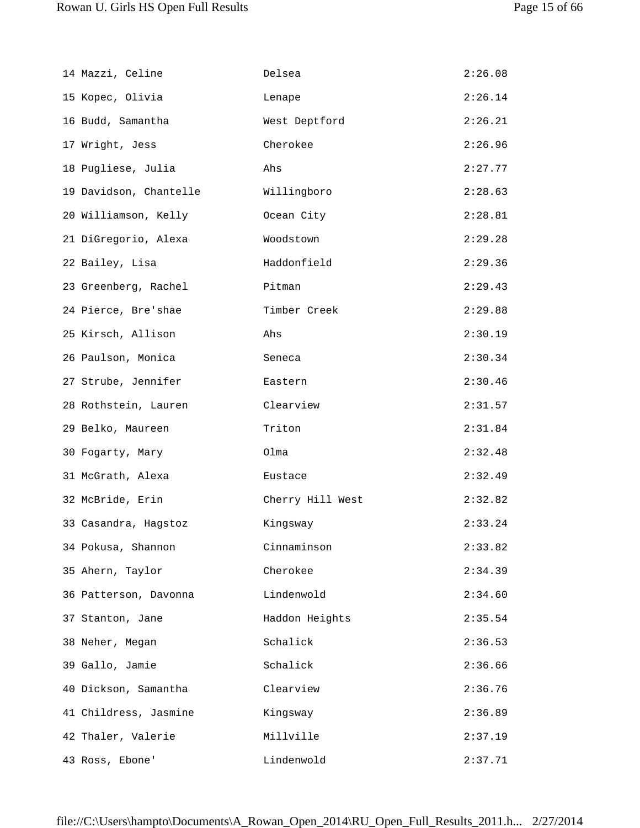| 14 Mazzi, Celine       | Delsea           | 2:26.08 |
|------------------------|------------------|---------|
| 15 Kopec, Olivia       | Lenape           | 2:26.14 |
| 16 Budd, Samantha      | West Deptford    | 2:26.21 |
| 17 Wright, Jess        | Cherokee         | 2:26.96 |
| 18 Pugliese, Julia     | Ahs              | 2:27.77 |
| 19 Davidson, Chantelle | Willingboro      | 2:28.63 |
| 20 Williamson, Kelly   | Ocean City       | 2:28.81 |
| 21 DiGregorio, Alexa   | Woodstown        | 2:29.28 |
| 22 Bailey, Lisa        | Haddonfield      | 2:29.36 |
| 23 Greenberg, Rachel   | Pitman           | 2:29.43 |
| 24 Pierce, Bre'shae    | Timber Creek     | 2:29.88 |
| 25 Kirsch, Allison     | Ahs              | 2:30.19 |
| 26 Paulson, Monica     | Seneca           | 2:30.34 |
| 27 Strube, Jennifer    | Eastern          | 2:30.46 |
| 28 Rothstein, Lauren   | Clearview        | 2:31.57 |
| 29 Belko, Maureen      | Triton           | 2:31.84 |
| 30 Fogarty, Mary       | Olma             | 2:32.48 |
| 31 McGrath, Alexa      | Eustace          | 2:32.49 |
| 32 McBride, Erin       | Cherry Hill West | 2:32.82 |
| 33 Casandra, Hagstoz   | Kingsway         | 2:33.24 |
| 34 Pokusa, Shannon     | Cinnaminson      | 2:33.82 |
| 35 Ahern, Taylor       | Cherokee         | 2:34.39 |
| 36 Patterson, Davonna  | Lindenwold       | 2:34.60 |
| 37 Stanton, Jane       | Haddon Heights   | 2:35.54 |
| 38 Neher, Megan        | Schalick         | 2:36.53 |
| 39 Gallo, Jamie        | Schalick         | 2:36.66 |
| 40 Dickson, Samantha   | Clearview        | 2:36.76 |
| 41 Childress, Jasmine  | Kingsway         | 2:36.89 |
| 42 Thaler, Valerie     | Millville        | 2:37.19 |
| 43 Ross, Ebone'        | Lindenwold       | 2:37.71 |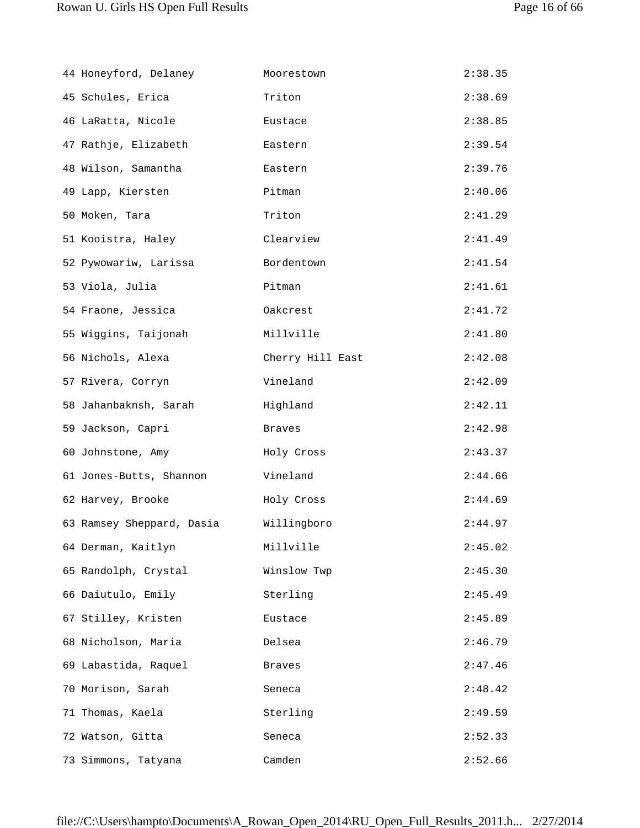| 44 Honeyford, Delaney                 | Moorestown       | 2:38.35 |
|---------------------------------------|------------------|---------|
| 45 Schules, Erica                     | Triton           | 2:38.69 |
| 46 LaRatta, Nicole                    | Eustace          | 2:38.85 |
| 47 Rathje, Elizabeth                  | Eastern          | 2:39.54 |
| 48 Wilson, Samantha                   | Eastern          | 2:39.76 |
| 49 Lapp, Kiersten                     | Pitman           | 2:40.06 |
| 50 Moken, Tara                        | Triton           | 2:41.29 |
| 51 Kooistra, Haley                    | Clearview        | 2:41.49 |
| 52 Pywowariw, Larissa                 | Bordentown       | 2:41.54 |
| 53 Viola, Julia                       | Pitman           | 2:41.61 |
| 54 Fraone, Jessica                    | Oakcrest         | 2:41.72 |
| 55 Wiggins, Taijonah                  | Millville        | 2:41.80 |
| 56 Nichols, Alexa                     | Cherry Hill East | 2:42.08 |
| 57 Rivera, Corryn                     | Vineland         | 2:42.09 |
| 58 Jahanbaknsh, Sarah                 | Highland         | 2:42.11 |
| 59 Jackson, Capri                     | Braves           | 2:42.98 |
| 60 Johnstone, Amy                     | Holy Cross       | 2:43.37 |
| 61 Jones-Butts, Shannon               | Vineland         | 2:44.66 |
| 62 Harvey, Brooke                     | Holy Cross       | 2:44.69 |
| 63 Ramsey Sheppard, Dasia Willingboro |                  | 2:44.97 |
| 64 Derman, Kaitlyn                    | Millville        | 2:45.02 |
| 65 Randolph, Crystal                  | Winslow Twp      | 2:45.30 |
| 66 Daiutulo, Emily                    | Sterling         | 2:45.49 |
| 67 Stilley, Kristen                   | Eustace          | 2:45.89 |
| 68 Nicholson, Maria                   | Delsea           | 2:46.79 |
| 69 Labastida, Raquel                  | <b>Braves</b>    | 2:47.46 |
| 70 Morison, Sarah                     | Seneca           | 2:48.42 |
| 71 Thomas, Kaela                      | Sterling         | 2:49.59 |
| 72 Watson, Gitta                      | Seneca           | 2:52.33 |
| 73 Simmons, Tatyana                   | Camden           | 2:52.66 |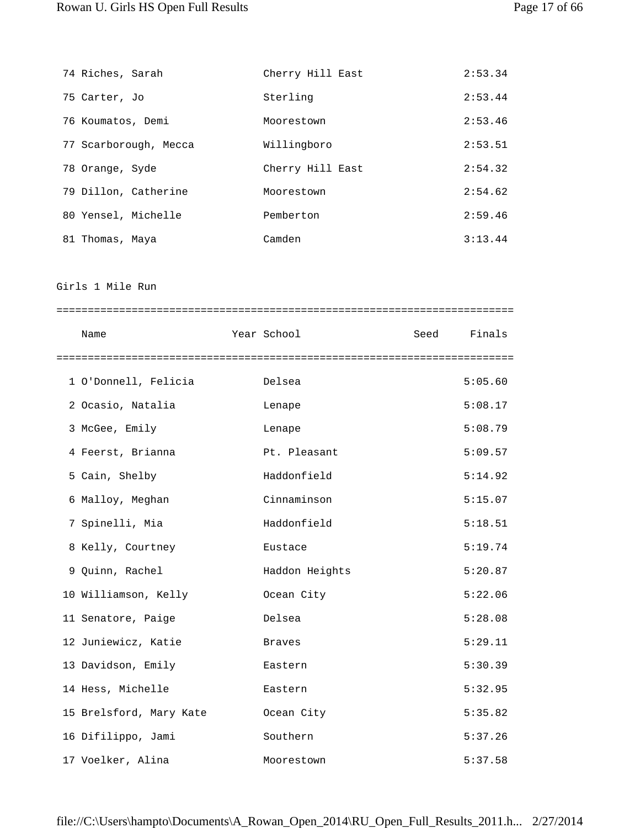| 74 Riches, Sarah      | Cherry Hill East | 2:53.34 |
|-----------------------|------------------|---------|
| 75 Carter, Jo         | Sterling         | 2:53.44 |
| 76 Koumatos, Demi     | Moorestown       | 2:53.46 |
| 77 Scarborough, Mecca | Willingboro      | 2:53.51 |
| 78 Orange, Syde       | Cherry Hill East | 2:54.32 |
| 79 Dillon, Catherine  | Moorestown       | 2:54.62 |
| 80 Yensel, Michelle   | Pemberton        | 2:59.46 |
| 81 Thomas, Maya       | Camden           | 3:13.44 |

Girls 1 Mile Run

| Name                    | Year School    | Seed Finals |         |
|-------------------------|----------------|-------------|---------|
|                         |                |             |         |
| 1 O'Donnell, Felicia    | Delsea         |             | 5:05.60 |
| 2 Ocasio, Natalia       | Lenape         |             | 5:08.17 |
| 3 McGee, Emily          | Lenape         |             | 5:08.79 |
| 4 Feerst, Brianna       | Pt. Pleasant   |             | 5:09.57 |
| 5 Cain, Shelby          | Haddonfield    |             | 5:14.92 |
| 6 Malloy, Meghan        | Cinnaminson    |             | 5:15.07 |
| 7 Spinelli, Mia         | Haddonfield    |             | 5:18.51 |
| 8 Kelly, Courtney       | Eustace        |             | 5:19.74 |
| 9 Quinn, Rachel         | Haddon Heights |             | 5:20.87 |
| 10 Williamson, Kelly    | Ocean City     |             | 5:22.06 |
| 11 Senatore, Paige      | Delsea         |             | 5:28.08 |
| 12 Juniewicz, Katie     | Braves         |             | 5:29.11 |
| 13 Davidson, Emily      | Eastern        |             | 5:30.39 |
| 14 Hess, Michelle       | Eastern        |             | 5:32.95 |
| 15 Brelsford, Mary Kate | Ocean City     |             | 5:35.82 |
| 16 Difilippo, Jami      | Southern       |             | 5:37.26 |
| 17 Voelker, Alina       | Moorestown     |             | 5:37.58 |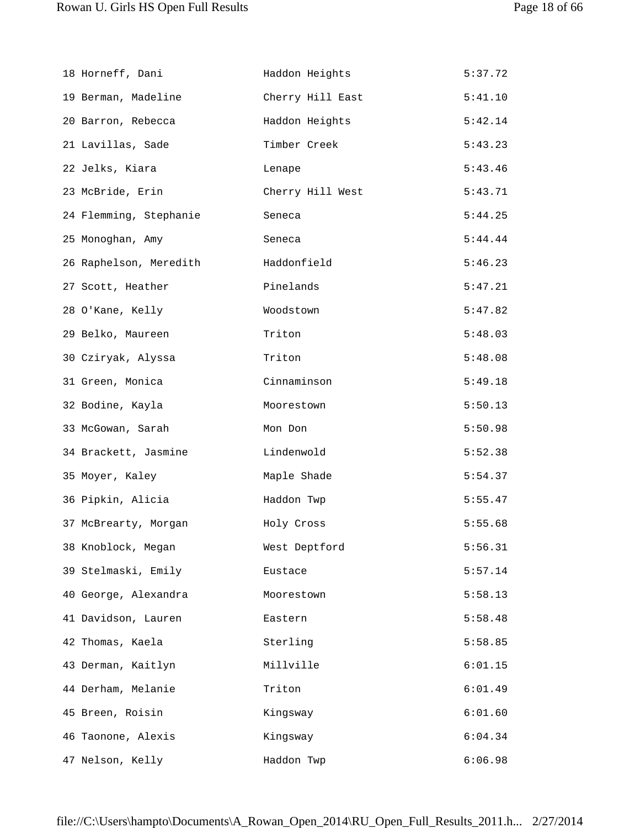| 18 Horneff, Dani       | Haddon Heights   | 5:37.72 |
|------------------------|------------------|---------|
| 19 Berman, Madeline    | Cherry Hill East | 5:41.10 |
| 20 Barron, Rebecca     | Haddon Heights   | 5:42.14 |
| 21 Lavillas, Sade      | Timber Creek     | 5:43.23 |
| 22 Jelks, Kiara        | Lenape           | 5:43.46 |
| 23 McBride, Erin       | Cherry Hill West | 5:43.71 |
| 24 Flemming, Stephanie | Seneca           | 5:44.25 |
| 25 Monoghan, Amy       | Seneca           | 5:44.44 |
| 26 Raphelson, Meredith | Haddonfield      | 5:46.23 |
| 27 Scott, Heather      | Pinelands        | 5:47.21 |
| 28 O'Kane, Kelly       | Woodstown        | 5:47.82 |
| 29 Belko, Maureen      | Triton           | 5:48.03 |
| 30 Cziryak, Alyssa     | Triton           | 5:48.08 |
| 31 Green, Monica       | Cinnaminson      | 5:49.18 |
| 32 Bodine, Kayla       | Moorestown       | 5:50.13 |
| 33 McGowan, Sarah      | Mon Don          | 5:50.98 |
| 34 Brackett, Jasmine   | Lindenwold       | 5:52.38 |
| 35 Moyer, Kaley        | Maple Shade      | 5:54.37 |
| 36 Pipkin, Alicia      | Haddon Twp       | 5:55.47 |
| 37 McBrearty, Morgan   | Holy Cross       | 5:55.68 |
| 38 Knoblock, Megan     | West Deptford    | 5:56.31 |
| 39 Stelmaski, Emily    | Eustace          | 5:57.14 |
| 40 George, Alexandra   | Moorestown       | 5:58.13 |
| 41 Davidson, Lauren    | Eastern          | 5:58.48 |
| 42 Thomas, Kaela       | Sterling         | 5:58.85 |
| 43 Derman, Kaitlyn     | Millville        | 6:01.15 |
| 44 Derham, Melanie     | Triton           | 6:01.49 |
| 45 Breen, Roisin       | Kingsway         | 6:01.60 |
| 46 Taonone, Alexis     | Kingsway         | 6:04.34 |
| 47 Nelson, Kelly       | Haddon Twp       | 6:06.98 |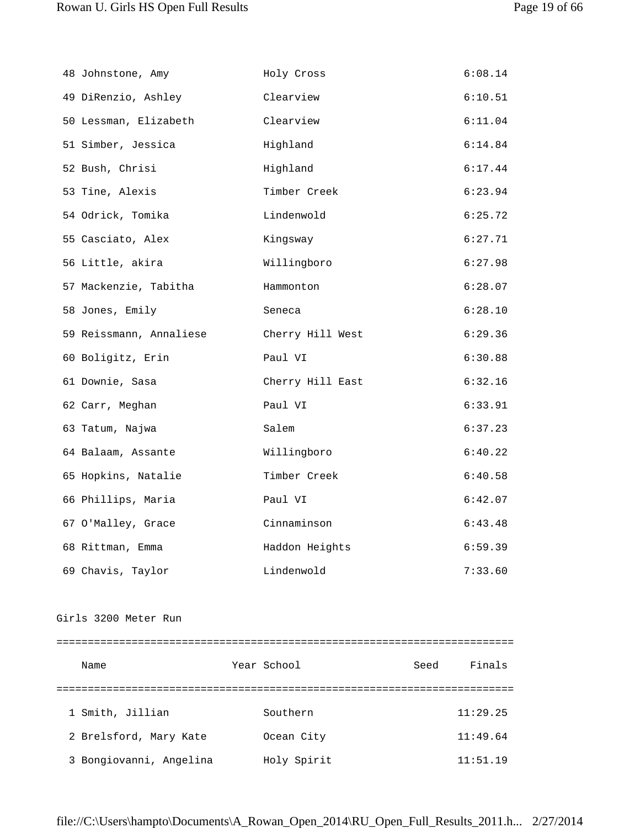| 48 Johnstone, Amy       | Holy Cross       | 6:08.14 |
|-------------------------|------------------|---------|
| 49 DiRenzio, Ashley     | Clearview        | 6:10.51 |
| 50 Lessman, Elizabeth   | Clearview        | 6:11.04 |
| 51 Simber, Jessica      | Highland         | 6:14.84 |
| 52 Bush, Chrisi         | Highland         | 6:17.44 |
| 53 Tine, Alexis         | Timber Creek     | 6:23.94 |
| 54 Odrick, Tomika       | Lindenwold       | 6:25.72 |
| 55 Casciato, Alex       | Kingsway         | 6:27.71 |
| 56 Little, akira        | Willingboro      | 6:27.98 |
| 57 Mackenzie, Tabitha   | Hammonton        | 6:28.07 |
| 58 Jones, Emily         | Seneca           | 6:28.10 |
| 59 Reissmann, Annaliese | Cherry Hill West | 6:29.36 |
| 60 Boligitz, Erin       | Paul VI          | 6:30.88 |
| 61 Downie, Sasa         | Cherry Hill East | 6:32.16 |
| 62 Carr, Meghan         | Paul VI          | 6:33.91 |
| 63 Tatum, Najwa         | Salem            | 6:37.23 |
| 64 Balaam, Assante      | Willingboro      | 6:40.22 |
| 65 Hopkins, Natalie     | Timber Creek     | 6:40.58 |
| 66 Phillips, Maria      | Paul VI          | 6:42.07 |
| 67 O'Malley, Grace      | Cinnaminson      | 6:43.48 |
| 68 Rittman, Emma        | Haddon Heights   | 6:59.39 |
| 69 Chavis, Taylor       | Lindenwold       | 7:33.60 |

Girls 3200 Meter Run

| Name                    |  | Year School | Seed | Finals   |  |
|-------------------------|--|-------------|------|----------|--|
|                         |  |             |      |          |  |
| 1 Smith, Jillian        |  | Southern    |      | 11:29.25 |  |
| 2 Brelsford, Mary Kate  |  | Ocean City  |      | 11:49.64 |  |
| 3 Bongiovanni, Angelina |  | Holy Spirit |      | 11:51.19 |  |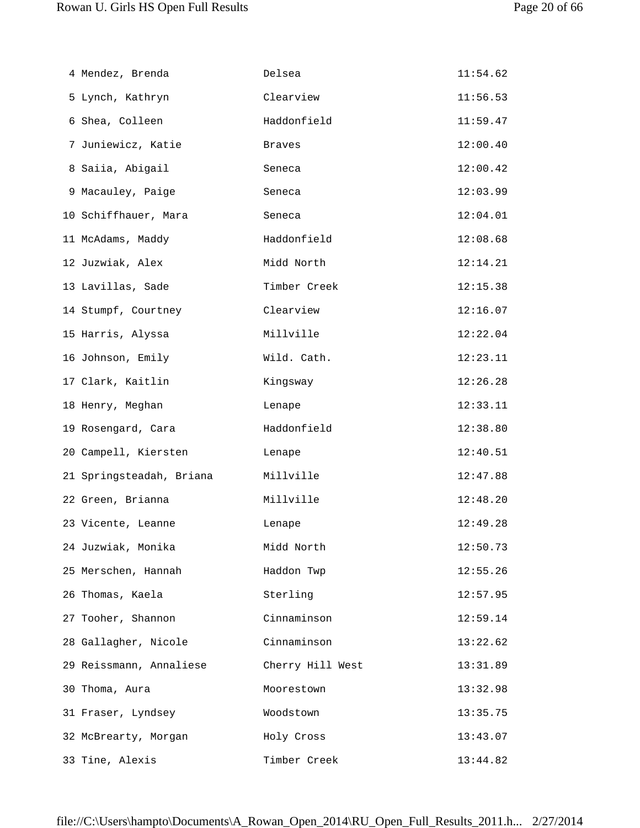| 4 Mendez, Brenda         | Delsea           | 11:54.62 |
|--------------------------|------------------|----------|
| 5 Lynch, Kathryn         | Clearview        | 11:56.53 |
| 6 Shea, Colleen          | Haddonfield      | 11:59.47 |
| 7 Juniewicz, Katie       | <b>Braves</b>    | 12:00.40 |
| 8 Saiia, Abigail         | Seneca           | 12:00.42 |
| 9 Macauley, Paige        | Seneca           | 12:03.99 |
| 10 Schiffhauer, Mara     | Seneca           | 12:04.01 |
| 11 McAdams, Maddy        | Haddonfield      | 12:08.68 |
| 12 Juzwiak, Alex         | Midd North       | 12:14.21 |
| 13 Lavillas, Sade        | Timber Creek     | 12:15.38 |
| 14 Stumpf, Courtney      | Clearview        | 12:16.07 |
| 15 Harris, Alyssa        | Millville        | 12:22.04 |
| 16 Johnson, Emily        | Wild. Cath.      | 12:23.11 |
| 17 Clark, Kaitlin        | Kingsway         | 12:26.28 |
| 18 Henry, Meghan         | Lenape           | 12:33.11 |
| 19 Rosengard, Cara       | Haddonfield      | 12:38.80 |
| 20 Campell, Kiersten     | Lenape           | 12:40.51 |
| 21 Springsteadah, Briana | Millville        | 12:47.88 |
| 22 Green, Brianna        | Millville        | 12:48.20 |
| 23 Vicente, Leanne       | Lenape           | 12:49.28 |
| 24 Juzwiak, Monika       | Midd North       | 12:50.73 |
| 25 Merschen, Hannah      | Haddon Twp       | 12:55.26 |
| 26 Thomas, Kaela         | Sterling         | 12:57.95 |
| 27 Tooher, Shannon       | Cinnaminson      | 12:59.14 |
| 28 Gallagher, Nicole     | Cinnaminson      | 13:22.62 |
| 29 Reissmann, Annaliese  | Cherry Hill West | 13:31.89 |
| 30 Thoma, Aura           | Moorestown       | 13:32.98 |
| 31 Fraser, Lyndsey       | Woodstown        | 13:35.75 |
| 32 McBrearty, Morgan     | Holy Cross       | 13:43.07 |
| 33 Tine, Alexis          | Timber Creek     | 13:44.82 |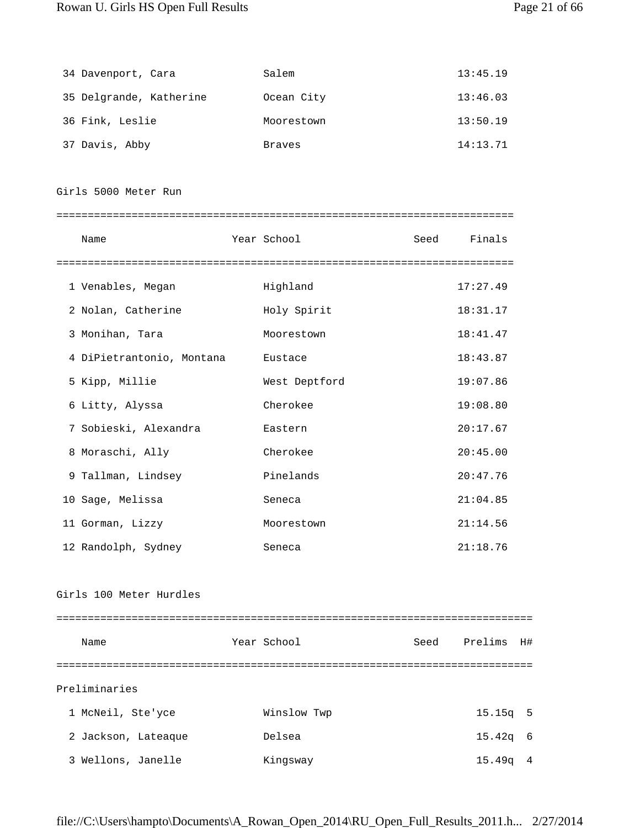| 34 Davenport, Cara        | Salem         |      | 13:45.19 |
|---------------------------|---------------|------|----------|
| 35 Delgrande, Katherine   | Ocean City    |      | 13:46.03 |
| 36 Fink, Leslie           | Moorestown    |      | 13:50.19 |
| 37 Davis, Abby            | <b>Braves</b> |      | 14:13.71 |
| Girls 5000 Meter Run      |               |      |          |
| Name                      | Year School   | Seed | Finals   |
| 1 Venables, Megan         | Highland      |      | 17:27.49 |
| 2 Nolan, Catherine        | Holy Spirit   |      | 18:31.17 |
| 3 Monihan, Tara           | Moorestown    |      | 18:41.47 |
| 4 DiPietrantonio, Montana | Eustace       |      | 18:43.87 |
| 5 Kipp, Millie            | West Deptford |      | 19:07.86 |
| 6 Litty, Alyssa           | Cherokee      |      | 19:08.80 |
| 7 Sobieski, Alexandra     | Eastern       |      | 20:17.67 |
| 8 Moraschi, Ally          | Cherokee      |      | 20:45.00 |
| 9 Tallman, Lindsey        | Pinelands     |      | 20:47.76 |
| 10 Sage, Melissa          | Seneca        |      | 21:04.85 |
| 11 Gorman, Lizzy          | Moorestown    |      | 21:14.56 |
| 12 Randolph, Sydney       | Seneca        |      | 21:18.76 |
| Girls 100 Meter Hurdles   |               |      |          |

Name The Year School Seed Prelims H# ============================================================================ Preliminaries 1 McNeil, Ste'yce Winslow Twp 15.15q 5 2 Jackson, Lateaque Delsea 15.42q 6 3 Wellons, Janelle Kingsway 15.49q 4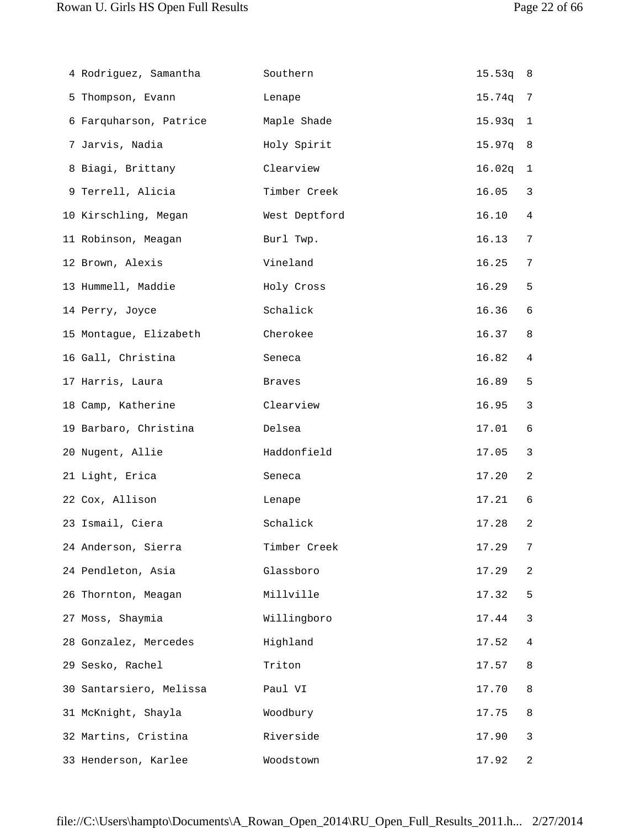| 4 Rodriguez, Samantha   | Southern      | 15.53q 8 |                |
|-------------------------|---------------|----------|----------------|
| 5 Thompson, Evann       | Lenape        | 15.74q 7 |                |
| 6 Farquharson, Patrice  | Maple Shade   | 15.93q   | $\mathbf{1}$   |
| 7 Jarvis, Nadia         | Holy Spirit   | 15.97q   | 8              |
| 8 Biagi, Brittany       | Clearview     | 16.02q   | $\mathbf{1}$   |
| 9 Terrell, Alicia       | Timber Creek  | 16.05    | 3              |
| 10 Kirschling, Megan    | West Deptford | 16.10    | 4              |
| 11 Robinson, Meagan     | Burl Twp.     | 16.13    | 7              |
| 12 Brown, Alexis        | Vineland      | 16.25    | 7              |
| 13 Hummell, Maddie      | Holy Cross    | 16.29    | 5              |
| 14 Perry, Joyce         | Schalick      | 16.36    | 6              |
| 15 Montague, Elizabeth  | Cherokee      | 16.37    | 8              |
| 16 Gall, Christina      | Seneca        | 16.82    | 4              |
| 17 Harris, Laura        | <b>Braves</b> | 16.89    | 5              |
| 18 Camp, Katherine      | Clearview     | 16.95    | $\mathfrak{Z}$ |
| 19 Barbaro, Christina   | Delsea        | 17.01    | 6              |
| 20 Nugent, Allie        | Haddonfield   | 17.05    | 3              |
| 21 Light, Erica         | Seneca        | 17.20    | 2              |
| 22 Cox, Allison         | Lenape        | 17.21    | 6              |
| 23 Ismail, Ciera        | Schalick      | 17.28    | 2              |
| 24 Anderson, Sierra     | Timber Creek  | 17.29    | 7              |
| 24 Pendleton, Asia      | Glassboro     | 17.29    | 2              |
| 26 Thornton, Meagan     | Millville     | 17.32    | 5              |
| 27 Moss, Shaymia        | Willingboro   | 17.44    | $\mathbf{3}$   |
| 28 Gonzalez, Mercedes   | Highland      | 17.52    | 4              |
| 29 Sesko, Rachel        | Triton        | 17.57    | 8              |
| 30 Santarsiero, Melissa | Paul VI       | 17.70    | 8              |
| 31 McKnight, Shayla     | Woodbury      | 17.75    | 8              |
| 32 Martins, Cristina    | Riverside     | 17.90    | 3              |
| 33 Henderson, Karlee    | Woodstown     | 17.92    | 2              |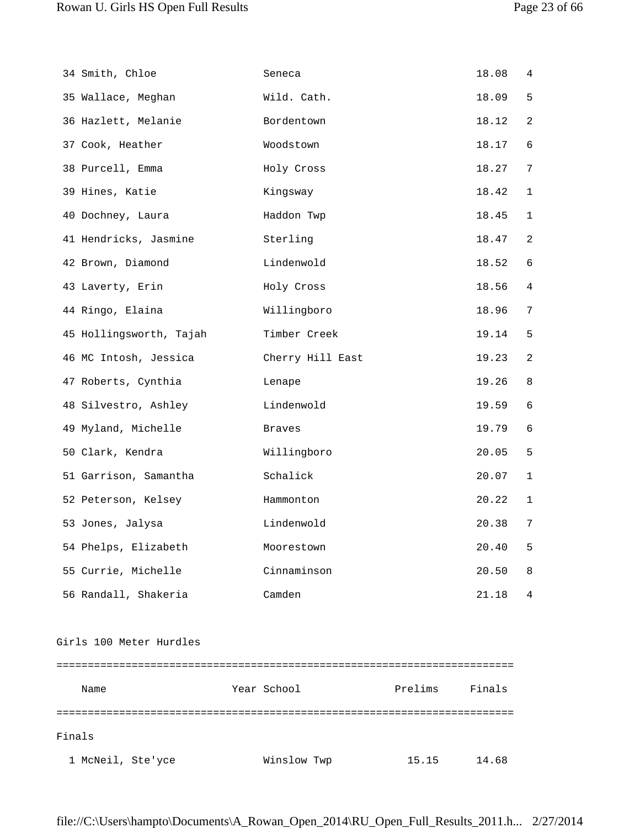| 34 Smith, Chloe         | Seneca           | 18.08 | 4           |
|-------------------------|------------------|-------|-------------|
| 35 Wallace, Meghan      | Wild. Cath.      | 18.09 | 5           |
| 36 Hazlett, Melanie     | Bordentown       | 18.12 | 2           |
| 37 Cook, Heather        | Woodstown        | 18.17 | 6           |
| 38 Purcell, Emma        | Holy Cross       | 18.27 | 7           |
| 39 Hines, Katie         | Kingsway         | 18.42 | 1           |
| 40 Dochney, Laura       | Haddon Twp       | 18.45 | $\mathbf 1$ |
| 41 Hendricks, Jasmine   | Sterling         | 18.47 | 2           |
| 42 Brown, Diamond       | Lindenwold       | 18.52 | 6           |
| 43 Laverty, Erin        | Holy Cross       | 18.56 | 4           |
| 44 Ringo, Elaina        | Willingboro      | 18.96 | 7           |
| 45 Hollingsworth, Tajah | Timber Creek     | 19.14 | 5           |
| 46 MC Intosh, Jessica   | Cherry Hill East | 19.23 | 2           |
| 47 Roberts, Cynthia     | Lenape           | 19.26 | 8           |
| 48 Silvestro, Ashley    | Lindenwold       | 19.59 | 6           |
| 49 Myland, Michelle     | Braves           | 19.79 | 6           |
| 50 Clark, Kendra        | Willingboro      | 20.05 | 5           |
| 51 Garrison, Samantha   | Schalick         | 20.07 | $\mathbf 1$ |
| 52 Peterson, Kelsey     | Hammonton        | 20.22 | $\mathbf 1$ |
| 53 Jones, Jalysa        | Lindenwold       | 20.38 | 7           |
| 54 Phelps, Elizabeth    | Moorestown       | 20.40 | 5           |
| 55 Currie, Michelle     | Cinnaminson      | 20.50 | 8           |
| 56 Randall, Shakeria    | Camden           | 21.18 | 4           |

Girls 100 Meter Hurdles

| Name              |  | Year School | Prelims | Finals |  |  |
|-------------------|--|-------------|---------|--------|--|--|
|                   |  |             |         |        |  |  |
| Finals            |  |             |         |        |  |  |
| 1 McNeil, Ste'yce |  | Winslow Twp | 15.15   | 14.68  |  |  |

file://C:\Users\hampto\Documents\A\_Rowan\_Open\_2014\RU\_Open\_Full\_Results\_2011.h... 2/27/2014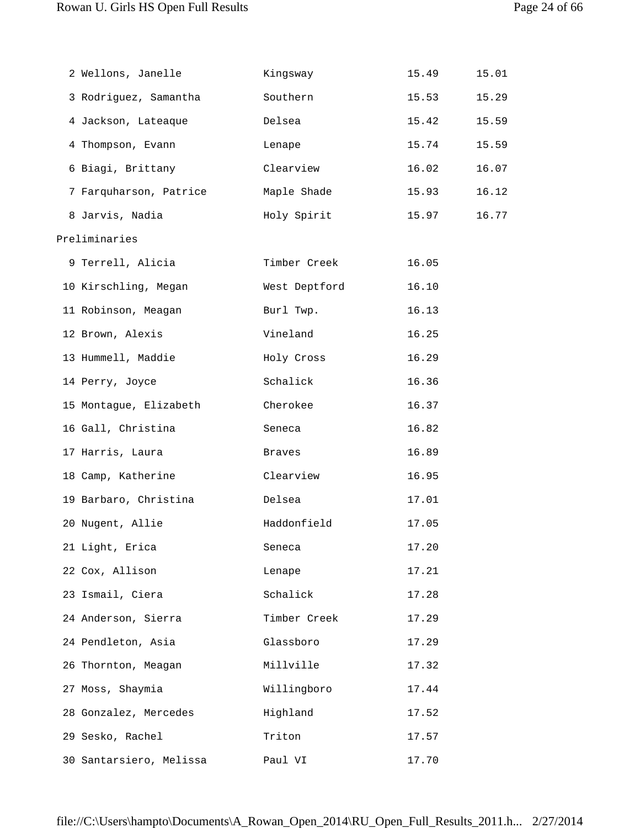| 2 Wellons, Janelle      | Kingsway      | 15.49 | 15.01 |
|-------------------------|---------------|-------|-------|
| 3 Rodriguez, Samantha   | Southern      | 15.53 | 15.29 |
| 4 Jackson, Lateaque     | Delsea        | 15.42 | 15.59 |
| 4 Thompson, Evann       | Lenape        | 15.74 | 15.59 |
| 6 Biagi, Brittany       | Clearview     | 16.02 | 16.07 |
| 7 Farquharson, Patrice  | Maple Shade   | 15.93 | 16.12 |
| 8 Jarvis, Nadia         | Holy Spirit   | 15.97 | 16.77 |
| Preliminaries           |               |       |       |
| 9 Terrell, Alicia       | Timber Creek  | 16.05 |       |
| 10 Kirschling, Megan    | West Deptford | 16.10 |       |
| 11 Robinson, Meagan     | Burl Twp.     | 16.13 |       |
| 12 Brown, Alexis        | Vineland      | 16.25 |       |
| 13 Hummell, Maddie      | Holy Cross    | 16.29 |       |
| 14 Perry, Joyce         | Schalick      | 16.36 |       |
| 15 Montague, Elizabeth  | Cherokee      | 16.37 |       |
| 16 Gall, Christina      | Seneca        | 16.82 |       |
| 17 Harris, Laura        | Braves        | 16.89 |       |
| 18 Camp, Katherine      | Clearview     | 16.95 |       |
| 19 Barbaro, Christina   | Delsea        | 17.01 |       |
| 20 Nugent, Allie        | Haddonfield   | 17.05 |       |
| 21 Light, Erica         | Seneca        | 17.20 |       |
| 22 Cox, Allison         | Lenape        | 17.21 |       |
| 23 Ismail, Ciera        | Schalick      | 17.28 |       |
| 24 Anderson, Sierra     | Timber Creek  | 17.29 |       |
| 24 Pendleton, Asia      | Glassboro     | 17.29 |       |
| 26 Thornton, Meagan     | Millville     | 17.32 |       |
| 27 Moss, Shaymia        | Willingboro   | 17.44 |       |
| 28 Gonzalez, Mercedes   | Highland      | 17.52 |       |
| 29 Sesko, Rachel        | Triton        | 17.57 |       |
| 30 Santarsiero, Melissa | Paul VI       | 17.70 |       |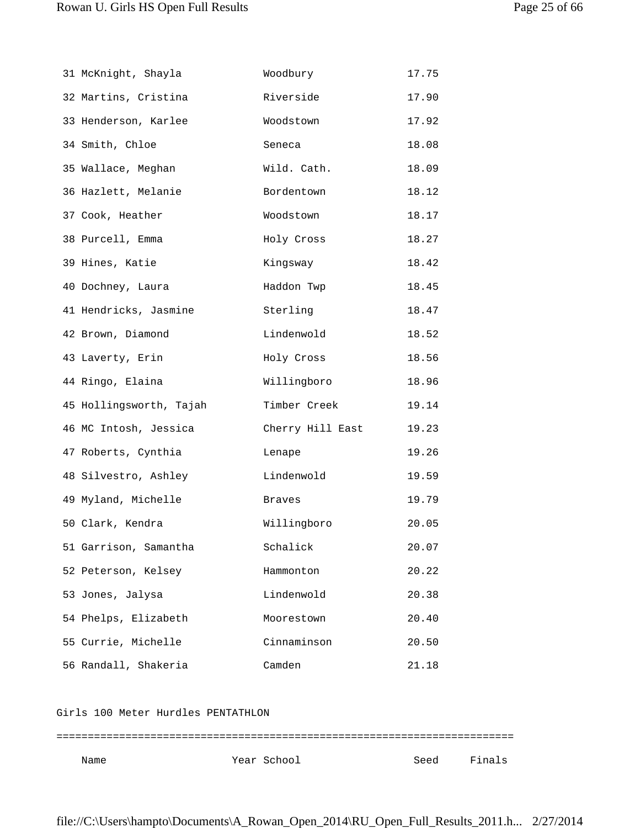| 31 McKnight, Shayla     | Woodbury         | 17.75 |
|-------------------------|------------------|-------|
| 32 Martins, Cristina    | Riverside        | 17.90 |
| 33 Henderson, Karlee    | Woodstown        | 17.92 |
| 34 Smith, Chloe         | Seneca           | 18.08 |
| 35 Wallace, Meghan      | Wild. Cath.      | 18.09 |
| 36 Hazlett, Melanie     | Bordentown       | 18.12 |
| 37 Cook, Heather        | Woodstown        | 18.17 |
| 38 Purcell, Emma        | Holy Cross       | 18.27 |
| 39 Hines, Katie         | Kingsway         | 18.42 |
| 40 Dochney, Laura       | Haddon Twp       | 18.45 |
| 41 Hendricks, Jasmine   | Sterling         | 18.47 |
| 42 Brown, Diamond       | Lindenwold       | 18.52 |
| 43 Laverty, Erin        | Holy Cross       | 18.56 |
| 44 Ringo, Elaina        | Willingboro      | 18.96 |
| 45 Hollingsworth, Tajah | Timber Creek     | 19.14 |
| 46 MC Intosh, Jessica   | Cherry Hill East | 19.23 |
| 47 Roberts, Cynthia     | Lenape           | 19.26 |
| 48 Silvestro, Ashley    | Lindenwold       | 19.59 |
| 49 Myland, Michelle     | Braves           | 19.79 |
| 50 Clark, Kendra        | Willingboro      | 20.05 |
| 51 Garrison, Samantha   | Schalick         | 20.07 |
| 52 Peterson, Kelsey     | Hammonton        | 20.22 |
| 53 Jones, Jalysa        | Lindenwold       | 20.38 |
| 54 Phelps, Elizabeth    | Moorestown       | 20.40 |
| 55 Currie, Michelle     | Cinnaminson      | 20.50 |
|                         |                  |       |
| 56 Randall, Shakeria    | Camden           | 21.18 |

## Girls 100 Meter Hurdles PENTATHLON

=========================================================================

file://C:\Users\hampto\Documents\A\_Rowan\_Open\_2014\RU\_Open\_Full\_Results\_2011.h... 2/27/2014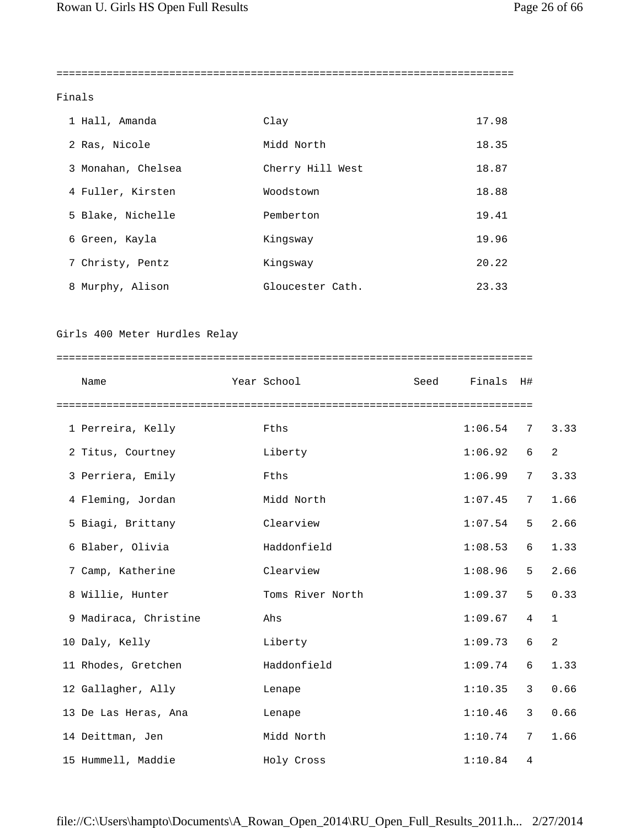=========================================================================

#### Finals

| 1 Hall, Amanda     | Clay             | 17.98 |
|--------------------|------------------|-------|
| 2 Ras, Nicole      | Midd North       | 18.35 |
| 3 Monahan, Chelsea | Cherry Hill West | 18.87 |
| 4 Fuller, Kirsten  | Woodstown        | 18.88 |
| 5 Blake, Nichelle  | Pemberton        | 19.41 |
| 6 Green, Kayla     | Kingsway         | 19.96 |
| 7 Christy, Pentz   | Kingsway         | 20.22 |
| 8 Murphy, Alison   | Gloucester Cath. | 23.33 |

#### Girls 400 Meter Hurdles Relay

|  | Name                  |  | Year School      |  | Seed Finals H# |                 |              |
|--|-----------------------|--|------------------|--|----------------|-----------------|--------------|
|  |                       |  |                  |  |                |                 |              |
|  | 1 Perreira, Kelly     |  | Fths             |  | 1:06.54        |                 | 7, 3.33      |
|  | 2 Titus, Courtney     |  | Liberty          |  | $1:06.92$ 6    |                 | 2            |
|  | 3 Perriera, Emily     |  | Fths             |  | 1:06.99        | $7\phantom{.0}$ | 3.33         |
|  | 4 Fleming, Jordan     |  | Midd North       |  | 1:07.45        | 7               | 1.66         |
|  | 5 Biagi, Brittany     |  | Clearview        |  | 1:07.54        | 5               | 2.66         |
|  | 6 Blaber, Olivia      |  | Haddonfield      |  | 1:08.53        | 6               | 1.33         |
|  | 7 Camp, Katherine     |  | Clearview        |  | 1:08.96        | $5^{\circ}$     | 2.66         |
|  | 8 Willie, Hunter      |  | Toms River North |  | 1:09.37        | 5               | 0.33         |
|  | 9 Madiraca, Christine |  | Ahs              |  | 1:09.67        | $\overline{4}$  | $\mathbf{1}$ |
|  | 10 Daly, Kelly        |  | Liberty          |  | 1:09.73        | 6               | 2            |
|  | 11 Rhodes, Gretchen   |  | Haddonfield      |  | 1:09.74        | 6               | 1.33         |
|  | 12 Gallagher, Ally    |  | Lenape           |  | 1:10.35        | $\mathbf{3}$    | 0.66         |
|  | 13 De Las Heras, Ana  |  | Lenape           |  | 1:10.46        | $\mathbf{3}$    | 0.66         |
|  | 14 Deittman, Jen      |  | Midd North       |  | 1:10.74        | 7               | 1.66         |
|  | 15 Hummell, Maddie    |  | Holy Cross       |  | 1:10.84        | 4               |              |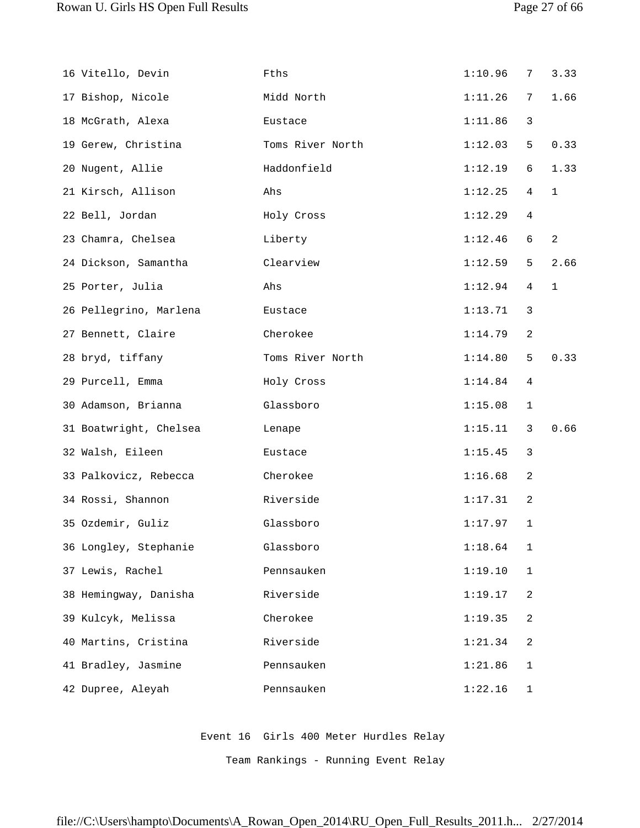| 16 Vitello, Devin      | Fths             | 1:10.96 | 7              | 3.33         |
|------------------------|------------------|---------|----------------|--------------|
| 17 Bishop, Nicole      | Midd North       | 1:11.26 | 7              | 1.66         |
| 18 McGrath, Alexa      | Eustace          | 1:11.86 | 3              |              |
| 19 Gerew, Christina    | Toms River North | 1:12.03 | 5              | 0.33         |
| 20 Nugent, Allie       | Haddonfield      | 1:12.19 | 6              | 1.33         |
| 21 Kirsch, Allison     | Ahs              | 1:12.25 | $\overline{4}$ | $\mathbf{1}$ |
| 22 Bell, Jordan        | Holy Cross       | 1:12.29 | $\overline{4}$ |              |
| 23 Chamra, Chelsea     | Liberty          | 1:12.46 | 6              | 2            |
| 24 Dickson, Samantha   | Clearview        | 1:12.59 | 5              | 2.66         |
| 25 Porter, Julia       | Ahs              | 1:12.94 | 4              | $\mathbf{1}$ |
| 26 Pellegrino, Marlena | Eustace          | 1:13.71 | 3              |              |
| 27 Bennett, Claire     | Cherokee         | 1:14.79 | $\overline{a}$ |              |
| 28 bryd, tiffany       | Toms River North | 1:14.80 | 5              | 0.33         |
| 29 Purcell, Emma       | Holy Cross       | 1:14.84 | 4              |              |
| 30 Adamson, Brianna    | Glassboro        | 1:15.08 | $\mathbf 1$    |              |
| 31 Boatwright, Chelsea | Lenape           | 1:15.11 | 3              | 0.66         |
| 32 Walsh, Eileen       | Eustace          | 1:15.45 | $\mathbf{3}$   |              |
| 33 Palkovicz, Rebecca  | Cherokee         | 1:16.68 | $\overline{c}$ |              |
| 34 Rossi, Shannon      | Riverside        | 1:17.31 | $\overline{a}$ |              |
| 35 Ozdemir, Guliz      | Glassboro        | 1:17.97 | $\mathbf{1}$   |              |
| 36 Longley, Stephanie  | Glassboro        | 1:18.64 | 1              |              |
| 37 Lewis, Rachel       | Pennsauken       | 1:19.10 | $\mathbf{1}$   |              |
| 38 Hemingway, Danisha  | Riverside        | 1:19.17 | 2              |              |
| 39 Kulcyk, Melissa     | Cherokee         | 1:19.35 | 2              |              |
| 40 Martins, Cristina   | Riverside        | 1:21.34 | 2              |              |
| 41 Bradley, Jasmine    | Pennsauken       | 1:21.86 | 1              |              |
| 42 Dupree, Aleyah      | Pennsauken       | 1:22.16 | $\mathbf{1}$   |              |

Event 16 Girls 400 Meter Hurdles Relay

Team Rankings - Running Event Relay

file://C:\Users\hampto\Documents\A\_Rowan\_Open\_2014\RU\_Open\_Full\_Results\_2011.h... 2/27/2014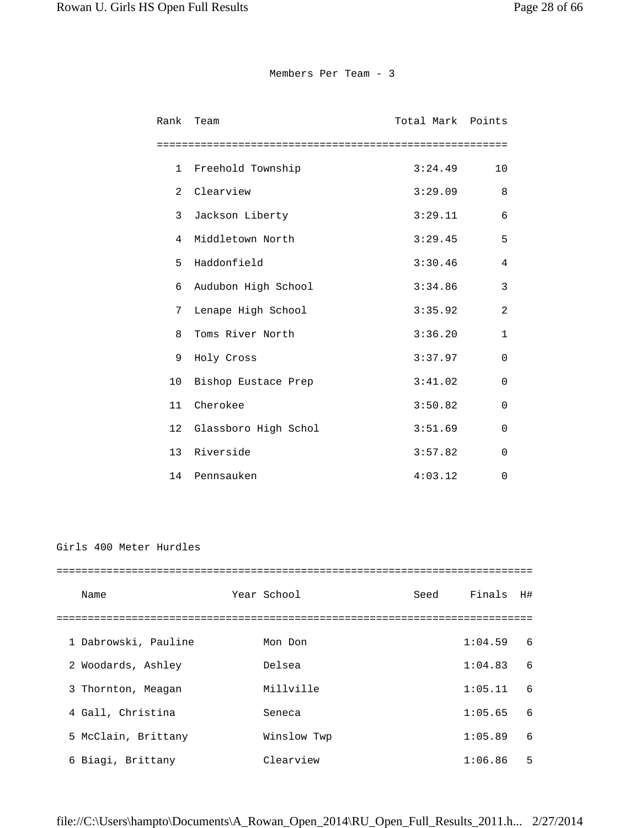#### Members Per Team - 3

| Rank            | Team                 | Total Mark Points |                |
|-----------------|----------------------|-------------------|----------------|
|                 |                      |                   |                |
| $\mathbf{1}$    | Freehold Township    | 3:24.49           | 10             |
| 2               | Clearview            | 3:29.09           | 8              |
| 3               | Jackson Liberty      | 3:29.11           | 6              |
| 4               | Middletown North     | 3:29.45           | 5              |
| 5               | Haddonfield          | 3:30.46           | $\overline{4}$ |
| 6               | Audubon High School  | 3:34.86           | $\mathbf{3}$   |
| 7               | Lenape High School   | 3:35.92           | 2              |
| 8               | Toms River North     | 3:36.20           | $\mathbf{1}$   |
| 9               | Holy Cross           | 3:37.97           | $\mathbf 0$    |
| 10 <sup>°</sup> | Bishop Eustace Prep  | 3:41.02           | $\mathbf 0$    |
| 11              | Cherokee             | 3:50.82           | $\mathbf 0$    |
| 12 <sup>°</sup> | Glassboro High Schol | 3:51.69           | $\mathsf 0$    |
| 13              | Riverside            | 3:57.82           | $\mathbf 0$    |
| 14              | Pennsauken           | 4:03.12           | 0              |

## Girls 400 Meter Hurdles

| Name                 | Year School | Seed | Finals  | H# |
|----------------------|-------------|------|---------|----|
|                      |             |      |         |    |
| 1 Dabrowski, Pauline | Mon Don     |      | 1:04.59 | 6  |
| 2 Woodards, Ashley   | Delsea      |      | 1:04.83 | 6  |
| 3 Thornton, Meagan   | Millville   |      | 1:05.11 | 6  |
| 4 Gall, Christina    | Seneca      |      | 1:05.65 | 6  |
| 5 McClain, Brittany  | Winslow Twp |      | 1:05.89 | 6  |
| 6 Biagi, Brittany    | Clearview   |      | 1:06.86 | 5  |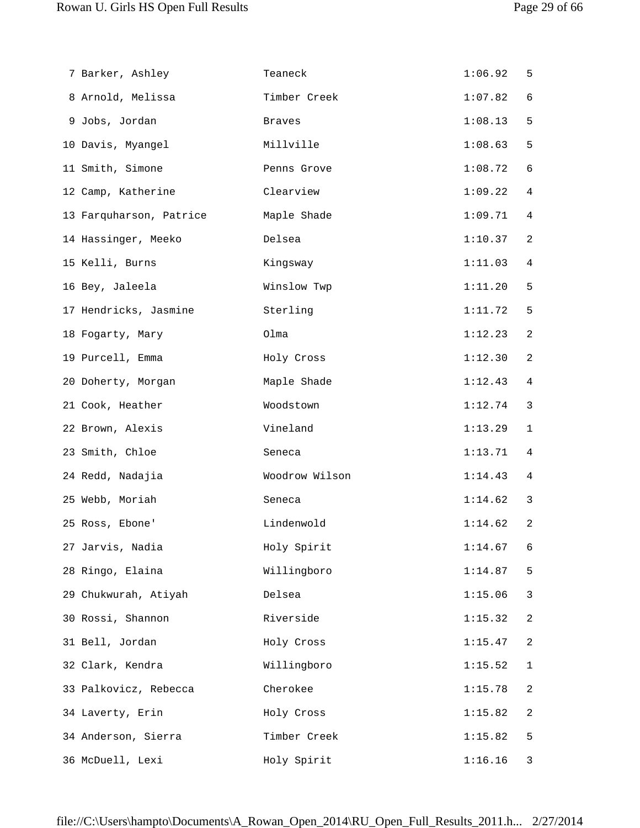| 7 Barker, Ashley        | Teaneck        | 1:06.92 | 5              |
|-------------------------|----------------|---------|----------------|
| 8 Arnold, Melissa       | Timber Creek   | 1:07.82 | 6              |
| 9 Jobs, Jordan          | <b>Braves</b>  | 1:08.13 | 5              |
| 10 Davis, Myangel       | Millville      | 1:08.63 | 5              |
| 11 Smith, Simone        | Penns Grove    | 1:08.72 | 6              |
| 12 Camp, Katherine      | Clearview      | 1:09.22 | $\overline{4}$ |
| 13 Farquharson, Patrice | Maple Shade    | 1:09.71 | $\overline{4}$ |
| 14 Hassinger, Meeko     | Delsea         | 1:10.37 | 2              |
| 15 Kelli, Burns         | Kingsway       | 1:11.03 | $\overline{4}$ |
| 16 Bey, Jaleela         | Winslow Twp    | 1:11.20 | 5              |
| 17 Hendricks, Jasmine   | Sterling       | 1:11.72 | 5              |
| 18 Fogarty, Mary        | Olma           | 1:12.23 | 2              |
| 19 Purcell, Emma        | Holy Cross     | 1:12.30 | $\sqrt{2}$     |
| 20 Doherty, Morgan      | Maple Shade    | 1:12.43 | 4              |
| 21 Cook, Heather        | Woodstown      | 1:12.74 | 3              |
| 22 Brown, Alexis        | Vineland       | 1:13.29 | $\mathbf 1$    |
| 23 Smith, Chloe         | Seneca         | 1:13.71 | 4              |
| 24 Redd, Nadajia        | Woodrow Wilson | 1:14.43 | 4              |
| 25 Webb, Moriah         | Seneca         | 1:14.62 | 3              |
| 25 Ross, Ebone'         | Lindenwold     | 1:14.62 | 2              |
| 27 Jarvis, Nadia        | Holy Spirit    | 1:14.67 | 6              |
| 28 Ringo, Elaina        | Willingboro    | 1:14.87 | 5              |
| 29 Chukwurah, Atiyah    | Delsea         | 1:15.06 | 3              |
| 30 Rossi, Shannon       | Riverside      | 1:15.32 | $\sqrt{2}$     |
| 31 Bell, Jordan         | Holy Cross     | 1:15.47 | $\sqrt{2}$     |
| 32 Clark, Kendra        | Willingboro    | 1:15.52 | 1              |
| 33 Palkovicz, Rebecca   | Cherokee       | 1:15.78 | $\sqrt{2}$     |
| 34 Laverty, Erin        | Holy Cross     | 1:15.82 | $\sqrt{2}$     |
| 34 Anderson, Sierra     | Timber Creek   | 1:15.82 | 5              |
| 36 McDuell, Lexi        | Holy Spirit    | 1:16.16 | 3              |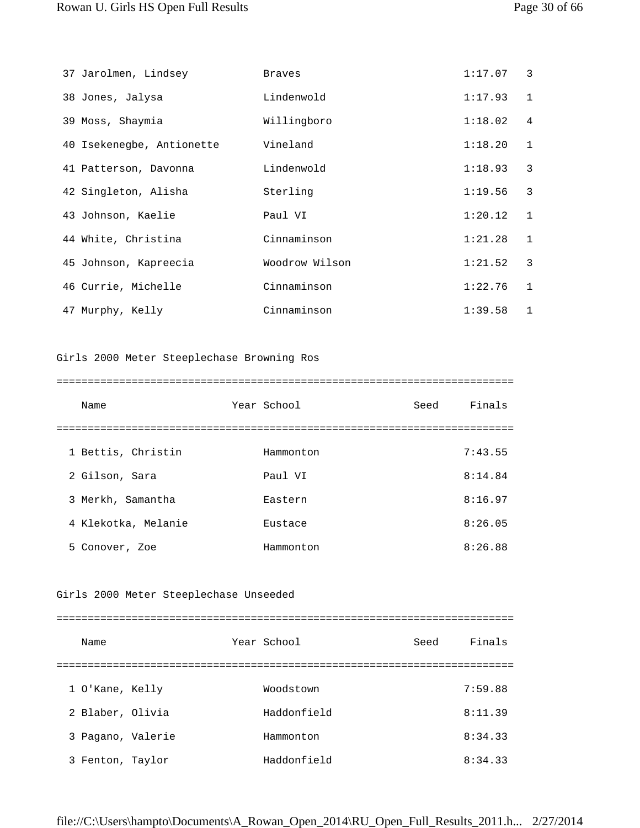| 37 Jarolmen, Lindsey      | <b>Braves</b>  | 1:17.07 | 3            |
|---------------------------|----------------|---------|--------------|
| 38 Jones, Jalysa          | Lindenwold     | 1:17.93 | $\mathbf 1$  |
| 39 Moss, Shaymia          | Willingboro    | 1:18.02 | 4            |
| 40 Isekenegbe, Antionette | Vineland       | 1:18.20 | $\mathbf{1}$ |
| 41 Patterson, Davonna     | Lindenwold     | 1:18.93 | 3            |
| 42 Singleton, Alisha      | Sterling       | 1:19.56 | 3            |
| 43 Johnson, Kaelie        | Paul VI        | 1:20.12 | $\mathbf 1$  |
| 44 White, Christina       | Cinnaminson    | 1:21.28 | $\mathbf{1}$ |
| 45 Johnson, Kapreecia     | Woodrow Wilson | 1:21.52 | 3            |
| 46 Currie, Michelle       | Cinnaminson    | 1:22.76 | $\mathbf{1}$ |
| 47 Murphy, Kelly          | Cinnaminson    | 1:39.58 | $\mathbf{1}$ |

#### Girls 2000 Meter Steeplechase Browning Ros

=========================================================================

| Name                | Year School | Seed | Finals  |
|---------------------|-------------|------|---------|
|                     |             |      |         |
| 1 Bettis, Christin  | Hammonton   |      | 7:43.55 |
| 2 Gilson, Sara      | Paul VI     |      | 8:14.84 |
| 3 Merkh, Samantha   | Eastern     |      | 8:16.97 |
| 4 Klekotka, Melanie | Eustace     |      | 8:26.05 |
| 5 Conover, Zoe      | Hammonton   |      | 8:26.88 |

## Girls 2000 Meter Steeplechase Unseeded

| Name              | Year School | Seed | Finals  |
|-------------------|-------------|------|---------|
|                   |             |      |         |
| 1 O'Kane, Kelly   | Woodstown   |      | 7:59.88 |
| 2 Blaber, Olivia  | Haddonfield |      | 8:11.39 |
| 3 Pagano, Valerie | Hammonton   |      | 8:34.33 |
| 3 Fenton, Taylor  | Haddonfield |      | 8:34.33 |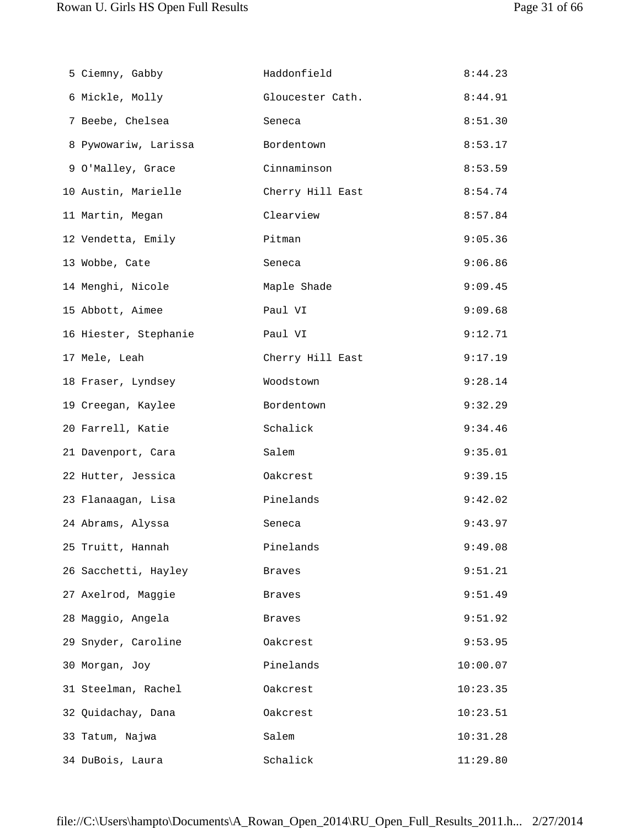| 5 Ciemny, Gabby       | Haddonfield      | 8:44.23  |
|-----------------------|------------------|----------|
| 6 Mickle, Molly       | Gloucester Cath. | 8:44.91  |
| 7 Beebe, Chelsea      | Seneca           | 8:51.30  |
| 8 Pywowariw, Larissa  | Bordentown       | 8:53.17  |
| 9 O'Malley, Grace     | Cinnaminson      | 8:53.59  |
| 10 Austin, Marielle   | Cherry Hill East | 8:54.74  |
| 11 Martin, Megan      | Clearview        | 8:57.84  |
| 12 Vendetta, Emily    | Pitman           | 9:05.36  |
| 13 Wobbe, Cate        | Seneca           | 9:06.86  |
| 14 Menghi, Nicole     | Maple Shade      | 9:09.45  |
| 15 Abbott, Aimee      | Paul VI          | 9:09.68  |
| 16 Hiester, Stephanie | Paul VI          | 9:12.71  |
| 17 Mele, Leah         | Cherry Hill East | 9:17.19  |
| 18 Fraser, Lyndsey    | Woodstown        | 9:28.14  |
| 19 Creegan, Kaylee    | Bordentown       | 9:32.29  |
| 20 Farrell, Katie     | Schalick         | 9:34.46  |
| 21 Davenport, Cara    | Salem            | 9:35.01  |
| 22 Hutter, Jessica    | Oakcrest         | 9:39.15  |
| 23 Flanaagan, Lisa    | Pinelands        | 9:42.02  |
| 24 Abrams, Alyssa     | Seneca           | 9:43.97  |
| 25 Truitt, Hannah     | Pinelands        | 9:49.08  |
| 26 Sacchetti, Hayley  | <b>Braves</b>    | 9:51.21  |
| 27 Axelrod, Maggie    | <b>Braves</b>    | 9:51.49  |
| 28 Maggio, Angela     | Braves           | 9:51.92  |
| 29 Snyder, Caroline   | Oakcrest         | 9:53.95  |
| 30 Morgan, Joy        | Pinelands        | 10:00.07 |
| 31 Steelman, Rachel   | Oakcrest         | 10:23.35 |
| 32 Quidachay, Dana    | Oakcrest         | 10:23.51 |
| 33 Tatum, Najwa       | Salem            | 10:31.28 |
| 34 DuBois, Laura      | Schalick         | 11:29.80 |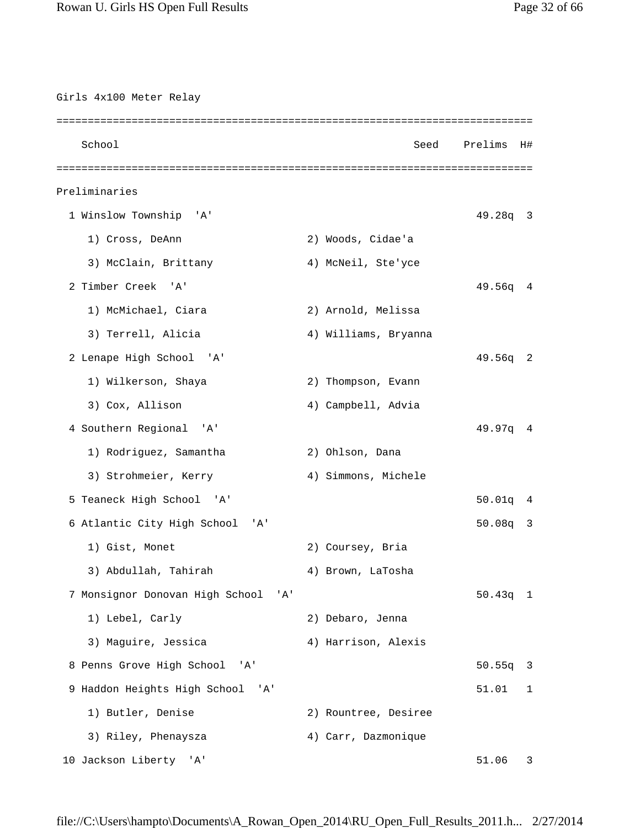Girls 4x100 Meter Relay ============================================================================ School Seed Prelims H# ============================================================================ Preliminaries 1 Winslow Township 'A' 49.28q 3 1) Cross, DeAnn 2) Woods, Cidae'a 3) McClain, Brittany (4) McNeil, Ste'yce 2 Timber Creek 'A' 49.56q 4 1) McMichael, Ciara 2) Arnold, Melissa 3) Terrell, Alicia 4) Williams, Bryanna 2 Lenape High School 'A' 49.56q 2 1) Wilkerson, Shaya 2) Thompson, Evann 3) Cox, Allison 4) Campbell, Advia 4 Southern Regional 'A' 49.97q 4 1) Rodriguez, Samantha 2) Ohlson, Dana 3) Strohmeier, Kerry (4) Simmons, Michele 5 Teaneck High School 'A' 50.01q 4 6 Atlantic City High School 'A' 50.08q 3 1) Gist, Monet 2) Coursey, Bria 3) Abdullah, Tahirah (4) Brown, LaTosha 7 Monsignor Donovan High School 'A' 50.43q 1 1) Lebel, Carly 2) Debaro, Jenna 3) Maguire, Jessica 4) Harrison, Alexis 8 Penns Grove High School 'A' 50.55q 3 9 Haddon Heights High School 'A' 51.01 1 1) Butler, Denise 2) Rountree, Desiree 3) Riley, Phenaysza 4) Carr, Dazmonique 10 Jackson Liberty 'A' 51.06 3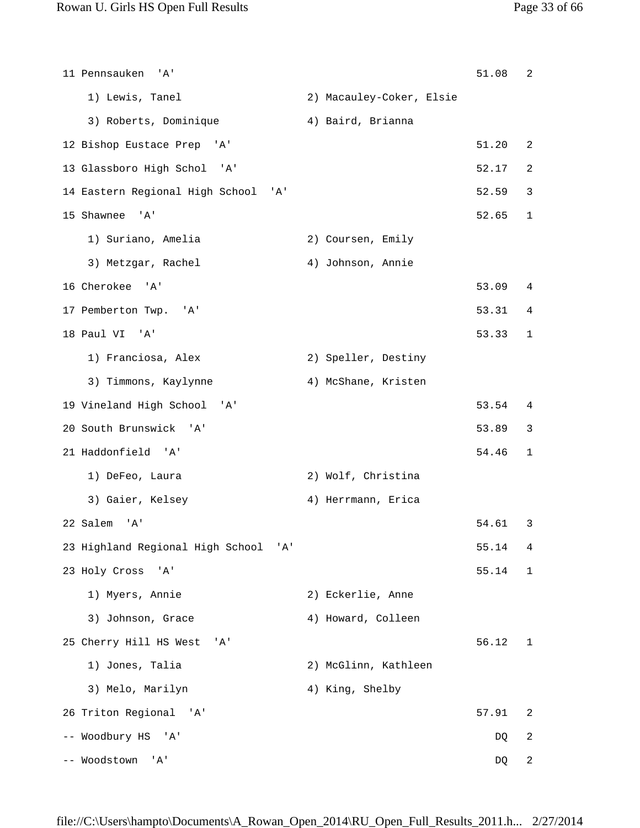11 Pennsauken 'A' 51.08 2 1) Lewis, Tanel 2) Macauley-Coker, Elsie 3) Roberts, Dominique (4) Baird, Brianna 12 Bishop Eustace Prep 'A' 51.20 2 13 Glassboro High Schol 'A' 52.17 2 14 Eastern Regional High School 'A' 52.59 3 15 Shawnee 'A' 52.65 1 1) Suriano, Amelia 2) Coursen, Emily 3) Metzgar, Rachel (4) Johnson, Annie 16 Cherokee 'A' 53.09 4 17 Pemberton Twp. 'A' 53.31 4 18 Paul VI 'A' 53.33 1 1) Franciosa, Alex 2) Speller, Destiny 3) Timmons, Kaylynne 4) McShane, Kristen 19 Vineland High School 'A' 53.54 4 20 South Brunswick 'A' 53.89 3 21 Haddonfield 'A' 54.46 1 1) DeFeo, Laura 2) Wolf, Christina 3) Gaier, Kelsey (4) Herrmann, Erica 22 Salem 'A' 54.61 3 23 Highland Regional High School 'A' 55.14 4 23 Holy Cross 'A' 55.14 1 1) Myers, Annie 2) Eckerlie, Anne 3) Johnson, Grace 4) Howard, Colleen 25 Cherry Hill HS West 'A' 56.12 1 1) Jones, Talia 2) McGlinn, Kathleen 3) Melo, Marilyn 4) King, Shelby 26 Triton Regional 'A' 57.91 2 -- Woodbury HS 'A' DQ 2 -- Woodstown 'A' DQ 2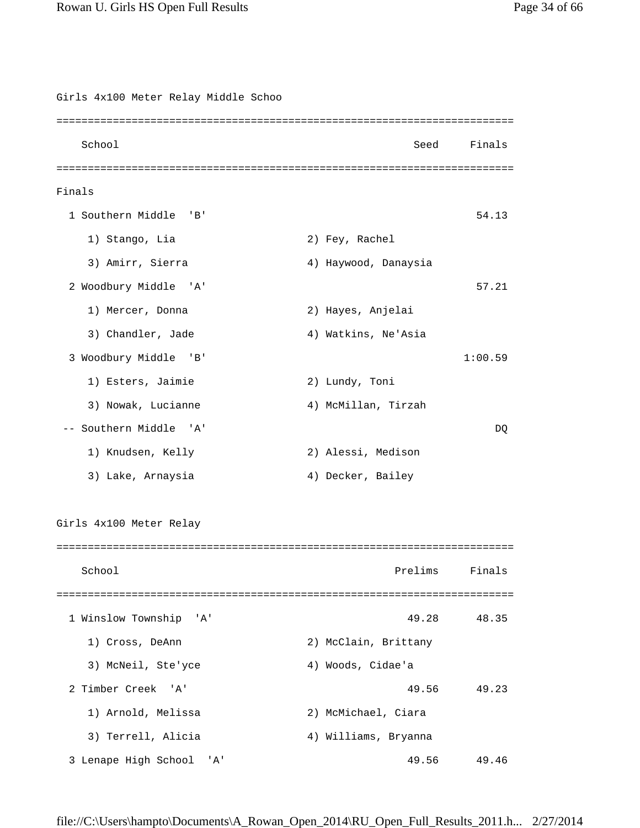| Girls 4x100 Meter Relay Middle Schoo |                      |             |
|--------------------------------------|----------------------|-------------|
|                                      |                      |             |
| School                               |                      | Seed Finals |
|                                      |                      |             |
| Finals                               |                      |             |
| 1 Southern Middle<br>'B'             |                      | 54.13       |
| 1) Stango, Lia                       | 2) Fey, Rachel       |             |
| 3) Amirr, Sierra                     | 4) Haywood, Danaysia |             |
| 2 Woodbury Middle 'A'                |                      | 57.21       |
| 1) Mercer, Donna                     | 2) Hayes, Anjelai    |             |
| 3) Chandler, Jade                    | 4) Watkins, Ne'Asia  |             |
| 3 Woodbury Middle<br>'B'             |                      | 1:00.59     |
| 1) Esters, Jaimie                    | 2) Lundy, Toni       |             |
| 3) Nowak, Lucianne                   | 4) McMillan, Tirzah  |             |
| -- Southern Middle<br>. 'A'          |                      | DQ          |
| 1) Knudsen, Kelly                    | 2) Alessi, Medison   |             |
| 3) Lake, Arnaysia                    | 4) Decker, Bailey    |             |
|                                      |                      |             |
| Girls 4x100 Meter Relay              |                      |             |
|                                      |                      |             |
| School                               | Prelims              | Finals      |
|                                      |                      |             |
| 1 Winslow Township 'A'               | 49.28                | 48.35       |
| 1) Cross, DeAnn                      | 2) McClain, Brittany |             |
| 3) McNeil, Ste'yce                   | 4) Woods, Cidae'a    |             |
| 2 Timber Creek<br>'A'                | 49.56                | 49.23       |
| 1) Arnold, Melissa                   | 2) McMichael, Ciara  |             |
| 3) Terrell, Alicia                   | 4) Williams, Bryanna |             |
| 3 Lenape High School<br>'A'          | 49.56                | 49.46       |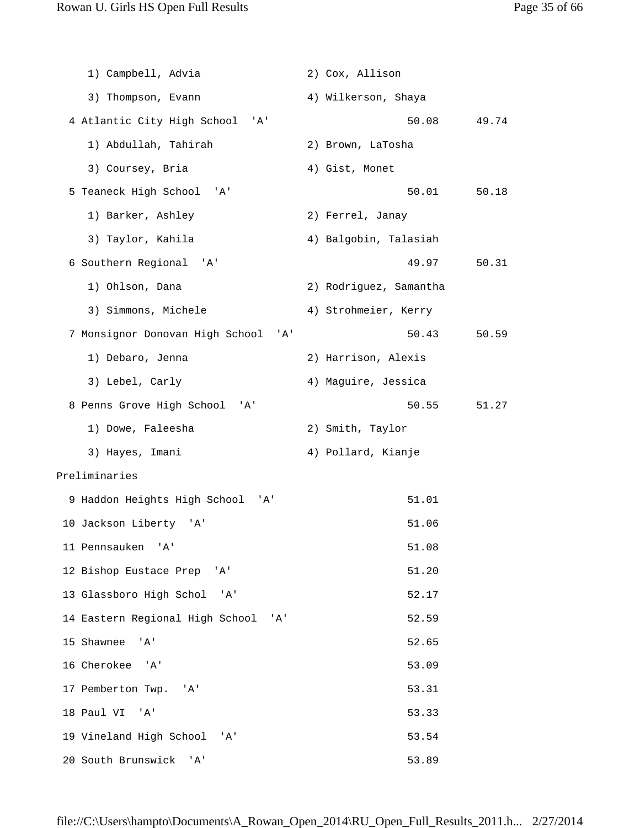| 1) Campbell, Advia                                           | 2) Cox, Allison        |
|--------------------------------------------------------------|------------------------|
| 3) Thompson, Evann                                           | 4) Wilkerson, Shaya    |
| 4 Atlantic City High School 'A'                              | 50.08 49.74            |
| 1) Abdullah, Tahirah                                         | 2) Brown, LaTosha      |
| 3) Coursey, Bria                                             | 4) Gist, Monet         |
| 5 Teaneck High School 'A'                                    | 50.01<br>50.18         |
| 1) Barker, Ashley                                            | 2) Ferrel, Janay       |
| 3) Taylor, Kahila                                            | 4) Balgobin, Talasiah  |
| 6 Southern Regional 'A'                                      | 49.97<br>50.31         |
| 1) Ohlson, Dana                                              | 2) Rodriguez, Samantha |
| 3) Simmons, Michele                                          | 4) Strohmeier, Kerry   |
| 7 Monsignor Donovan High School 'A'                          | 50.43<br>50.59         |
| 1) Debaro, Jenna                                             | 2) Harrison, Alexis    |
| 3) Lebel, Carly                                              | 4) Maguire, Jessica    |
| 8 Penns Grove High School<br>'A'                             | 50.55<br>51.27         |
| 1) Dowe, Faleesha                                            | 2) Smith, Taylor       |
| 3) Hayes, Imani                                              | 4) Pollard, Kianje     |
| Preliminaries                                                |                        |
| 9 Haddon Heights High School<br>'' A '                       | 51.01                  |
| 10 Jackson Liberty 'A'                                       | 51.06                  |
| 11 Pennsauken 'A'                                            | 51.08                  |
| 12 Bishop Eustace Prep 'A'                                   | 51.20                  |
| 13 Glassboro High Schol<br>$^{\prime}$ A $^{\prime}$         | 52.17                  |
| 14 Eastern Regional High School<br>$^{\prime}$ A $^{\prime}$ | 52.59                  |
| 15 Shawnee<br>'A'                                            | 52.65                  |
| 16 Cherokee 'A'                                              | 53.09                  |
| 17 Pemberton Twp. 'A'                                        | 53.31                  |
| 18 Paul VI<br>'A'                                            | 53.33                  |
| 19 Vineland High School<br>'' A '                            | 53.54                  |
| 20 South Brunswick<br>'A'                                    | 53.89                  |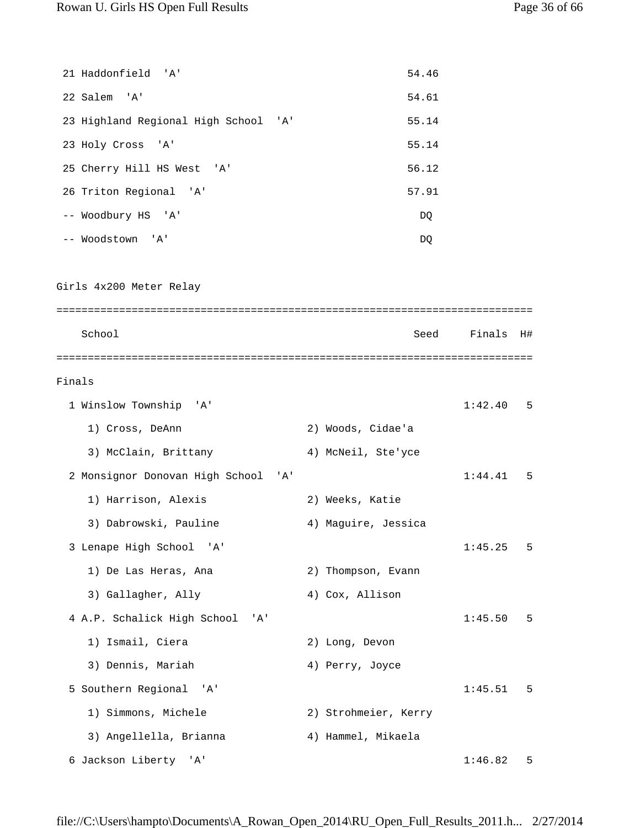| 21 Haddonfield 'A'                       | 54.46                |         |    |
|------------------------------------------|----------------------|---------|----|
| 22 Salem 'A'                             | 54.61                |         |    |
| 23 Highland Regional High School 'A'     | 55.14                |         |    |
| 23 Holy Cross 'A'                        | 55.14                |         |    |
| 25 Cherry Hill HS West 'A'               | 56.12                |         |    |
| 26 Triton Regional 'A'                   | 57.91                |         |    |
| -- Woodbury HS 'A'                       | DQ                   |         |    |
| -- Woodstown 'A'                         | DQ.                  |         |    |
|                                          |                      |         |    |
| Girls 4x200 Meter Relay                  |                      |         |    |
|                                          |                      |         |    |
| School                                   | Seed                 | Finals  | H# |
|                                          |                      |         |    |
| Finals                                   |                      |         |    |
| 1 Winslow Township 'A'                   |                      | 1:42.40 | 5  |
| 1) Cross, DeAnn                          | 2) Woods, Cidae'a    |         |    |
| 3) McClain, Brittany                     | 4) McNeil, Ste'yce   |         |    |
| 2 Monsignor Donovan High School<br>' A ' |                      | 1:44.41 | 5  |
| 1) Harrison, Alexis                      | 2) Weeks, Katie      |         |    |
| 3) Dabrowski, Pauline                    | 4) Maguire, Jessica  |         |    |
| 3 Lenape High School 'A'                 |                      | 1:45.25 | 5  |
| 1) De Las Heras, Ana                     | 2) Thompson, Evann   |         |    |
| 3) Gallagher, Ally                       | 4) Cox, Allison      |         |    |
| 4 A.P. Schalick High School<br>'A'       |                      | 1:45.50 | 5  |
| 1) Ismail, Ciera                         | 2) Long, Devon       |         |    |
| 3) Dennis, Mariah                        | 4) Perry, Joyce      |         |    |
| 5 Southern Regional 'A'                  |                      | 1:45.51 | 5  |
| 1) Simmons, Michele                      | 2) Strohmeier, Kerry |         |    |
| 3) Angellella, Brianna                   | 4) Hammel, Mikaela   |         |    |
| 6 Jackson Liberty 'A'                    |                      | 1:46.82 | 5  |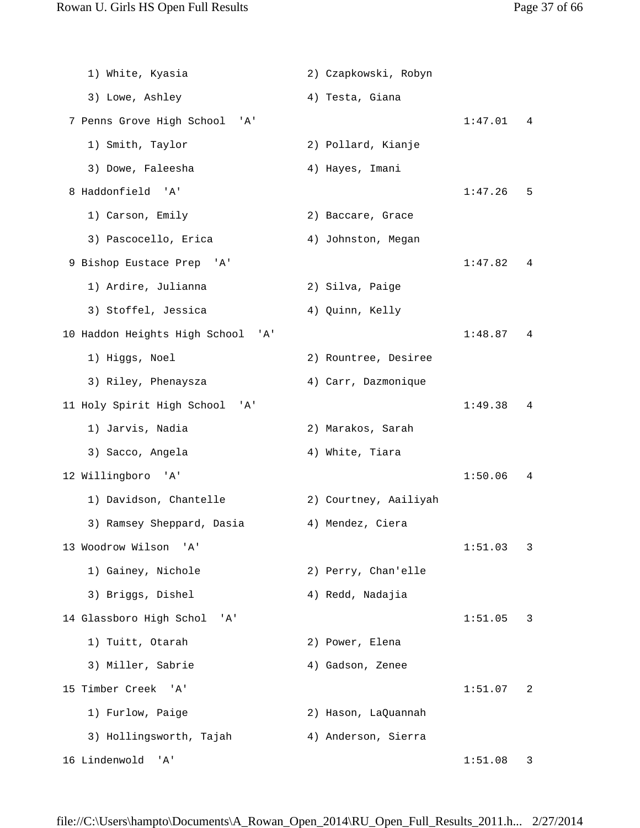| 1) White, Kyasia                     | 2) Czapkowski, Robyn  |         |   |
|--------------------------------------|-----------------------|---------|---|
| 3) Lowe, Ashley                      | 4) Testa, Giana       |         |   |
| 7 Penns Grove High School<br>'A'     |                       | 1:47.01 | 4 |
| 1) Smith, Taylor                     | 2) Pollard, Kianje    |         |   |
| 3) Dowe, Faleesha                    | 4) Hayes, Imani       |         |   |
| 8 Haddonfield<br>' A'                |                       | 1:47.26 | 5 |
| 1) Carson, Emily                     | 2) Baccare, Grace     |         |   |
| 3) Pascocello, Erica                 | 4) Johnston, Megan    |         |   |
| 9 Bishop Eustace Prep 'A'            |                       | 1:47.82 | 4 |
| 1) Ardire, Julianna                  | 2) Silva, Paige       |         |   |
| 3) Stoffel, Jessica                  | 4) Quinn, Kelly       |         |   |
| 10 Haddon Heights High School<br>'A' |                       | 1:48.87 | 4 |
| 1) Higgs, Noel                       | 2) Rountree, Desiree  |         |   |
| 3) Riley, Phenaysza                  | 4) Carr, Dazmonique   |         |   |
| 11 Holy Spirit High School<br>'A'    |                       | 1:49.38 | 4 |
| 1) Jarvis, Nadia                     | 2) Marakos, Sarah     |         |   |
| 3) Sacco, Angela                     | 4) White, Tiara       |         |   |
| 12 Willingboro<br>'A'                |                       | 1:50.06 | 4 |
| 1) Davidson, Chantelle               | 2) Courtney, Aailiyah |         |   |
| 3) Ramsey Sheppard, Dasia            | 4) Mendez, Ciera      |         |   |
| 13 Woodrow Wilson<br>'' A '          |                       | 1:51.03 | 3 |
| 1) Gainey, Nichole                   | 2) Perry, Chan'elle   |         |   |
| 3) Briggs, Dishel                    | 4) Redd, Nadajia      |         |   |
| 14 Glassboro High Schol<br>' A '     |                       | 1:51.05 | 3 |
| 1) Tuitt, Otarah                     | 2) Power, Elena       |         |   |
| 3) Miller, Sabrie                    | 4) Gadson, Zenee      |         |   |
| 15 Timber Creek<br>'' A '            |                       | 1:51.07 | 2 |
| 1) Furlow, Paige                     | 2) Hason, LaQuannah   |         |   |
| 3) Hollingsworth, Tajah              | 4) Anderson, Sierra   |         |   |
| 16 Lindenwold<br>'A'                 |                       | 1:51.08 | 3 |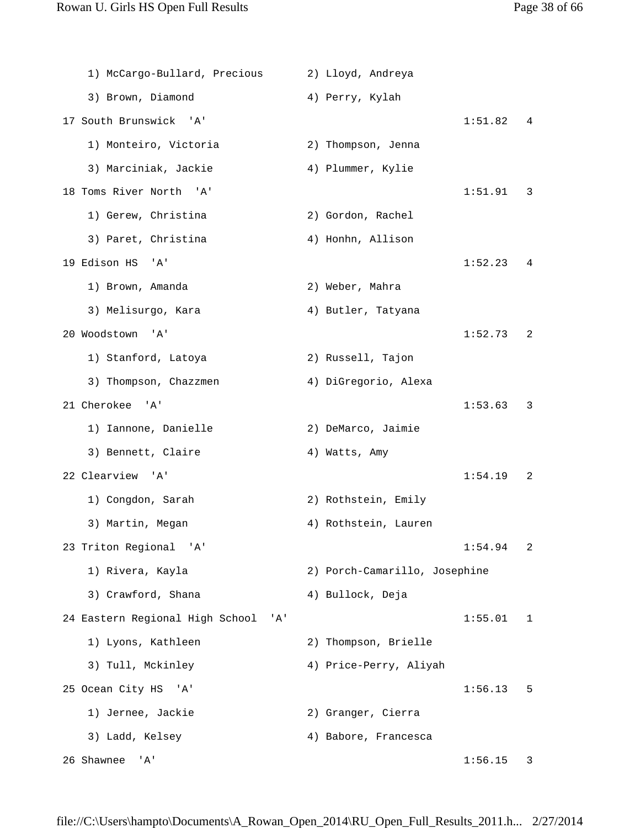| 1) McCargo-Bullard, Precious           | 2) Lloyd, Andreya             |         |              |
|----------------------------------------|-------------------------------|---------|--------------|
| 3) Brown, Diamond                      | 4) Perry, Kylah               |         |              |
| 17 South Brunswick<br>' A '            |                               | 1:51.82 | 4            |
| 1) Monteiro, Victoria                  | 2) Thompson, Jenna            |         |              |
| 3) Marciniak, Jackie                   | 4) Plummer, Kylie             |         |              |
| 18 Toms River North<br>'' A '          |                               | 1:51.91 | 3            |
| 1) Gerew, Christina                    | 2) Gordon, Rachel             |         |              |
| 3) Paret, Christina                    | 4) Honhn, Allison             |         |              |
| 19 Edison HS<br>'A'                    |                               | 1:52.23 | 4            |
| 1) Brown, Amanda                       | 2) Weber, Mahra               |         |              |
| 3) Melisurgo, Kara                     | 4) Butler, Tatyana            |         |              |
| 20 Woodstown<br>'A'                    |                               | 1:52.73 | 2            |
| 1) Stanford, Latoya                    | 2) Russell, Tajon             |         |              |
| 3) Thompson, Chazzmen                  | 4) DiGregorio, Alexa          |         |              |
| 21 Cherokee<br>'' A '                  |                               | 1:53.63 | 3            |
| 1) Iannone, Danielle                   | 2) DeMarco, Jaimie            |         |              |
| 3) Bennett, Claire                     | 4) Watts, Amy                 |         |              |
| 22 Clearview 'A'                       |                               | 1:54.19 | 2            |
| 1) Congdon, Sarah                      | 2) Rothstein, Emily           |         |              |
| 3) Martin, Megan                       | 4) Rothstein, Lauren          |         |              |
| 23 Triton Regional 'A'                 |                               | 1:54.94 | 2            |
| 1) Rivera, Kayla                       | 2) Porch-Camarillo, Josephine |         |              |
| 3) Crawford, Shana                     | 4) Bullock, Deja              |         |              |
| 24 Eastern Regional High School<br>'A' |                               | 1:55.01 | $\mathbf{1}$ |
| 1) Lyons, Kathleen                     | 2) Thompson, Brielle          |         |              |
| 3) Tull, Mckinley                      | 4) Price-Perry, Aliyah        |         |              |
| 25 Ocean City HS<br>'A'                |                               | 1:56.13 | 5            |
| 1) Jernee, Jackie                      | 2) Granger, Cierra            |         |              |
| 3) Ladd, Kelsey                        | 4) Babore, Francesca          |         |              |
| 26 Shawnee<br>'A'                      |                               | 1:56.15 | 3            |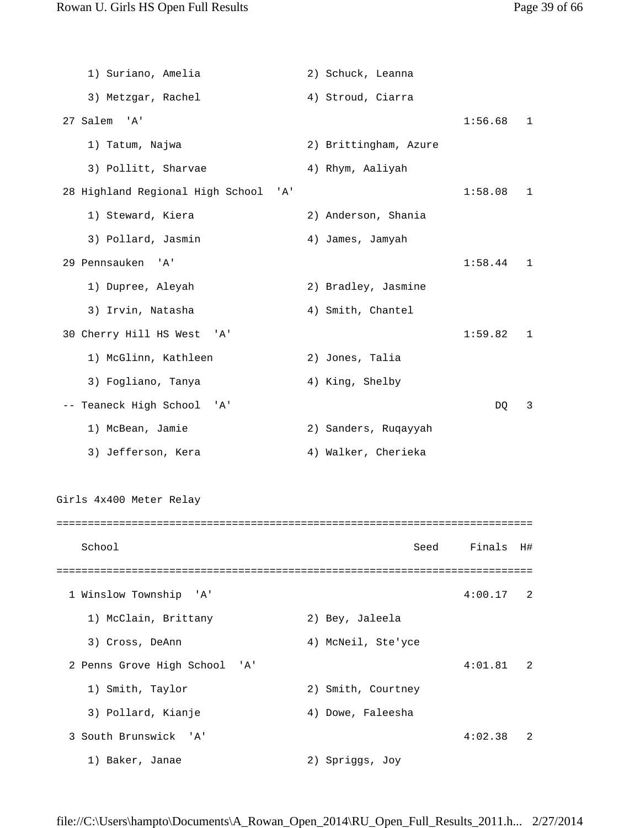1) Suriano, Amelia 2) Schuck, Leanna 3) Metzgar, Rachel (4) Stroud, Ciarra 27 Salem 'A' 1:56.68 1 1) Tatum, Najwa 2) Brittingham, Azure 3) Pollitt, Sharvae  $\begin{array}{ccc} 4 & 4 & \text{Rhym, Aaliyah} \end{array}$  28 Highland Regional High School 'A' 1:58.08 1 1) Steward, Kiera 2) Anderson, Shania 3) Pollard, Jasmin 4) James, Jamyah 29 Pennsauken 'A' 1:58.44 1 1) Dupree, Aleyah 2) Bradley, Jasmine 3) Irvin, Natasha (4) Smith, Chantel 30 Cherry Hill HS West 'A' 1:59.82 1 1) McGlinn, Kathleen 2) Jones, Talia 3) Fogliano, Tanya (4) King, Shelby -- Teaneck High School 'A' DQ 3 1) McBean, Jamie 2) Sanders, Ruqayyah 3) Jefferson, Kera (4) Walker, Cherieka Girls 4x400 Meter Relay ============================================================================ School Seed Finals H# ============================================================================ 1 Winslow Township 'A' 4:00.17 2 1) McClain, Brittany 2) Bey, Jaleela 3) Cross, DeAnn 4) McNeil, Ste'yce 2 Penns Grove High School 'A' 4:01.81 2 1) Smith, Taylor 2) Smith, Courtney 3) Pollard, Kianje (4) Dowe, Faleesha 3 South Brunswick 'A' 4:02.38 2 1) Baker, Janae 2) Spriggs, Joy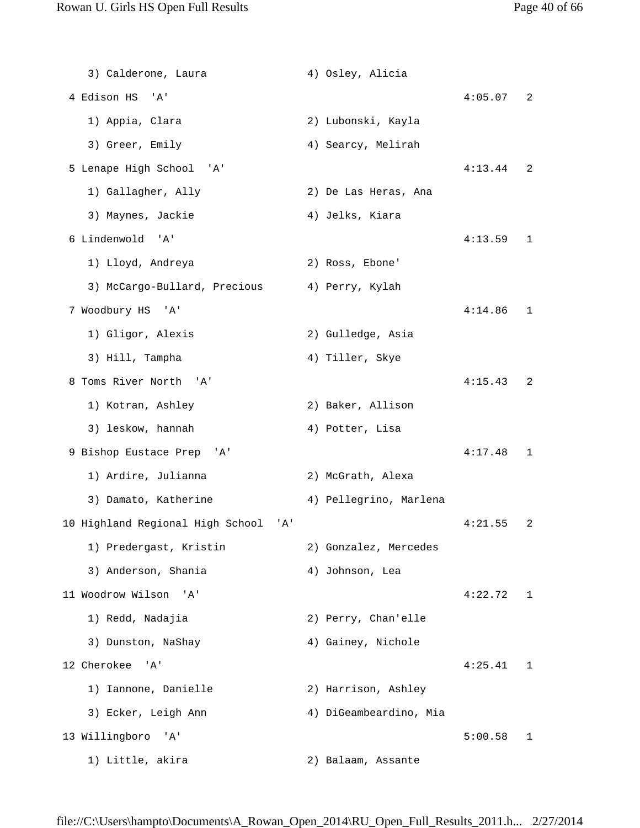| 3) Calderone, Laura                     | 4) Osley, Alicia       |         |   |
|-----------------------------------------|------------------------|---------|---|
| 4 Edison HS<br>'A'                      |                        | 4:05.07 | 2 |
| 1) Appia, Clara                         | 2) Lubonski, Kayla     |         |   |
| 3) Greer, Emily                         | 4) Searcy, Melirah     |         |   |
| 5 Lenape High School<br>' A '           |                        | 4:13.44 | 2 |
| 1) Gallagher, Ally                      | 2) De Las Heras, Ana   |         |   |
| 3) Maynes, Jackie                       | 4) Jelks, Kiara        |         |   |
| 6 Lindenwold<br>'' A '                  |                        | 4:13.59 | 1 |
| 1) Lloyd, Andreya                       | 2) Ross, Ebone'        |         |   |
| 3) McCargo-Bullard, Precious            | 4) Perry, Kylah        |         |   |
| 7 Woodbury HS<br>'A'                    |                        | 4:14.86 | 1 |
| 1) Gligor, Alexis                       | 2) Gulledge, Asia      |         |   |
| 3) Hill, Tampha                         | 4) Tiller, Skye        |         |   |
| 8 Toms River North<br>' A '             |                        | 4:15.43 | 2 |
| 1) Kotran, Ashley                       | 2) Baker, Allison      |         |   |
| 3) leskow, hannah                       | 4) Potter, Lisa        |         |   |
| 9 Bishop Eustace Prep 'A'               |                        | 4:17.48 | 1 |
| 1) Ardire, Julianna                     | 2) McGrath, Alexa      |         |   |
| 3) Damato, Katherine                    | 4) Pellegrino, Marlena |         |   |
| 10 Highland Regional High School<br>'A' |                        | 4:21.55 | 2 |
| 1) Predergast, Kristin                  | 2) Gonzalez, Mercedes  |         |   |
| 3) Anderson, Shania                     | 4) Johnson, Lea        |         |   |
| 11 Woodrow Wilson 'A'                   |                        | 4:22.72 | 1 |
| 1) Redd, Nadajia                        | 2) Perry, Chan'elle    |         |   |
| 3) Dunston, NaShay                      | 4) Gainey, Nichole     |         |   |
| 12 Cherokee<br>' A '                    |                        | 4:25.41 | 1 |
| 1) Iannone, Danielle                    | 2) Harrison, Ashley    |         |   |
| 3) Ecker, Leigh Ann                     | 4) DiGeambeardino, Mia |         |   |
| 13 Willingboro<br>'A'                   |                        | 5:00.58 | 1 |
| 1) Little, akira                        | 2) Balaam, Assante     |         |   |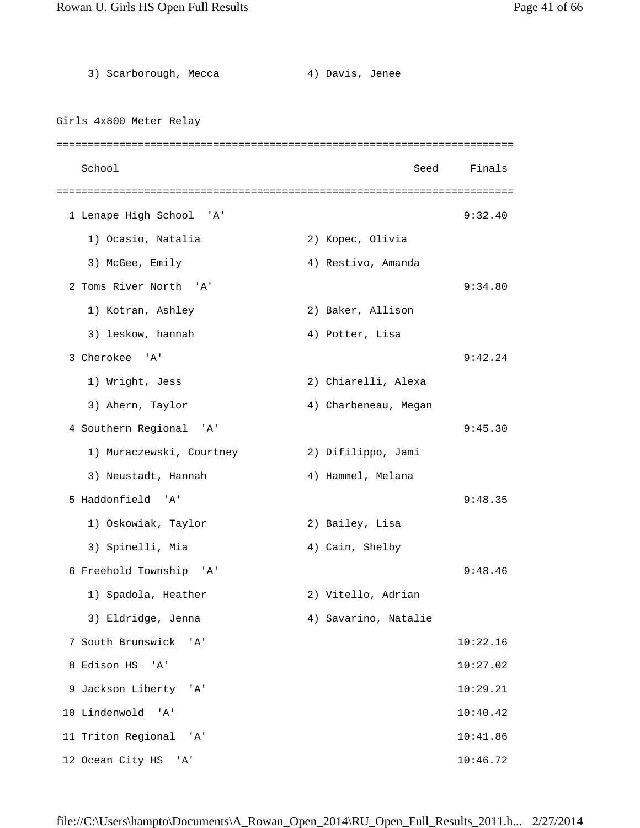3) Scarborough, Mecca 4) Davis, Jenee Girls 4x800 Meter Relay ========================================================================= School Seed Finals ========================================================================= 1 Lenape High School 'A' 9:32.40 1) Ocasio, Natalia 2) Kopec, Olivia 3) McGee, Emily 19 (4) Restivo, Amanda 2 Toms River North 'A' 9:34.80 1) Kotran, Ashley 2) Baker, Allison 3) leskow, hannah (4) Potter, Lisa 3 Cherokee 'A' 9:42.24 1) Wright, Jess 2) Chiarelli, Alexa 3) Ahern, Taylor 4) Charbeneau, Megan 4 Southern Regional 'A' 9:45.30 1) Muraczewski, Courtney 2) Difilippo, Jami 3) Neustadt, Hannah (4) Hammel, Melana 5 Haddonfield 'A' 9:48.35 1) Oskowiak, Taylor 2) Bailey, Lisa 3) Spinelli, Mia  $4)$  Cain, Shelby 6 Freehold Township 'A' 9:48.46 1) Spadola, Heather 2) Vitello, Adrian 3) Eldridge, Jenna 4) Savarino, Natalie 7 South Brunswick 'A' 10:22.16 8 Edison HS 'A' 10:27.02 9 Jackson Liberty 'A' 10:29.21 10 Lindenwold 'A' 10:40.42 11 Triton Regional 'A' 10:41.86 12 Ocean City HS 'A' 10:46.72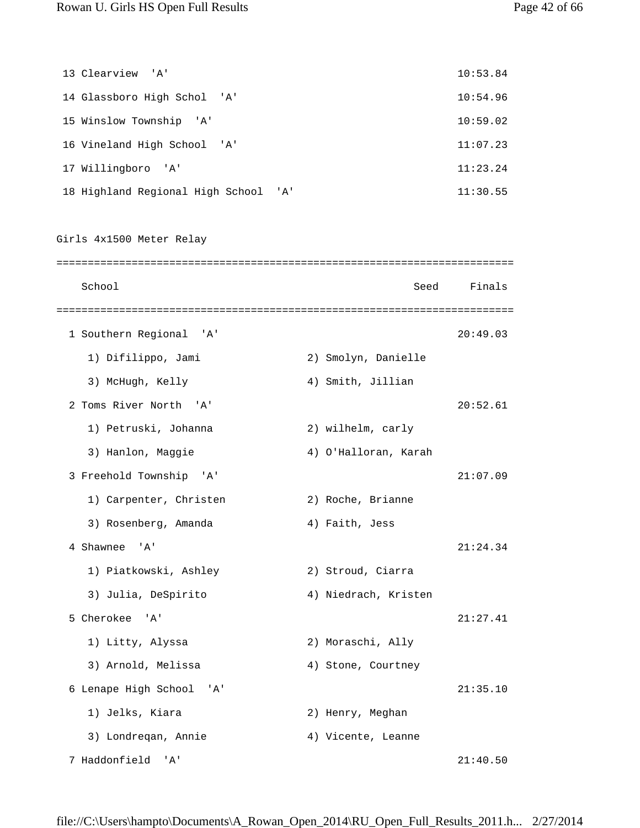| 13 Clearview 'A'                     | 10:53.84 |
|--------------------------------------|----------|
| 14 Glassboro High Schol 'A'          | 10:54.96 |
| 15 Winslow Township 'A'              | 10:59.02 |
| 16 Vineland High School 'A'          | 11:07.23 |
| 17 Willingboro 'A'                   | 11:23.24 |
| 18 Highland Regional High School 'A' | 11:30.55 |

Girls 4x1500 Meter Relay ========================================================================= School School Seed Finals ========================================================================= 1 Southern Regional 'A' 20:49.03 1) Difilippo, Jami 2) Smolyn, Danielle 3) McHugh, Kelly (4) Smith, Jillian 2 Toms River North 'A' 20:52.61 1) Petruski, Johanna 2) wilhelm, carly 3) Hanlon, Maggie 4) O'Halloran, Karah 3 Freehold Township 'A' 21:07.09 1) Carpenter, Christen 2) Roche, Brianne 3) Rosenberg, Amanda (4) Faith, Jess 4 Shawnee 'A' 21:24.34 1) Piatkowski, Ashley 2) Stroud, Ciarra 3) Julia, DeSpirito 4) Niedrach, Kristen 5 Cherokee 'A' 21:27.41 1) Litty, Alyssa 2) Moraschi, Ally 3) Arnold, Melissa (4) Stone, Courtney 6 Lenape High School 'A' 21:35.10 1) Jelks, Kiara 2) Henry, Meghan 3) Londregan, Annie 4) Vicente, Leanne 7 Haddonfield 'A' 21:40.50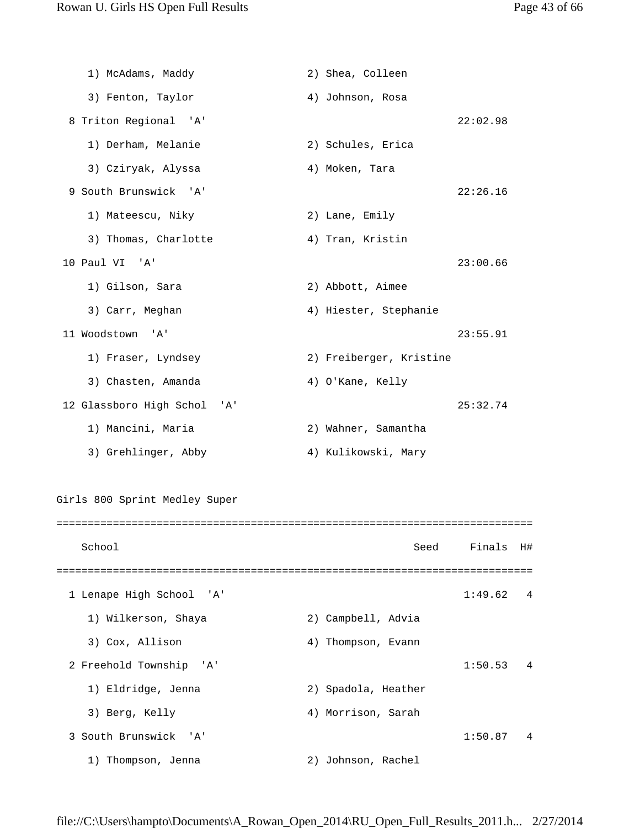| 1) McAdams, Maddy                         | 2) Shea, Colleen        |          |    |
|-------------------------------------------|-------------------------|----------|----|
| 3) Fenton, Taylor                         | 4) Johnson, Rosa        |          |    |
| 8 Triton Regional 'A'                     |                         | 22:02.98 |    |
| 1) Derham, Melanie                        | 2) Schules, Erica       |          |    |
| 3) Cziryak, Alyssa                        | 4) Moken, Tara          |          |    |
| 9 South Brunswick 'A'                     |                         | 22:26.16 |    |
| 1) Mateescu, Niky                         | 2) Lane, Emily          |          |    |
| 3) Thomas, Charlotte                      | 4) Tran, Kristin        |          |    |
| 10 Paul VI<br>' A '                       |                         | 23:00.66 |    |
| 1) Gilson, Sara                           | 2) Abbott, Aimee        |          |    |
| 3) Carr, Meghan                           | 4) Hiester, Stephanie   |          |    |
| 11 Woodstown<br>$^{\prime}$ A $^{\prime}$ |                         | 23:55.91 |    |
| 1) Fraser, Lyndsey                        | 2) Freiberger, Kristine |          |    |
| 3) Chasten, Amanda                        | 4) O'Kane, Kelly        |          |    |
| 12 Glassboro High Schol 'A'               |                         | 25:32.74 |    |
| 1) Mancini, Maria                         | 2) Wahner, Samantha     |          |    |
| 3) Grehlinger, Abby                       | 4) Kulikowski, Mary     |          |    |
|                                           |                         |          |    |
| Girls 800 Sprint Medley Super             |                         |          |    |
|                                           |                         |          |    |
| School                                    | Seed                    | Finals   | H# |
|                                           |                         |          |    |
| 1 Lenape High School<br>'A'               |                         | 1:49.62  | 4  |
| 1) Wilkerson, Shaya                       | 2) Campbell, Advia      |          |    |
| 3) Cox, Allison                           | 4) Thompson, Evann      |          |    |
| 2 Freehold Township 'A'                   |                         | 1:50.53  | 4  |
| 1) Eldridge, Jenna                        | 2) Spadola, Heather     |          |    |
| 3) Berg, Kelly                            | 4) Morrison, Sarah      |          |    |
| 3 South Brunswick<br>' 'A '               |                         | 1:50.87  | 4  |
| 1) Thompson, Jenna                        | 2) Johnson, Rachel      |          |    |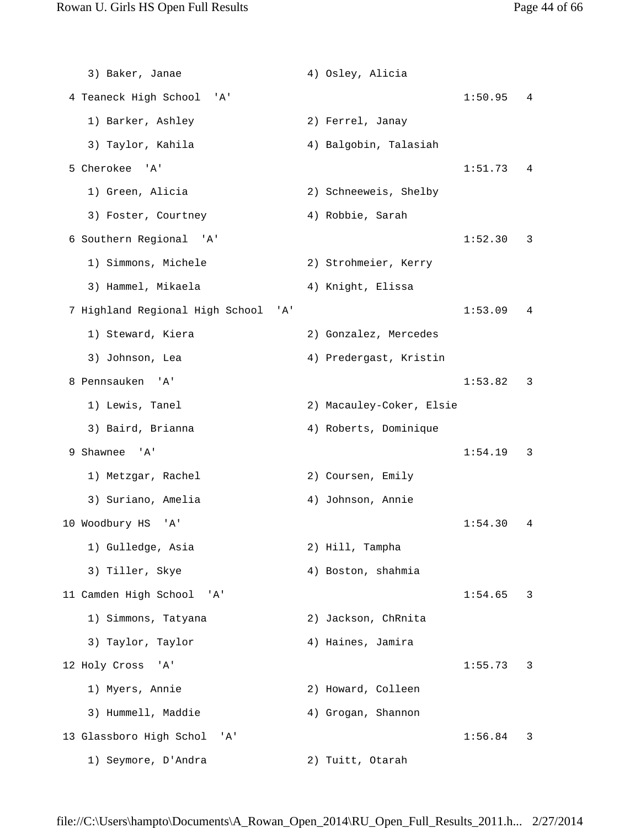3) Baker, Janae (4) Osley, Alicia 4 Teaneck High School 'A' 1:50.95 4 1) Barker, Ashley 2) Ferrel, Janay 3) Taylor, Kahila  $4)$  Balgobin, Talasiah 5 Cherokee 'A' 1:51.73 4 1) Green, Alicia 2) Schneeweis, Shelby 3) Foster, Courtney (4) Robbie, Sarah 6 Southern Regional 'A' 1:52.30 3 1) Simmons, Michele 2) Strohmeier, Kerry 3) Hammel, Mikaela (4) Knight, Elissa 7 Highland Regional High School 'A' 1:53.09 4 1) Steward, Kiera 2) Gonzalez, Mercedes 3) Johnson, Lea 4) Predergast, Kristin 8 Pennsauken 'A' 1:53.82 3 1) Lewis, Tanel 2) Macauley-Coker, Elsie 3) Baird, Brianna (4) Roberts, Dominique 9 Shawnee 'A' 1:54.19 3 1) Metzgar, Rachel 2) Coursen, Emily 3) Suriano, Amelia 4) Johnson, Annie 10 Woodbury HS 'A' 1:54.30 4 1) Gulledge, Asia 2) Hill, Tampha 3) Tiller, Skye (4) Boston, shahmia 11 Camden High School 'A' 1:54.65 3 1) Simmons, Tatyana 2) Jackson, ChRnita 3) Taylor, Taylor (4) Haines, Jamira 12 Holy Cross 'A' 1:55.73 3 1) Myers, Annie 2) Howard, Colleen 3) Hummell, Maddie 4) Grogan, Shannon 13 Glassboro High Schol 'A' 1:56.84 3 1) Seymore, D'Andra 2) Tuitt, Otarah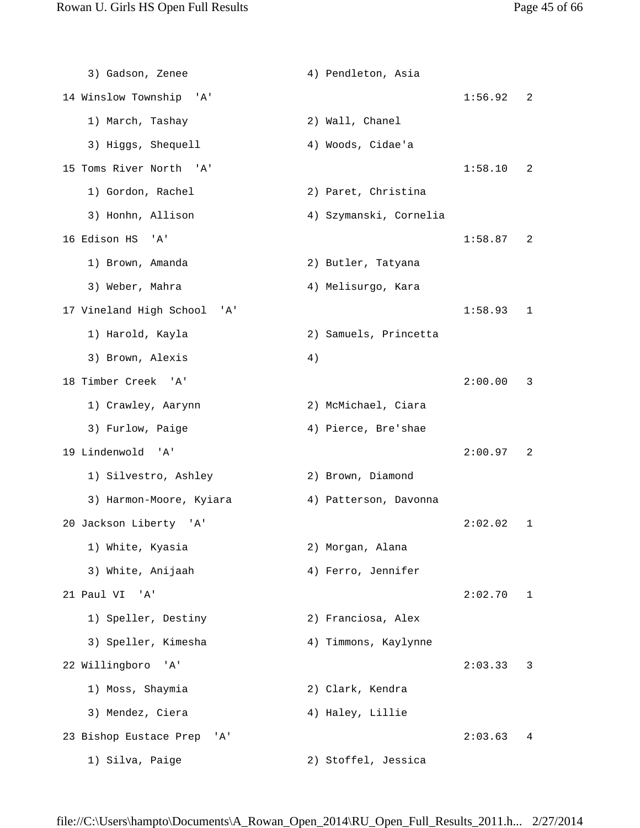3) Gadson, Zenee 4) Pendleton, Asia 14 Winslow Township 'A' 1:56.92 2 1) March, Tashay 2) Wall, Chanel 3) Higgs, Shequell 4) Woods, Cidae'a 15 Toms River North 'A' 1:58.10 2 1) Gordon, Rachel 2) Paret, Christina 3) Honhn, Allison 4) Szymanski, Cornelia 16 Edison HS 'A' 1:58.87 2 1) Brown, Amanda 2) Butler, Tatyana 3) Weber, Mahra (4) Melisurgo, Kara 17 Vineland High School 'A' 1:58.93 1 1) Harold, Kayla 2) Samuels, Princetta 3) Brown, Alexis 4) 18 Timber Creek 'A' 2:00.00 3 1) Crawley, Aarynn 2) McMichael, Ciara 3) Furlow, Paige 4) Pierce, Bre'shae 19 Lindenwold 'A' 2:00.97 2 1) Silvestro, Ashley 2) Brown, Diamond 3) Harmon-Moore, Kyiara (4) Patterson, Davonna 20 Jackson Liberty 'A' 2:02.02 1 1) White, Kyasia 2) Morgan, Alana 3) White, Anijaah 4) Ferro, Jennifer 21 Paul VI 'A' 2:02.70 1 1) Speller, Destiny 2) Franciosa, Alex 3) Speller, Kimesha (4) Timmons, Kaylynne 22 Willingboro 'A' 2:03.33 3 1) Moss, Shaymia 2) Clark, Kendra 3) Mendez, Ciera (4) Haley, Lillie 23 Bishop Eustace Prep 'A' 2:03.63 4 1) Silva, Paige 2) Stoffel, Jessica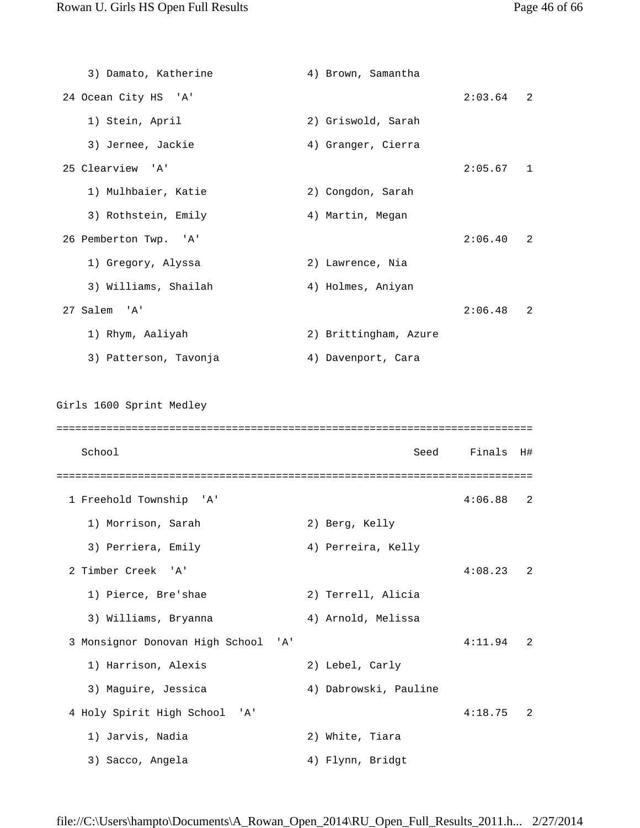3) Damato, Katherine 4) Brown, Samantha 24 Ocean City HS 'A' 2:03.64 2 1) Stein, April 2) Griswold, Sarah 3) Jernee, Jackie (4) Granger, Cierra 25 Clearview 'A' 2:05.67 1 1) Mulhbaier, Katie 2) Congdon, Sarah 3) Rothstein, Emily 19 Martin, Megan 26 Pemberton Twp. 'A' 2:06.40 2 1) Gregory, Alyssa 2) Lawrence, Nia 3) Williams, Shailah (4) Holmes, Aniyan 27 Salem 'A' 2:06.48 2 1) Rhym, Aaliyah 2) Brittingham, Azure 3) Patterson, Tavonja (4) Davenport, Cara Girls 1600 Sprint Medley ============================================================================ School Seed Finals H# ============================================================================ 1 Freehold Township 'A' 4:06.88 2 1) Morrison, Sarah 2) Berg, Kelly 3) Perriera, Emily (4) Perreira, Kelly 2 Timber Creek 'A' 4:08.23 2 1) Pierce, Bre'shae 2) Terrell, Alicia 3) Williams, Bryanna (4) Arnold, Melissa 3 Monsignor Donovan High School 'A' 4:11.94 2 1) Harrison, Alexis 2) Lebel, Carly 3) Maguire, Jessica 4) Dabrowski, Pauline 4 Holy Spirit High School 'A' 4:18.75 2 1) Jarvis, Nadia 2) White, Tiara 3) Sacco, Angela (4) Flynn, Bridgt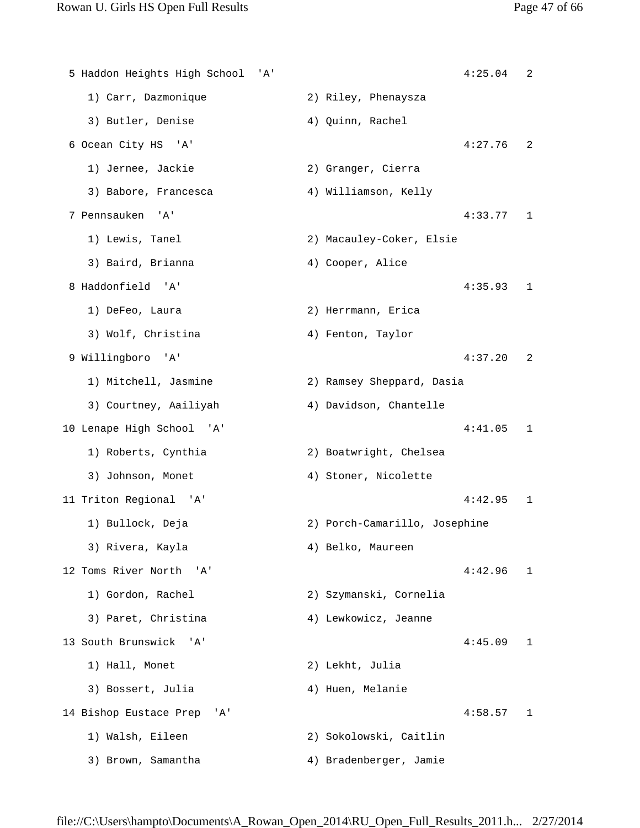5 Haddon Heights High School 'A' 4:25.04 2 1) Carr, Dazmonique 2) Riley, Phenaysza 3) Butler, Denise 4) Quinn, Rachel 6 Ocean City HS 'A' 4:27.76 2 1) Jernee, Jackie 2) Granger, Cierra 3) Babore, Francesca (4) Williamson, Kelly 7 Pennsauken 'A' 4:33.77 1 1) Lewis, Tanel 2) Macauley-Coker, Elsie 3) Baird, Brianna (4) Cooper, Alice 8 Haddonfield 'A' 4:35.93 1 1) DeFeo, Laura 2) Herrmann, Erica 3) Wolf, Christina (4) Fenton, Taylor 9 Willingboro 'A' 4:37.20 2 1) Mitchell, Jasmine 2) Ramsey Sheppard, Dasia 3) Courtney, Aailiyah (4) Davidson, Chantelle 10 Lenape High School 'A' 4:41.05 1 1) Roberts, Cynthia 2) Boatwright, Chelsea 3) Johnson, Monet 4) Stoner, Nicolette 11 Triton Regional 'A' 4:42.95 1 1) Bullock, Deja 2) Porch-Camarillo, Josephine 3) Rivera, Kayla (4) Belko, Maureen 12 Toms River North 'A' 4:42.96 1 1) Gordon, Rachel 2) Szymanski, Cornelia 3) Paret, Christina 4) Lewkowicz, Jeanne 13 South Brunswick 'A' 4:45.09 1 1) Hall, Monet 2) Lekht, Julia 3) Bossert, Julia (4) Huen, Melanie 14 Bishop Eustace Prep 'A' 4:58.57 1 1) Walsh, Eileen 2) Sokolowski, Caitlin 3) Brown, Samantha 4) Bradenberger, Jamie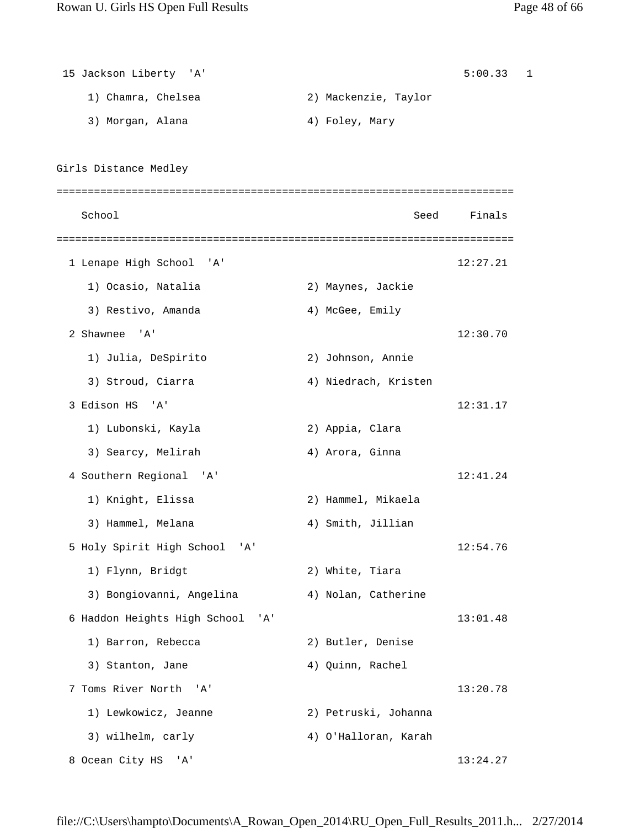15 Jackson Liberty 'A' 5:00.33 1 1) Chamra, Chelsea 2) Mackenzie, Taylor 3) Morgan, Alana (4) Foley, Mary Girls Distance Medley ========================================================================= School School Seed Finals ========================================================================= 1 Lenape High School 'A' 12:27.21 1) Ocasio, Natalia 2) Maynes, Jackie 3) Restivo, Amanda (4) McGee, Emily 2 Shawnee 'A' 12:30.70 1) Julia, DeSpirito 2) Johnson, Annie 3) Stroud, Ciarra (4) Niedrach, Kristen 3 Edison HS 'A' 12:31.17 1) Lubonski, Kayla 2) Appia, Clara 3) Searcy, Melirah (4) Arora, Ginna 4 Southern Regional 'A' 12:41.24 1) Knight, Elissa 2) Hammel, Mikaela 3) Hammel, Melana (4) Smith, Jillian 5 Holy Spirit High School 'A' 12:54.76 1) Flynn, Bridgt 2) White, Tiara 3) Bongiovanni, Angelina (4) Nolan, Catherine 6 Haddon Heights High School 'A' 13:01.48 1) Barron, Rebecca 2) Butler, Denise 3) Stanton, Jane 4) Quinn, Rachel 7 Toms River North 'A' 13:20.78 1) Lewkowicz, Jeanne 2) Petruski, Johanna 3) wilhelm, carly 3) Milloran, Karah 8 Ocean City HS 'A' 13:24.27

file://C:\Users\hampto\Documents\A\_Rowan\_Open\_2014\RU\_Open\_Full\_Results\_2011.h... 2/27/2014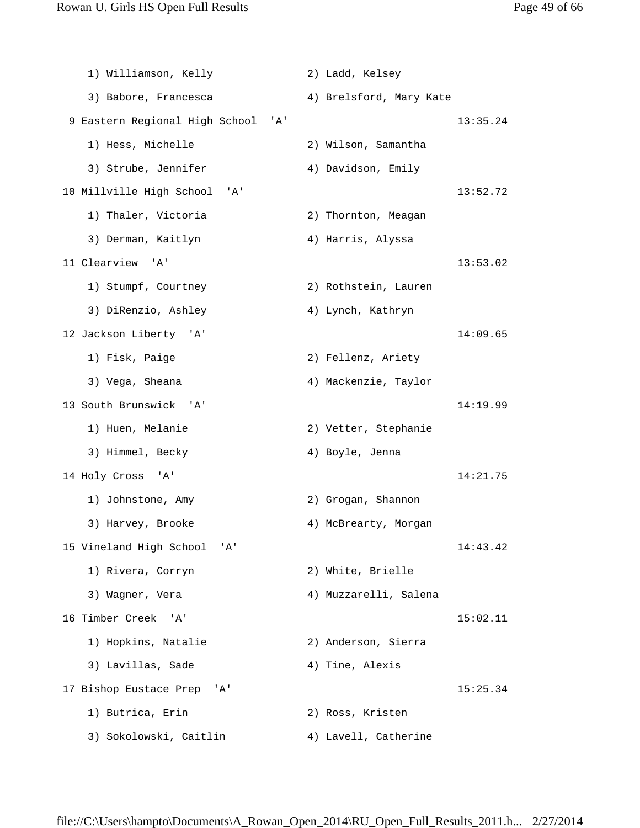1) Williamson, Kelly 2) Ladd, Kelsey 3) Babore, Francesca 4) Brelsford, Mary Kate 9 Eastern Regional High School 'A' 13:35.24 1) Hess, Michelle 2) Wilson, Samantha 3) Strube, Jennifer 4) Davidson, Emily 10 Millville High School 'A' 13:52.72 1) Thaler, Victoria 2) Thornton, Meagan 3) Derman, Kaitlyn (4) Harris, Alyssa 11 Clearview 'A' 13:53.02 1) Stumpf, Courtney 2) Rothstein, Lauren 3) DiRenzio, Ashley (4) Lynch, Kathryn 12 Jackson Liberty 'A' 14:09.65 1) Fisk, Paige 2) Fellenz, Ariety 3) Vega, Sheana (4) Mackenzie, Taylor 13 South Brunswick 'A' 14:19.99 1) Huen, Melanie 2) Vetter, Stephanie 3) Himmel, Becky 4) Boyle, Jenna 14 Holy Cross 'A' 14:21.75 1) Johnstone, Amy 2) Grogan, Shannon 3) Harvey, Brooke 4) McBrearty, Morgan 15 Vineland High School 'A' 14:43.42 1) Rivera, Corryn 2) White, Brielle 3) Wagner, Vera (3) 4) Muzzarelli, Salena 16 Timber Creek 'A' 15:02.11 1) Hopkins, Natalie 2) Anderson, Sierra 3) Lavillas, Sade 4) Tine, Alexis 17 Bishop Eustace Prep 'A' 15:25.34 1) Butrica, Erin 2) Ross, Kristen 3) Sokolowski, Caitlin (4) Lavell, Catherine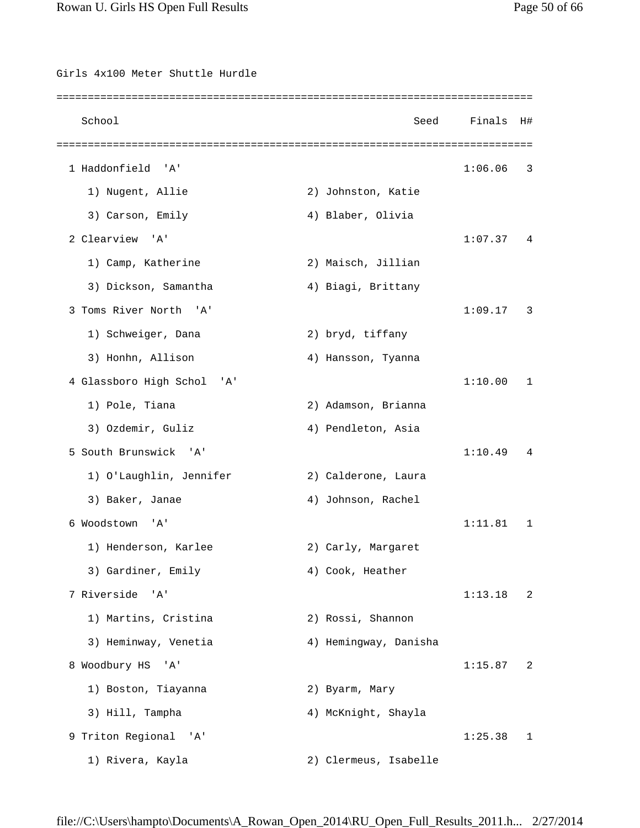| Girls 4x100 Meter Shuttle Hurdle               |                       |         |    |
|------------------------------------------------|-----------------------|---------|----|
| School                                         | Seed                  | Finals  | H# |
|                                                |                       |         |    |
| 1 Haddonfield<br>' 'A '                        |                       | 1:06.06 | 3  |
| 1) Nugent, Allie                               | 2) Johnston, Katie    |         |    |
| 3) Carson, Emily                               | 4) Blaber, Olivia     |         |    |
| 2 Clearview<br>" A '                           |                       | 1:07.37 | 4  |
| 1) Camp, Katherine                             | 2) Maisch, Jillian    |         |    |
| 3) Dickson, Samantha                           | 4) Biagi, Brittany    |         |    |
| 3 Toms River North<br>' 'A '                   |                       | 1:09.17 | 3  |
| 1) Schweiger, Dana                             | 2) bryd, tiffany      |         |    |
| 3) Honhn, Allison                              | 4) Hansson, Tyanna    |         |    |
| 4 Glassboro High Schol<br>'A'                  |                       | 1:10.00 | 1  |
| 1) Pole, Tiana                                 | 2) Adamson, Brianna   |         |    |
| 3) Ozdemir, Guliz                              | 4) Pendleton, Asia    |         |    |
| 5 South Brunswick<br>$^{\prime}$ A $^{\prime}$ |                       | 1:10.49 | 4  |
| 1) O'Laughlin, Jennifer                        | 2) Calderone, Laura   |         |    |
| 3) Baker, Janae                                | 4) Johnson, Rachel    |         |    |
| 6 Woodstown<br>'A'                             |                       | 1:11.81 | 1  |
| 1) Henderson, Karlee                           | 2) Carly, Margaret    |         |    |
| 3) Gardiner, Emily                             | 4) Cook, Heather      |         |    |
| 7 Riverside 'A'                                |                       | 1:13.18 | 2  |
| 1) Martins, Cristina                           | 2) Rossi, Shannon     |         |    |
| 3) Heminway, Venetia                           | 4) Hemingway, Danisha |         |    |
| 8 Woodbury HS<br>'' A '                        |                       | 1:15.87 | 2  |
| 1) Boston, Tiayanna                            | 2) Byarm, Mary        |         |    |
| 3) Hill, Tampha                                | 4) McKnight, Shayla   |         |    |
| 9 Triton Regional 'A'                          |                       | 1:25.38 | 1  |
| 1) Rivera, Kayla                               | 2) Clermeus, Isabelle |         |    |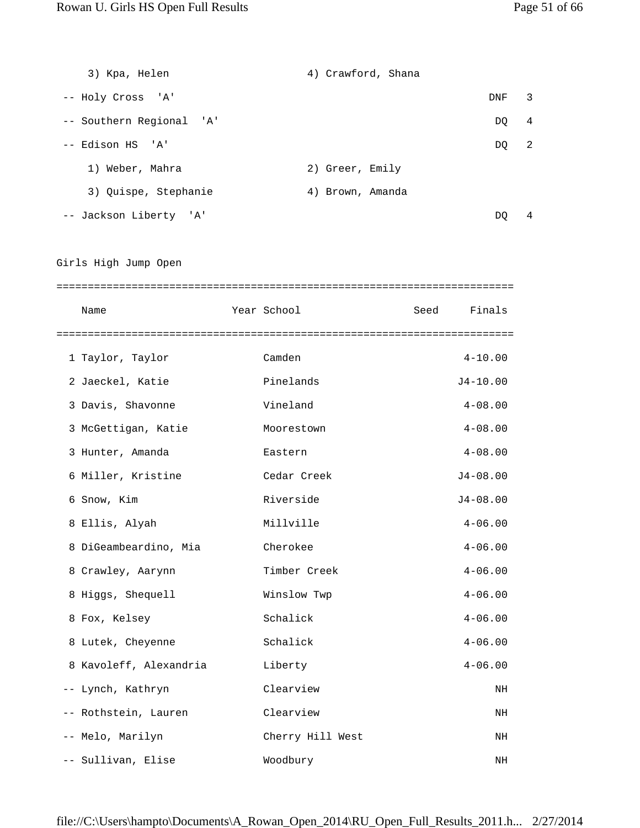| 3) Kpa, Helen            | 4) Crawford, Shana |            |   |
|--------------------------|--------------------|------------|---|
| -- Holy Cross 'A'        |                    | <b>DNF</b> | 3 |
| -- Southern Regional 'A' |                    | DQ         | 4 |
| -- Edison HS 'A'         |                    | DO         | 2 |
| 1) Weber, Mahra          | 2) Greer, Emily    |            |   |
| 3) Quispe, Stephanie     | 4) Brown, Amanda   |            |   |
| -- Jackson Liberty 'A'   |                    | DO         |   |

Girls High Jump Open

| Name                   | Year School      | Seed Finals  |
|------------------------|------------------|--------------|
|                        |                  |              |
| 1 Taylor, Taylor       | Camden           | $4 - 10.00$  |
| 2 Jaeckel, Katie       | Pinelands        | $J4 - 10.00$ |
| 3 Davis, Shavonne      | Vineland         | $4 - 08.00$  |
| 3 McGettigan, Katie    | Moorestown       | $4 - 08.00$  |
| 3 Hunter, Amanda       | Eastern          | $4 - 08.00$  |
| 6 Miller, Kristine     | Cedar Creek      | $J4 - 08.00$ |
| 6 Snow, Kim            | Riverside        | $J4 - 08.00$ |
| 8 Ellis, Alyah         | Millville        | $4 - 06.00$  |
| 8 DiGeambeardino, Mia  | Cherokee         | $4 - 06.00$  |
| 8 Crawley, Aarynn      | Timber Creek     | $4 - 06.00$  |
| 8 Higgs, Shequell      | Winslow Twp      | $4 - 06.00$  |
| 8 Fox, Kelsey          | Schalick         | $4 - 06.00$  |
| 8 Lutek, Cheyenne      | Schalick         | $4 - 06.00$  |
| 8 Kavoleff, Alexandria | Liberty          | $4 - 06.00$  |
| -- Lynch, Kathryn      | Clearview        | ΝH           |
| -- Rothstein, Lauren   | Clearview        | ΝH           |
| -- Melo, Marilyn       | Cherry Hill West | ΝH           |
| -- Sullivan, Elise     | Woodbury         | ΝH           |

## file://C:\Users\hampto\Documents\A\_Rowan\_Open\_2014\RU\_Open\_Full\_Results\_2011.h... 2/27/2014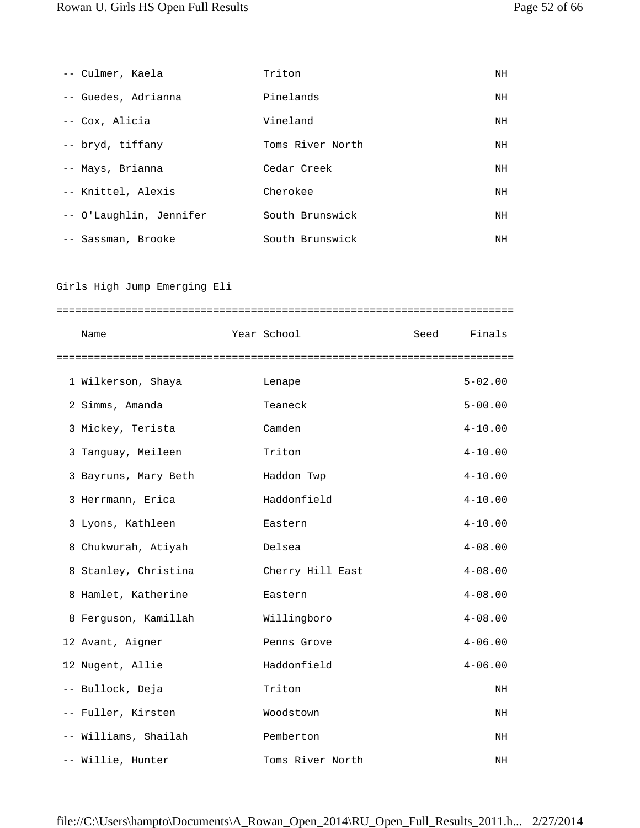| -- Culmer, Kaela        | Triton           | ΝH |
|-------------------------|------------------|----|
| -- Guedes, Adrianna     | Pinelands        | ΝH |
| -- Cox, Alicia          | Vineland         | ΝH |
| -- bryd, tiffany        | Toms River North | ΝH |
| -- Mays, Brianna        | Cedar Creek      | ΝH |
| -- Knittel, Alexis      | Cherokee         | NH |
| -- O'Laughlin, Jennifer | South Brunswick  | NH |
| -- Sassman, Brooke      | South Brunswick  | ΝH |

#### Girls High Jump Emerging Eli

| Name                 | Year School      | Seed | Finals      |
|----------------------|------------------|------|-------------|
|                      |                  |      |             |
| 1 Wilkerson, Shaya   | Lenape           |      | $5 - 02.00$ |
| 2 Simms, Amanda      | Teaneck          |      | $5 - 00.00$ |
| 3 Mickey, Terista    | Camden           |      | $4 - 10.00$ |
| 3 Tanguay, Meileen   | Triton           |      | $4 - 10.00$ |
| 3 Bayruns, Mary Beth | Haddon Twp       |      | $4 - 10.00$ |
| 3 Herrmann, Erica    | Haddonfield      |      | $4 - 10.00$ |
| 3 Lyons, Kathleen    | Eastern          |      | $4 - 10.00$ |
| 8 Chukwurah, Atiyah  | Delsea           |      | $4 - 08.00$ |
| 8 Stanley, Christina | Cherry Hill East |      | $4 - 08.00$ |
| 8 Hamlet, Katherine  | Eastern          |      | $4 - 08.00$ |
| 8 Ferguson, Kamillah | Willingboro      |      | $4 - 08.00$ |
| 12 Avant, Aigner     | Penns Grove      |      | $4 - 06.00$ |
| 12 Nugent, Allie     | Haddonfield      |      | $4 - 06.00$ |
| -- Bullock, Deja     | Triton           |      | NH          |
| -- Fuller, Kirsten   | Woodstown        |      | NH          |
| -- Williams, Shailah | Pemberton        |      | NH          |
| -- Willie, Hunter    | Toms River North |      | ΝH          |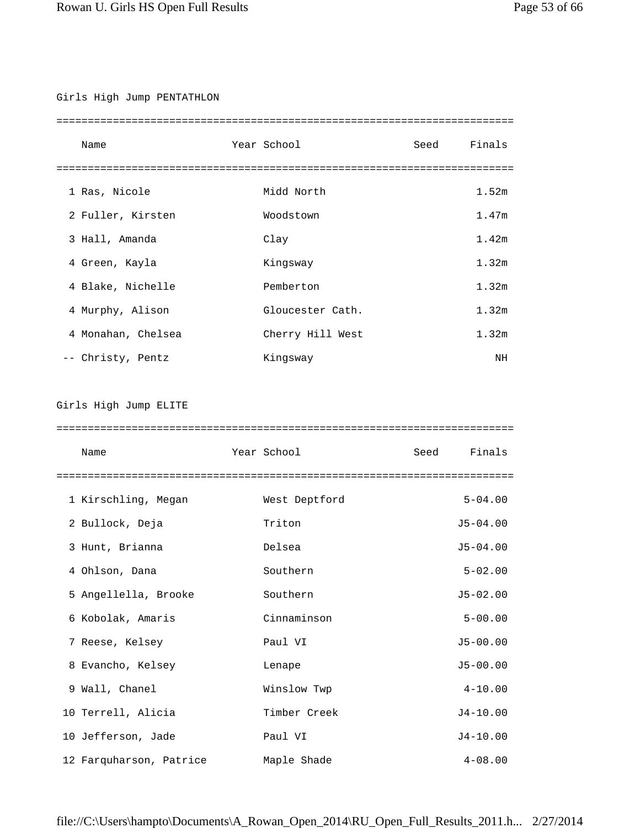## Girls High Jump PENTATHLON

| Name               | Year School      | Finals<br>Seed    |
|--------------------|------------------|-------------------|
|                    |                  |                   |
| 1 Ras, Nicole      | Midd North       | 1.52m             |
| 2 Fuller, Kirsten  | Woodstown        | 1.47m             |
| 3 Hall, Amanda     | Clay             | 1.42m             |
| 4 Green, Kayla     | Kingsway         | 1.32m             |
| 4 Blake, Nichelle  | Pemberton        | 1.32m             |
| 4 Murphy, Alison   | Gloucester Cath. | 1.32m             |
| 4 Monahan, Chelsea | Cherry Hill West | 1.32 <sub>m</sub> |
| -- Christy, Pentz  | Kingsway         | ΝH                |

#### Girls High Jump ELITE

=========================================================================

| Name                    | Year School   | Seed Finals  |
|-------------------------|---------------|--------------|
|                         |               |              |
| 1 Kirschling, Megan     | West Deptford | $5 - 04.00$  |
| 2 Bullock, Deja         | Triton        | $J5 - 04.00$ |
| 3 Hunt, Brianna         | Delsea        | $J5 - 04.00$ |
| 4 Ohlson, Dana          | Southern      | $5 - 02.00$  |
| 5 Angellella, Brooke    | Southern      | $J5 - 02.00$ |
| 6 Kobolak, Amaris       | Cinnaminson   | $5 - 00.00$  |
| 7 Reese, Kelsey         | Paul VI       | $J5 - 00.00$ |
| 8 Evancho, Kelsey       | Lenape        | $J5 - 00.00$ |
| 9 Wall, Chanel          | Winslow Twp   | $4 - 10.00$  |
| 10 Terrell, Alicia      | Timber Creek  | $J4 - 10.00$ |
| 10 Jefferson, Jade      | Paul VI       | $J4 - 10.00$ |
| 12 Farguharson, Patrice | Maple Shade   | $4 - 08.00$  |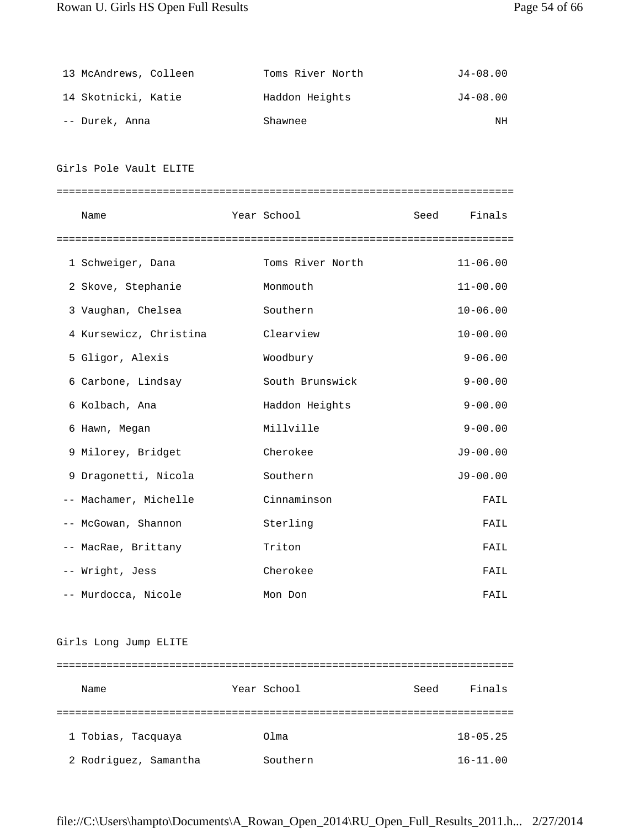| 13 McAndrews, Colleen | Toms River North | $J4 - 08.00$ |
|-----------------------|------------------|--------------|
| 14 Skotnicki, Katie   | Haddon Heights   | $J4 - 08.00$ |
| -- Durek, Anna        | Shawnee          | ΝH           |

Girls Pole Vault ELITE

| Name                   | Year School      | Seed Finals  |
|------------------------|------------------|--------------|
|                        |                  |              |
| 1 Schweiger, Dana      | Toms River North | $11 - 06.00$ |
| 2 Skove, Stephanie     | Monmouth         | $11 - 00.00$ |
| 3 Vaughan, Chelsea     | Southern         | $10 - 06.00$ |
| 4 Kursewicz, Christina | Clearview        | $10 - 00.00$ |
| 5 Gligor, Alexis       | Woodbury         | $9 - 06.00$  |
| 6 Carbone, Lindsay     | South Brunswick  | $9 - 00.00$  |
| 6 Kolbach, Ana         | Haddon Heights   | $9 - 00.00$  |
| 6 Hawn, Megan          | Millville        | $9 - 00.00$  |
| 9 Milorey, Bridget     | Cherokee         | $J9 - 00.00$ |
| 9 Dragonetti, Nicola   | Southern         | $J9 - 00.00$ |
| -- Machamer, Michelle  | Cinnaminson      | FAIL         |
| -- McGowan, Shannon    | Sterling         | FAIL         |
| -- MacRae, Brittany    | Triton           | FAIL         |
| -- Wright, Jess        | Cherokee         | FAIL         |
| -- Murdocca, Nicole    | Mon Don          | FAIL         |

Girls Long Jump ELITE

| Name                  | Year School | Finals<br>Seed |
|-----------------------|-------------|----------------|
|                       |             |                |
| 1 Tobias, Tacquaya    | Olma        | $18 - 05.25$   |
| 2 Rodriguez, Samantha | Southern    | $16 - 11.00$   |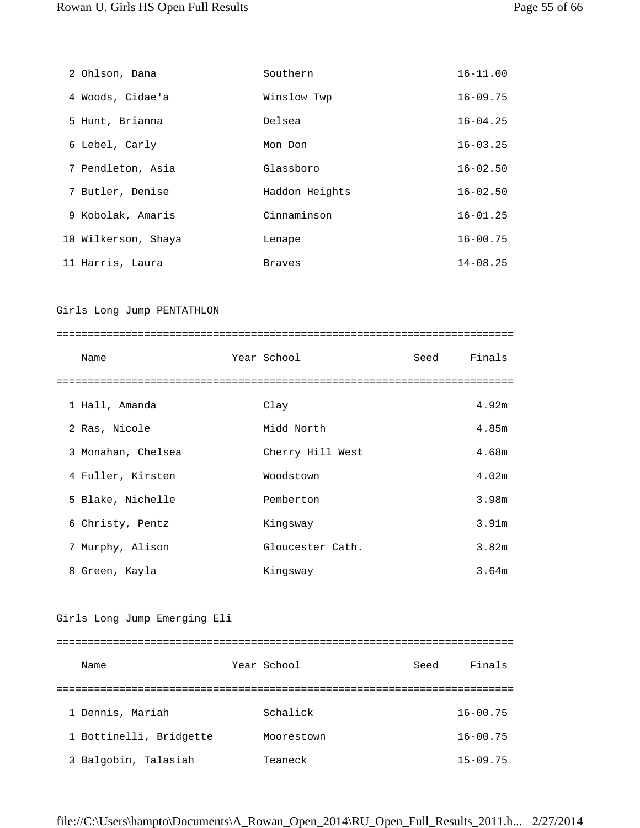| 2 Ohlson, Dana      | Southern       | $16 - 11.00$ |
|---------------------|----------------|--------------|
| 4 Woods, Cidae'a    | Winslow Twp    | $16 - 09.75$ |
| 5 Hunt, Brianna     | Delsea         | $16 - 04.25$ |
| 6 Lebel, Carly      | Mon Don        | $16 - 03.25$ |
| 7 Pendleton, Asia   | Glassboro      | $16 - 02.50$ |
| 7 Butler, Denise    | Haddon Heights | $16 - 02.50$ |
| 9 Kobolak, Amaris   | Cinnaminson    | $16 - 01.25$ |
| 10 Wilkerson, Shaya | Lenape         | $16 - 00.75$ |
| 11 Harris, Laura    | <b>Braves</b>  | $14 - 08.25$ |

## Girls Long Jump PENTATHLON

| Name               | Year School      | Seed | Finals |
|--------------------|------------------|------|--------|
|                    |                  |      |        |
| 1 Hall, Amanda     | Clay             |      | 4.92m  |
| 2 Ras, Nicole      | Midd North       |      | 4.85m  |
| 3 Monahan, Chelsea | Cherry Hill West |      | 4.68m  |
| 4 Fuller, Kirsten  | Woodstown        |      | 4.02m  |
| 5 Blake, Nichelle  | Pemberton        |      | 3.98m  |
| 6 Christy, Pentz   | Kingsway         |      | 3.91m  |
| 7 Murphy, Alison   | Gloucester Cath. |      | 3.82m  |
| 8 Green, Kayla     | Kingsway         |      | 3.64m  |

#### Girls Long Jump Emerging Eli

| Name                    |  | Year School | Seed | Finals       |  |
|-------------------------|--|-------------|------|--------------|--|
|                         |  |             |      |              |  |
| 1 Dennis, Mariah        |  | Schalick    |      | $16 - 00.75$ |  |
| 1 Bottinelli, Bridgette |  | Moorestown  |      | $16 - 00.75$ |  |
| 3 Balgobin, Talasiah    |  | Teaneck     |      | $15 - 09.75$ |  |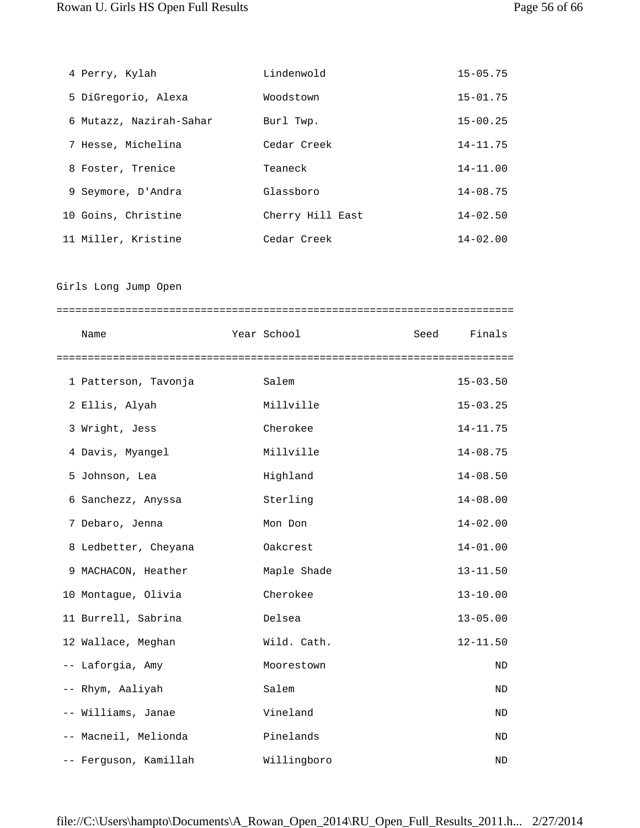| 4 Perry, Kylah          | Lindenwold       | $15 - 05.75$ |
|-------------------------|------------------|--------------|
| 5 DiGregorio, Alexa     | Woodstown        | $15 - 01.75$ |
| 6 Mutazz, Nazirah-Sahar | Burl Twp.        | $15 - 00.25$ |
| 7 Hesse, Michelina      | Cedar Creek      | $14 - 11.75$ |
| 8 Foster, Trenice       | Teaneck          | $14 - 11.00$ |
| 9 Seymore, D'Andra      | Glassboro        | $14 - 08.75$ |
| 10 Goins, Christine     | Cherry Hill East | $14 - 02.50$ |
| 11 Miller, Kristine     | Cedar Creek      | $14 - 02.00$ |

## Girls Long Jump Open

| Name                  | Year School | Seed | Finals       |
|-----------------------|-------------|------|--------------|
|                       |             |      |              |
| 1 Patterson, Tavonja  | Salem       |      | $15 - 03.50$ |
| 2 Ellis, Alyah        | Millville   |      | $15 - 03.25$ |
| 3 Wright, Jess        | Cherokee    |      | $14 - 11.75$ |
| 4 Davis, Myangel      | Millville   |      | $14 - 08.75$ |
| 5 Johnson, Lea        | Highland    |      | $14 - 08.50$ |
| 6 Sanchezz, Anyssa    | Sterling    |      | $14 - 08.00$ |
| 7 Debaro, Jenna       | Mon Don     |      | $14 - 02.00$ |
| 8 Ledbetter, Cheyana  | Oakcrest    |      | $14 - 01.00$ |
| 9 MACHACON, Heather   | Maple Shade |      | $13 - 11.50$ |
| 10 Montague, Olivia   | Cherokee    |      | $13 - 10.00$ |
| 11 Burrell, Sabrina   | Delsea      |      | $13 - 05.00$ |
| 12 Wallace, Meghan    | Wild. Cath. |      | $12 - 11.50$ |
| -- Laforgia, Amy      | Moorestown  |      | ND           |
| -- Rhym, Aaliyah      | Salem       |      | ND           |
| -- Williams, Janae    | Vineland    |      | ND           |
| -- Macneil, Melionda  | Pinelands   |      | ND           |
| -- Ferguson, Kamillah | Willingboro |      | ND           |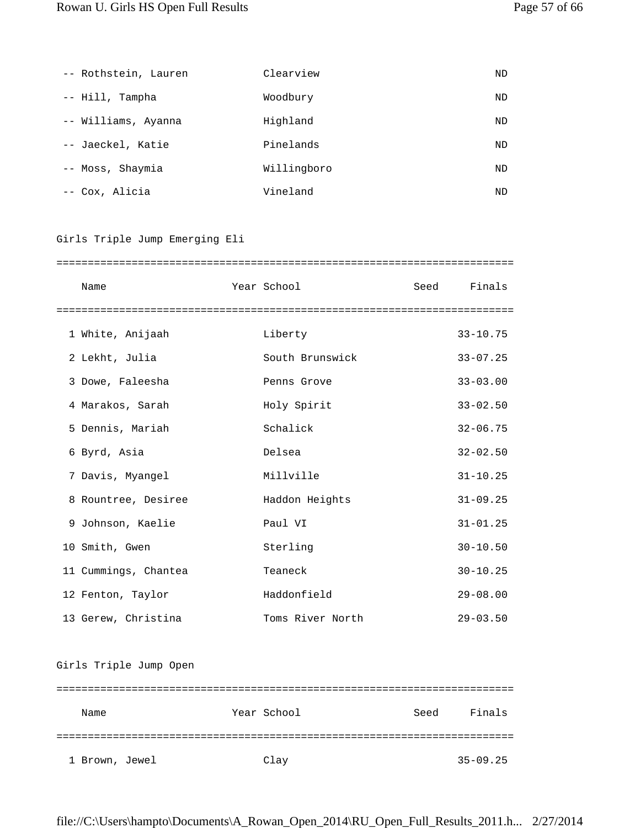| -- Rothstein, Lauren | Clearview   | ND |
|----------------------|-------------|----|
| -- Hill, Tampha      | Woodbury    | ND |
| -- Williams, Ayanna  | Highland    | ND |
| -- Jaeckel, Katie    | Pinelands   | ND |
| -- Moss, Shaymia     | Willingboro | ND |
| -- Cox, Alicia       | Vineland    | ND |

## Girls Triple Jump Emerging Eli

| Name                 | Year School      | Seed Finals  |
|----------------------|------------------|--------------|
|                      |                  |              |
| 1 White, Anijaah     | Liberty          | $33 - 10.75$ |
| 2 Lekht, Julia       | South Brunswick  | $33 - 07.25$ |
| 3 Dowe, Faleesha     | Penns Grove      | $33 - 03.00$ |
| 4 Marakos, Sarah     | Holy Spirit      | $33 - 02.50$ |
| 5 Dennis, Mariah     | Schalick         | $32 - 06.75$ |
| 6 Byrd, Asia         | Delsea           | $32 - 02.50$ |
| 7 Davis, Myangel     | Millville        | $31 - 10.25$ |
| 8 Rountree, Desiree  | Haddon Heights   | $31 - 09.25$ |
| 9 Johnson, Kaelie    | Paul VI          | $31 - 01.25$ |
| 10 Smith, Gwen       | Sterling         | $30 - 10.50$ |
| 11 Cummings, Chantea | Teaneck          | $30 - 10.25$ |
| 12 Fenton, Taylor    | Haddonfield      | $29 - 08.00$ |
| 13 Gerew, Christina  | Toms River North | $29 - 03.50$ |

## Girls Triple Jump Open

| Name           | Year School | Finals<br>Seed |
|----------------|-------------|----------------|
|                |             |                |
| 1 Brown, Jewel | Clay        | $35 - 09.25$   |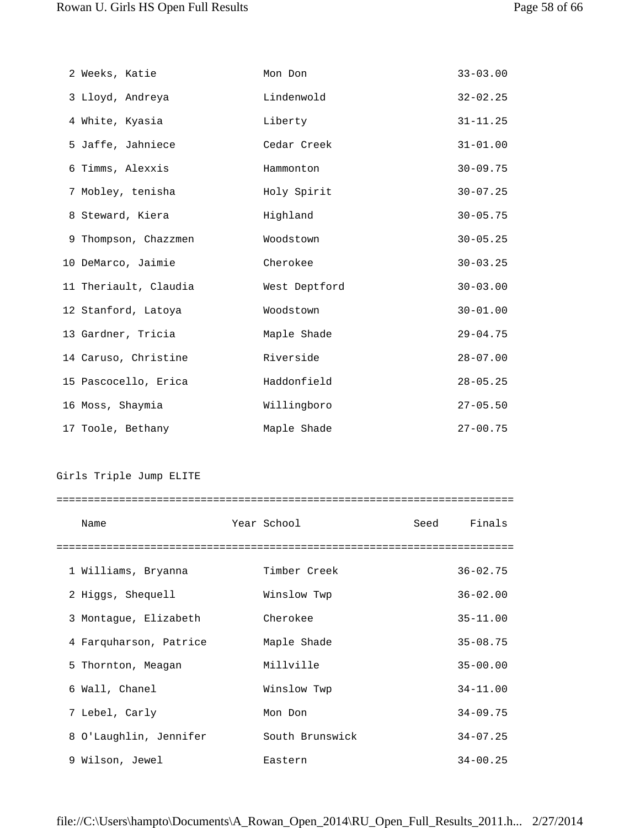| 2 Weeks, Katie        | Mon Don       | $33 - 03.00$ |
|-----------------------|---------------|--------------|
| 3 Lloyd, Andreya      | Lindenwold    | $32 - 02.25$ |
| 4 White, Kyasia       | Liberty       | $31 - 11.25$ |
| 5 Jaffe, Jahniece     | Cedar Creek   | $31 - 01.00$ |
| 6 Timms, Alexxis      | Hammonton     | $30 - 09.75$ |
| 7 Mobley, tenisha     | Holy Spirit   | $30 - 07.25$ |
| 8 Steward, Kiera      | Highland      | $30 - 05.75$ |
| 9 Thompson, Chazzmen  | Woodstown     | $30 - 05.25$ |
| 10 DeMarco, Jaimie    | Cherokee      | $30 - 03.25$ |
| 11 Theriault, Claudia | West Deptford | $30 - 03.00$ |
| 12 Stanford, Latoya   | Woodstown     | $30 - 01.00$ |
| 13 Gardner, Tricia    | Maple Shade   | $29 - 04.75$ |
| 14 Caruso, Christine  | Riverside     | $28 - 07.00$ |
| 15 Pascocello, Erica  | Haddonfield   | $28 - 05.25$ |
| 16 Moss, Shaymia      | Willingboro   | $27 - 05.50$ |
| 17 Toole, Bethany     | Maple Shade   | $27 - 00.75$ |

#### Girls Triple Jump ELITE

| Name                   | Year School     | Seed | Finals       |
|------------------------|-----------------|------|--------------|
|                        |                 |      |              |
| 1 Williams, Bryanna    | Timber Creek    |      | $36 - 02.75$ |
| 2 Higgs, Shequell      | Winslow Twp     |      | $36 - 02.00$ |
| 3 Montague, Elizabeth  | Cherokee        |      | $35 - 11.00$ |
| 4 Farquharson, Patrice | Maple Shade     |      | $35 - 08.75$ |
| 5 Thornton, Meagan     | Millville       |      | $35 - 00.00$ |
| 6 Wall, Chanel         | Winslow Twp     |      | $34 - 11.00$ |
| 7 Lebel, Carly         | Mon Don         |      | $34 - 09.75$ |
| 8 O'Laughlin, Jennifer | South Brunswick |      | $34 - 07.25$ |
| 9 Wilson, Jewel        | Eastern         |      | $34 - 00.25$ |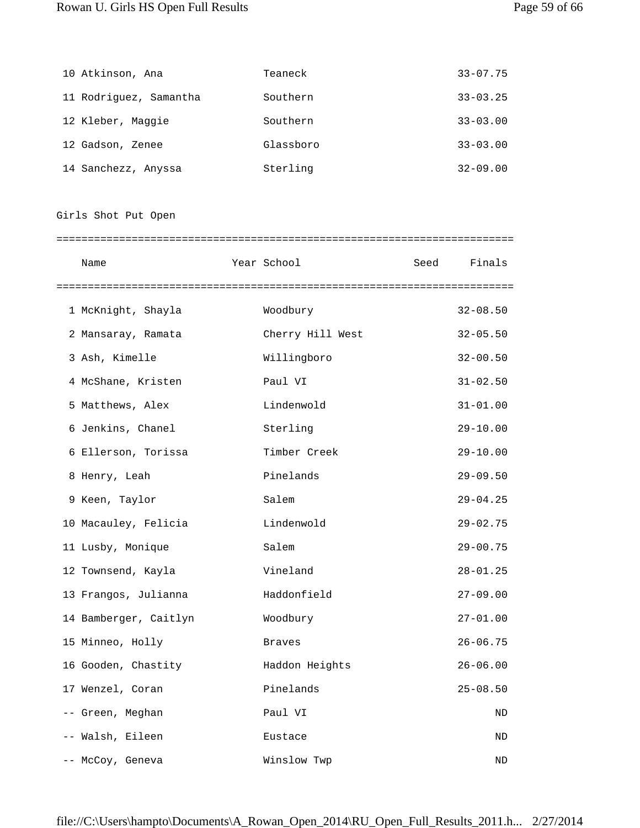| 10 Atkinson, Ana       | Teaneck   | $33 - 07.75$ |
|------------------------|-----------|--------------|
| 11 Rodriguez, Samantha | Southern  | $33 - 03.25$ |
| 12 Kleber, Maggie      | Southern  | $33 - 03.00$ |
| 12 Gadson, Zenee       | Glassboro | $33 - 03.00$ |
| 14 Sanchezz, Anyssa    | Sterling  | $32 - 09.00$ |

Girls Shot Put Open

| Name                  | Year School      | Seed | Finals       |
|-----------------------|------------------|------|--------------|
| 1 McKnight, Shayla    | Woodbury         |      | $32 - 08.50$ |
| 2 Mansaray, Ramata    | Cherry Hill West |      | $32 - 05.50$ |
| 3 Ash, Kimelle        | Willingboro      |      | $32 - 00.50$ |
| 4 McShane, Kristen    | Paul VI          |      | $31 - 02.50$ |
| 5 Matthews, Alex      | Lindenwold       |      | $31 - 01.00$ |
| 6 Jenkins, Chanel     | Sterling         |      | $29 - 10.00$ |
| 6 Ellerson, Torissa   | Timber Creek     |      | $29 - 10.00$ |
| 8 Henry, Leah         | Pinelands        |      | $29 - 09.50$ |
| 9 Keen, Taylor        | Salem            |      | $29 - 04.25$ |
| 10 Macauley, Felicia  | Lindenwold       |      | $29 - 02.75$ |
| 11 Lusby, Monique     | Salem            |      | $29 - 00.75$ |
| 12 Townsend, Kayla    | Vineland         |      | $28 - 01.25$ |
| 13 Frangos, Julianna  | Haddonfield      |      | $27 - 09.00$ |
| 14 Bamberger, Caitlyn | Woodbury         |      | $27 - 01.00$ |
| 15 Minneo, Holly      | <b>Braves</b>    |      | $26 - 06.75$ |
| 16 Gooden, Chastity   | Haddon Heights   |      | $26 - 06.00$ |
| 17 Wenzel, Coran      | Pinelands        |      | $25 - 08.50$ |
| -- Green, Meghan      | Paul VI          |      | ND           |
| -- Walsh, Eileen      | Eustace          |      | ND           |
| -- McCoy, Geneva      | Winslow Twp      |      | ND           |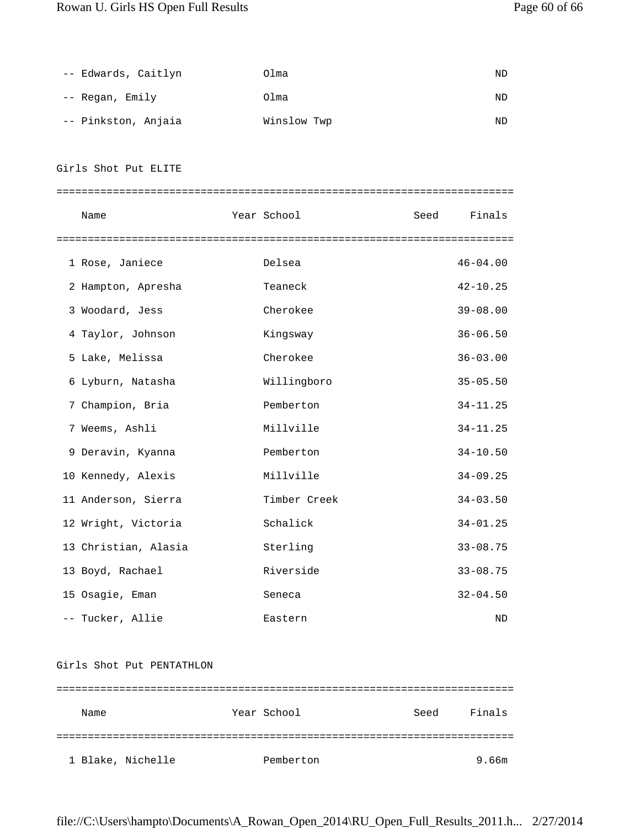| -- Edwards, Caitlyn | Olma        | ND |
|---------------------|-------------|----|
| -- Regan, Emily     | Olma        | ND |
| -- Pinkston, Anjaia | Winslow Twp | ND |

Girls Shot Put ELITE

| Name                 |  | Year School  |  | Seed Finals  |  |
|----------------------|--|--------------|--|--------------|--|
|                      |  |              |  |              |  |
| 1 Rose, Janiece      |  | Delsea       |  | $46 - 04.00$ |  |
| 2 Hampton, Apresha   |  | Teaneck      |  | $42 - 10.25$ |  |
| 3 Woodard, Jess      |  | Cherokee     |  | $39 - 08.00$ |  |
| 4 Taylor, Johnson    |  | Kingsway     |  | $36 - 06.50$ |  |
| 5 Lake, Melissa      |  | Cherokee     |  | $36 - 03.00$ |  |
| 6 Lyburn, Natasha    |  | Willingboro  |  | $35 - 05.50$ |  |
| 7 Champion, Bria     |  | Pemberton    |  | $34 - 11.25$ |  |
| 7 Weems, Ashli       |  | Millville    |  | $34 - 11.25$ |  |
| 9 Deravin, Kyanna    |  | Pemberton    |  | $34 - 10.50$ |  |
| 10 Kennedy, Alexis   |  | Millville    |  | $34 - 09.25$ |  |
| 11 Anderson, Sierra  |  | Timber Creek |  | $34 - 03.50$ |  |
| 12 Wright, Victoria  |  | Schalick     |  | $34 - 01.25$ |  |
| 13 Christian, Alasia |  | Sterling     |  | $33 - 08.75$ |  |
| 13 Boyd, Rachael     |  | Riverside    |  | $33 - 08.75$ |  |
| 15 Osagie, Eman      |  | Seneca       |  | $32 - 04.50$ |  |
| -- Tucker, Allie     |  | Eastern      |  | ND           |  |

#### Girls Shot Put PENTATHLON

| Name              | Year School | Finals<br>Seed |
|-------------------|-------------|----------------|
|                   |             |                |
| 1 Blake, Nichelle | Pemberton   | 9.66m          |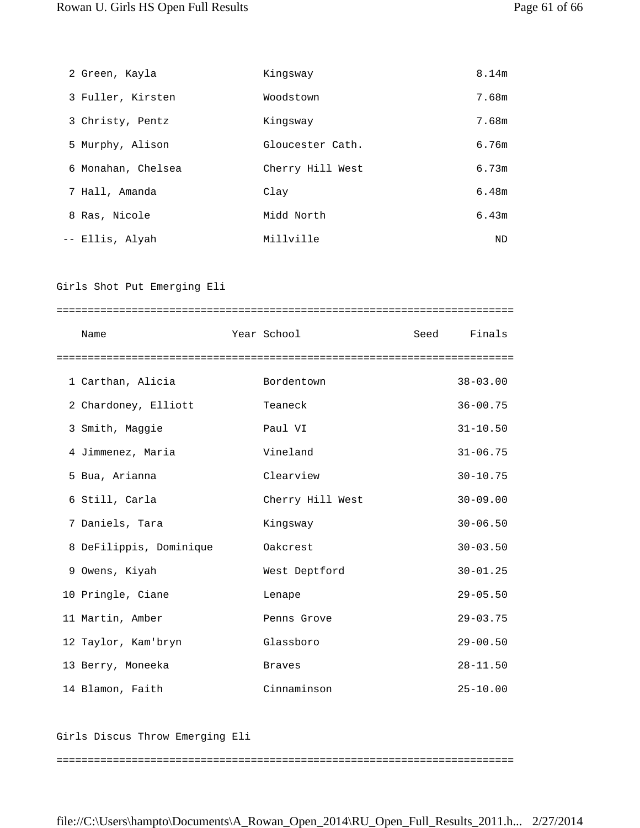| 2 Green, Kayla     | Kingsway         | 8.14m |
|--------------------|------------------|-------|
| 3 Fuller, Kirsten  | Woodstown        | 7.68m |
| 3 Christy, Pentz   | Kingsway         | 7.68m |
| 5 Murphy, Alison   | Gloucester Cath. | 6.76m |
| 6 Monahan, Chelsea | Cherry Hill West | 6.73m |
| 7 Hall, Amanda     | Clay             | 6.48m |
| 8 Ras, Nicole      | Midd North       | 6.43m |
| -- Ellis, Alyah    | Millville        | ND    |

#### Girls Shot Put Emerging Eli

| Name                    | Year School      | Seed Finals  |
|-------------------------|------------------|--------------|
|                         |                  |              |
| 1 Carthan, Alicia       | Bordentown       | $38 - 03.00$ |
| 2 Chardoney, Elliott    | Teaneck          | $36 - 00.75$ |
| 3 Smith, Maggie         | Paul VI          | $31 - 10.50$ |
| 4 Jimmenez, Maria       | Vineland         | $31 - 06.75$ |
| 5 Bua, Arianna          | Clearview        | $30 - 10.75$ |
| 6 Still, Carla          | Cherry Hill West | $30 - 09.00$ |
| 7 Daniels, Tara         | Kingsway         | $30 - 06.50$ |
| 8 DeFilippis, Dominique | Oakcrest         | $30 - 03.50$ |
| 9 Owens, Kiyah          | West Deptford    | $30 - 01.25$ |
| 10 Pringle, Ciane       | Lenape           | $29 - 05.50$ |
| 11 Martin, Amber        | Penns Grove      | $29 - 03.75$ |
| 12 Taylor, Kam'bryn     | Glassboro        | $29 - 00.50$ |
| 13 Berry, Moneeka       | <b>Braves</b>    | $28 - 11.50$ |
| 14 Blamon, Faith        | Cinnaminson      | $25 - 10.00$ |

Girls Discus Throw Emerging Eli

=========================================================================

file://C:\Users\hampto\Documents\A\_Rowan\_Open\_2014\RU\_Open\_Full\_Results\_2011.h... 2/27/2014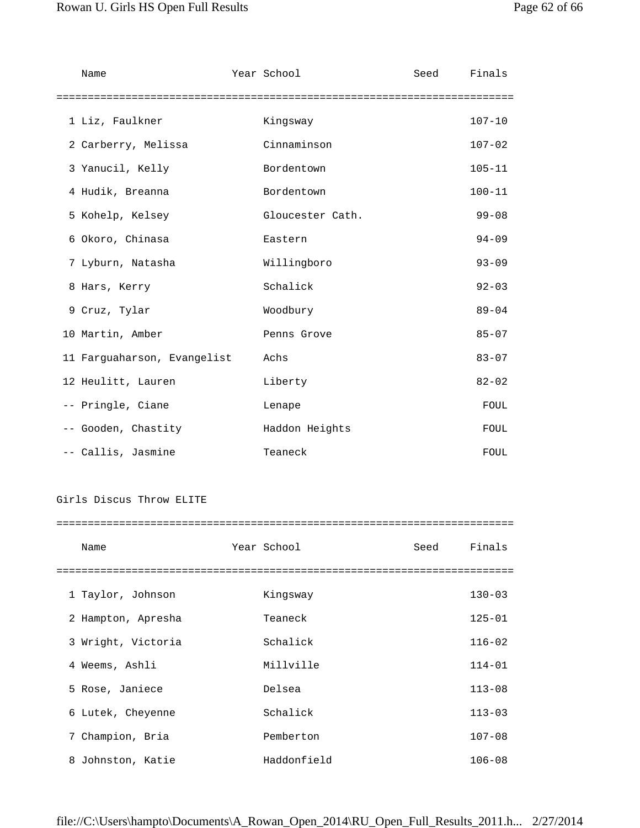| Name                        | Year School      | Seed | Finals     |
|-----------------------------|------------------|------|------------|
|                             |                  |      |            |
| 1 Liz, Faulkner             | Kingsway         |      | $107 - 10$ |
| 2 Carberry, Melissa         | Cinnaminson      |      | $107 - 02$ |
| 3 Yanucil, Kelly            | Bordentown       |      | $105 - 11$ |
| 4 Hudik, Breanna            | Bordentown       |      | $100 - 11$ |
| 5 Kohelp, Kelsey            | Gloucester Cath. |      | $99 - 08$  |
| 6 Okoro, Chinasa            | Eastern          |      | $94 - 09$  |
| 7 Lyburn, Natasha           | Willingboro      |      | $93 - 09$  |
| 8 Hars, Kerry               | Schalick         |      | $92 - 03$  |
| 9 Cruz, Tylar               | Woodbury         |      | $89 - 04$  |
| 10 Martin, Amber            | Penns Grove      |      | $85 - 07$  |
| 11 Farguaharson, Evangelist | Achs             |      | $83 - 07$  |
| 12 Heulitt, Lauren          | Liberty          |      | $82 - 02$  |
| -- Pringle, Ciane           | Lenape           |      | FOUL       |
| -- Gooden, Chastity         | Haddon Heights   |      | FOUL       |
| -- Callis, Jasmine          | Teaneck          |      | FOUL       |

## Girls Discus Throw ELITE

| Name               | Year School | Seed | Finals     |
|--------------------|-------------|------|------------|
|                    |             |      |            |
| 1 Taylor, Johnson  | Kingsway    |      | $130 - 03$ |
| 2 Hampton, Apresha | Teaneck     |      | $125 - 01$ |
| 3 Wright, Victoria | Schalick    |      | $116 - 02$ |
| 4 Weems, Ashli     | Millville   |      | $114 - 01$ |
| 5 Rose, Janiece    | Delsea      |      | $113 - 08$ |
| 6 Lutek, Cheyenne  | Schalick    |      | $113 - 03$ |
| 7 Champion, Bria   | Pemberton   |      | $107 - 08$ |
| 8 Johnston, Katie  | Haddonfield |      | $106 - 08$ |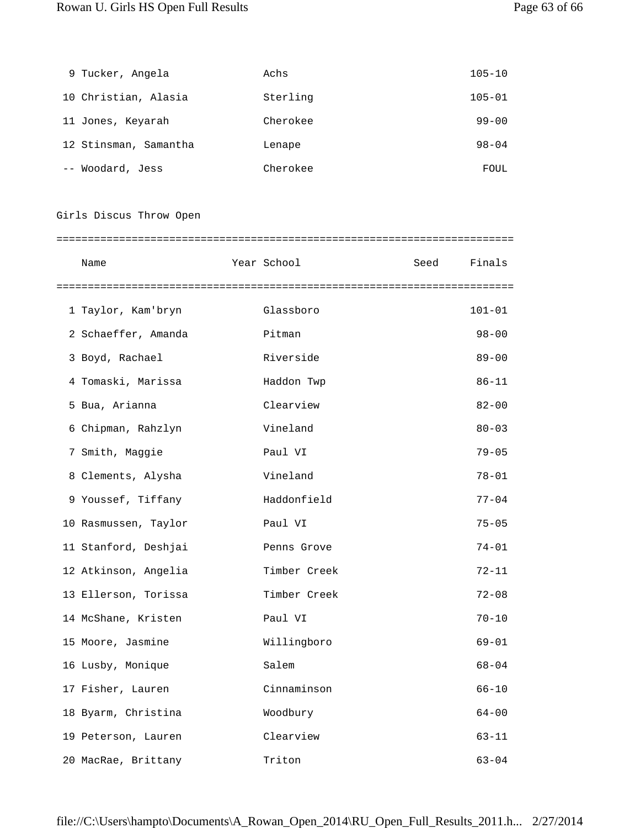| 9 Tucker, Angela      | Achs     | $105 - 10$ |
|-----------------------|----------|------------|
| 10 Christian, Alasia  | Sterling | $105 - 01$ |
| 11 Jones, Keyarah     | Cherokee | $99 - 00$  |
| 12 Stinsman, Samantha | Lenape   | $98 - 04$  |
| -- Woodard, Jess      | Cherokee | FOUL       |

Girls Discus Throw Open

| Name                 | Year School  | Seed | Finals     |
|----------------------|--------------|------|------------|
|                      |              |      |            |
| 1 Taylor, Kam'bryn   | Glassboro    |      | $101 - 01$ |
| 2 Schaeffer, Amanda  | Pitman       |      | $98 - 00$  |
| 3 Boyd, Rachael      | Riverside    |      | $89 - 00$  |
| 4 Tomaski, Marissa   | Haddon Twp   |      | $86 - 11$  |
| 5 Bua, Arianna       | Clearview    |      | $82 - 00$  |
| 6 Chipman, Rahzlyn   | Vineland     |      | $80 - 03$  |
| 7 Smith, Maggie      | Paul VI      |      | $79 - 05$  |
| 8 Clements, Alysha   | Vineland     |      | $78 - 01$  |
| 9 Youssef, Tiffany   | Haddonfield  |      | $77 - 04$  |
| 10 Rasmussen, Taylor | Paul VI      |      | $75 - 05$  |
| 11 Stanford, Deshjai | Penns Grove  |      | $74 - 01$  |
| 12 Atkinson, Angelia | Timber Creek |      | $72 - 11$  |
| 13 Ellerson, Torissa | Timber Creek |      | $72 - 08$  |
| 14 McShane, Kristen  | Paul VI      |      | $70 - 10$  |
| 15 Moore, Jasmine    | Willingboro  |      | $69 - 01$  |
| 16 Lusby, Monique    | Salem        |      | $68 - 04$  |
| 17 Fisher, Lauren    | Cinnaminson  |      | $66 - 10$  |
| 18 Byarm, Christina  | Woodbury     |      | $64 - 00$  |
| 19 Peterson, Lauren  | Clearview    |      | $63 - 11$  |
| 20 MacRae, Brittany  | Triton       |      | $63 - 04$  |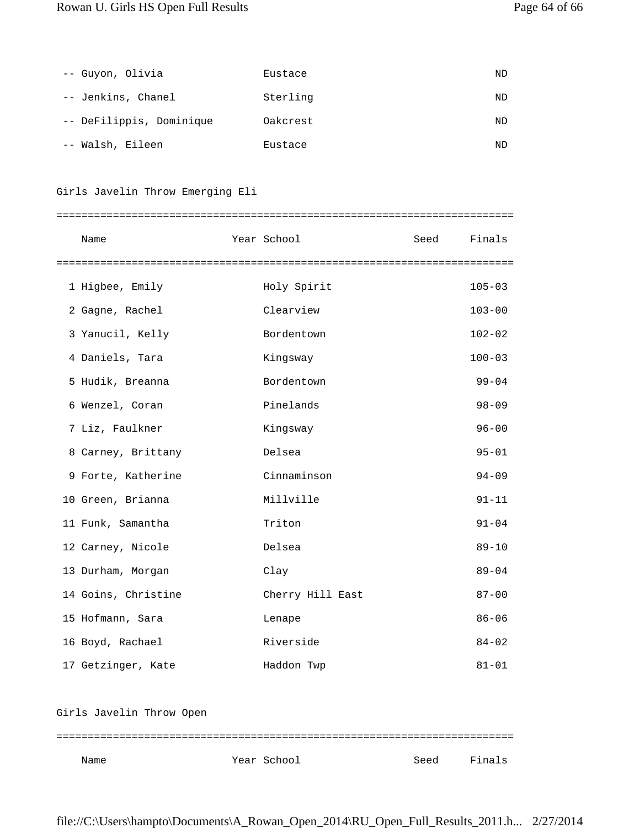| -- Guyon, Olivia         | Eustace  | ΝD |
|--------------------------|----------|----|
| -- Jenkins, Chanel       | Sterling | ND |
| -- DeFilippis, Dominique | Oakcrest | ND |
| -- Walsh, Eileen         | Eustace  | ΝD |

| Girls Javelin Throw Emerging Eli |                     |  |                  |      |            |
|----------------------------------|---------------------|--|------------------|------|------------|
|                                  |                     |  |                  |      |            |
|                                  | Name                |  | Year School      | Seed | Finals     |
|                                  |                     |  |                  |      |            |
|                                  | 1 Higbee, Emily     |  | Holy Spirit      |      | $105 - 03$ |
|                                  | 2 Gagne, Rachel     |  | Clearview        |      | $103 - 00$ |
|                                  | 3 Yanucil, Kelly    |  | Bordentown       |      | $102 - 02$ |
|                                  | 4 Daniels, Tara     |  | Kingsway         |      | $100 - 03$ |
|                                  | 5 Hudik, Breanna    |  | Bordentown       |      | $99 - 04$  |
|                                  | 6 Wenzel, Coran     |  | Pinelands        |      | $98 - 09$  |
|                                  | 7 Liz, Faulkner     |  | Kingsway         |      | $96 - 00$  |
|                                  | 8 Carney, Brittany  |  | Delsea           |      | $95 - 01$  |
|                                  | 9 Forte, Katherine  |  | Cinnaminson      |      | $94 - 09$  |
|                                  | 10 Green, Brianna   |  | Millville        |      | $91 - 11$  |
|                                  | 11 Funk, Samantha   |  | Triton           |      | $91 - 04$  |
|                                  | 12 Carney, Nicole   |  | Delsea           |      | $89 - 10$  |
|                                  | 13 Durham, Morgan   |  | Clay             |      | $89 - 04$  |
|                                  | 14 Goins, Christine |  | Cherry Hill East |      | $87 - 00$  |
|                                  | 15 Hofmann, Sara    |  | Lenape           |      | $86 - 06$  |

Girls Javelin Throw Open ========================================================================= Name Year School Seed Finals

16 Boyd, Rachael Riverside Riverside 84-02

17 Getzinger, Kate and Haddon Twp 81-01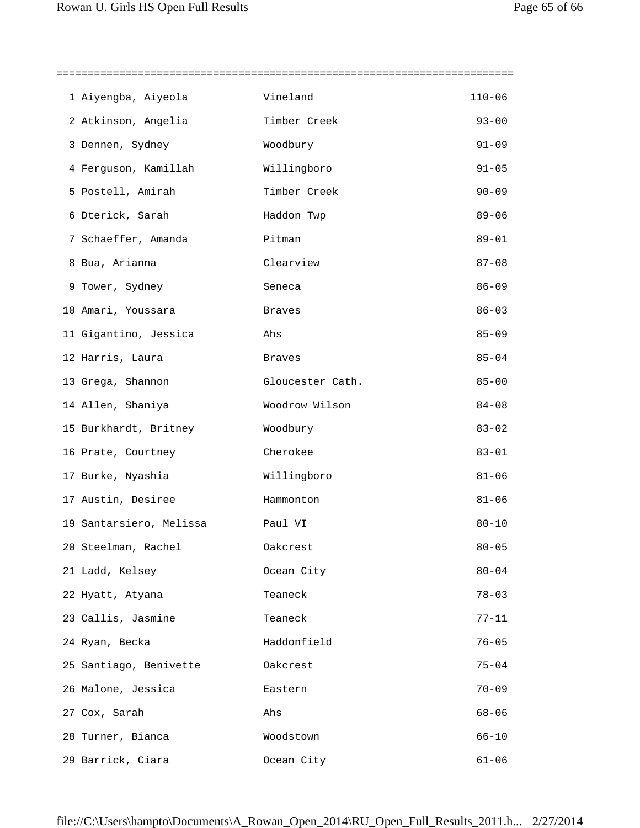=========================================================================

| 1 Aiyengba, Aiyeola     | Vineland         | $110 - 06$ |
|-------------------------|------------------|------------|
| 2 Atkinson, Angelia     | Timber Creek     | $93 - 00$  |
| 3 Dennen, Sydney        | Woodbury         | $91 - 09$  |
| 4 Ferguson, Kamillah    | Willingboro      | $91 - 05$  |
| 5 Postell, Amirah       | Timber Creek     | $90 - 09$  |
| 6 Dterick, Sarah        | Haddon Twp       | $89 - 06$  |
| 7 Schaeffer, Amanda     | Pitman           | $89 - 01$  |
| 8 Bua, Arianna          | Clearview        | $87 - 08$  |
| 9 Tower, Sydney         | Seneca           | $86 - 09$  |
| 10 Amari, Youssara      | Braves           | $86 - 03$  |
| 11 Gigantino, Jessica   | Ahs              | $85 - 09$  |
| 12 Harris, Laura        | Braves           | $85 - 04$  |
| 13 Grega, Shannon       | Gloucester Cath. | $85 - 00$  |
| 14 Allen, Shaniya       | Woodrow Wilson   | $84 - 08$  |
| 15 Burkhardt, Britney   | Woodbury         | $83 - 02$  |
| 16 Prate, Courtney      | Cherokee         | $83 - 01$  |
| 17 Burke, Nyashia       | Willingboro      | $81 - 06$  |
| 17 Austin, Desiree      | Hammonton        | $81 - 06$  |
| 19 Santarsiero, Melissa | Paul VI          | $80 - 10$  |
| 20 Steelman, Rachel     | Oakcrest         | $80 - 05$  |
| 21 Ladd, Kelsey         | Ocean City       | $80 - 04$  |
| 22 Hyatt, Atyana        | Teaneck          | $78 - 03$  |
| 23 Callis, Jasmine      | Teaneck          | $77 - 11$  |
| 24 Ryan, Becka          | Haddonfield      | $76 - 05$  |
| 25 Santiago, Benivette  | Oakcrest         | $75 - 04$  |
| 26 Malone, Jessica      | Eastern          | $70 - 09$  |
| 27 Cox, Sarah           | Ahs              | $68 - 06$  |
| 28 Turner, Bianca       | Woodstown        | $66 - 10$  |
| 29 Barrick, Ciara       | Ocean City       | $61 - 06$  |